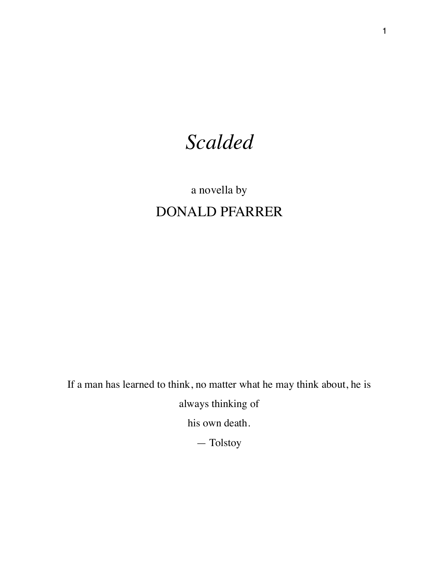## *Scalded*

## a novella by DONALD PFARRER

If a man has learned to think, no matter what he may think about, he is

always thinking of

his own death.

— Tolstoy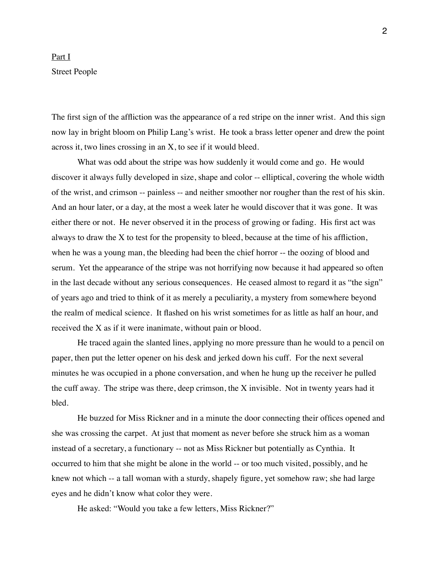## Part I Street People

The first sign of the affliction was the appearance of a red stripe on the inner wrist. And this sign now lay in bright bloom on Philip Lang's wrist. He took a brass letter opener and drew the point across it, two lines crossing in an X, to see if it would bleed.

What was odd about the stripe was how suddenly it would come and go. He would discover it always fully developed in size, shape and color -- elliptical, covering the whole width of the wrist, and crimson -- painless -- and neither smoother nor rougher than the rest of his skin. And an hour later, or a day, at the most a week later he would discover that it was gone. It was either there or not. He never observed it in the process of growing or fading. His first act was always to draw the X to test for the propensity to bleed, because at the time of his affliction, when he was a young man, the bleeding had been the chief horror -- the oozing of blood and serum. Yet the appearance of the stripe was not horrifying now because it had appeared so often in the last decade without any serious consequences. He ceased almost to regard it as "the sign" of years ago and tried to think of it as merely a peculiarity, a mystery from somewhere beyond the realm of medical science. It flashed on his wrist sometimes for as little as half an hour, and received the X as if it were inanimate, without pain or blood.

He traced again the slanted lines, applying no more pressure than he would to a pencil on paper, then put the letter opener on his desk and jerked down his cuff. For the next several minutes he was occupied in a phone conversation, and when he hung up the receiver he pulled the cuff away. The stripe was there, deep crimson, the X invisible. Not in twenty years had it bled.

He buzzed for Miss Rickner and in a minute the door connecting their offices opened and she was crossing the carpet. At just that moment as never before she struck him as a woman instead of a secretary, a functionary -- not as Miss Rickner but potentially as Cynthia. It occurred to him that she might be alone in the world -- or too much visited, possibly, and he knew not which -- a tall woman with a sturdy, shapely figure, yet somehow raw; she had large eyes and he didn't know what color they were.

He asked: "Would you take a few letters, Miss Rickner?"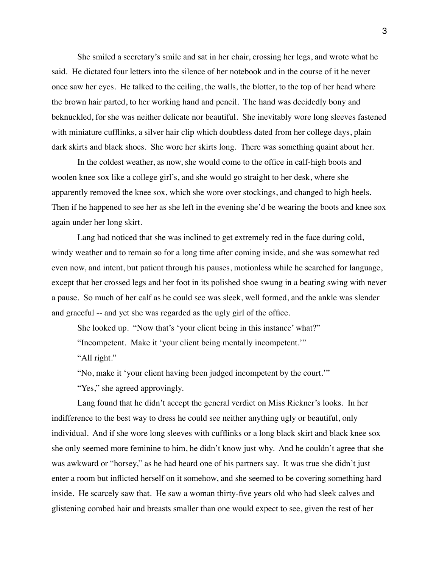She smiled a secretary's smile and sat in her chair, crossing her legs, and wrote what he said. He dictated four letters into the silence of her notebook and in the course of it he never once saw her eyes. He talked to the ceiling, the walls, the blotter, to the top of her head where the brown hair parted, to her working hand and pencil. The hand was decidedly bony and beknuckled, for she was neither delicate nor beautiful. She inevitably wore long sleeves fastened with miniature cufflinks, a silver hair clip which doubtless dated from her college days, plain dark skirts and black shoes. She wore her skirts long. There was something quaint about her.

In the coldest weather, as now, she would come to the office in calf-high boots and woolen knee sox like a college girl's, and she would go straight to her desk, where she apparently removed the knee sox, which she wore over stockings, and changed to high heels. Then if he happened to see her as she left in the evening she'd be wearing the boots and knee sox again under her long skirt.

Lang had noticed that she was inclined to get extremely red in the face during cold, windy weather and to remain so for a long time after coming inside, and she was somewhat red even now, and intent, but patient through his pauses, motionless while he searched for language, except that her crossed legs and her foot in its polished shoe swung in a beating swing with never a pause. So much of her calf as he could see was sleek, well formed, and the ankle was slender and graceful -- and yet she was regarded as the ugly girl of the office.

She looked up. "Now that's 'your client being in this instance' what?"

"Incompetent. Make it 'your client being mentally incompetent.'"

"All right."

"No, make it 'your client having been judged incompetent by the court.'"

"Yes," she agreed approvingly.

Lang found that he didn't accept the general verdict on Miss Rickner's looks. In her indifference to the best way to dress he could see neither anything ugly or beautiful, only individual. And if she wore long sleeves with cufflinks or a long black skirt and black knee sox she only seemed more feminine to him, he didn't know just why. And he couldn't agree that she was awkward or "horsey," as he had heard one of his partners say. It was true she didn't just enter a room but inflicted herself on it somehow, and she seemed to be covering something hard inside. He scarcely saw that. He saw a woman thirty-five years old who had sleek calves and glistening combed hair and breasts smaller than one would expect to see, given the rest of her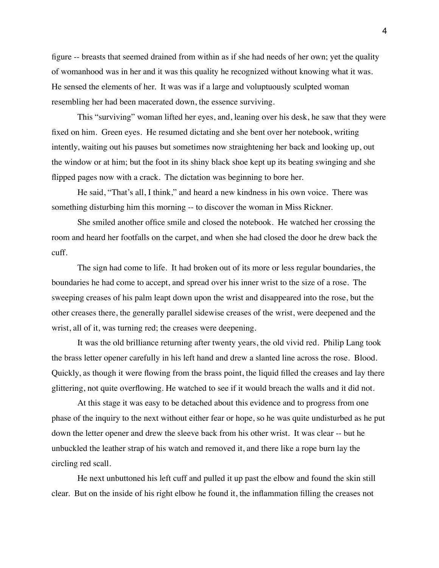figure -- breasts that seemed drained from within as if she had needs of her own; yet the quality of womanhood was in her and it was this quality he recognized without knowing what it was. He sensed the elements of her. It was was if a large and voluptuously sculpted woman resembling her had been macerated down, the essence surviving.

This "surviving" woman lifted her eyes, and, leaning over his desk, he saw that they were fixed on him. Green eyes. He resumed dictating and she bent over her notebook, writing intently, waiting out his pauses but sometimes now straightening her back and looking up, out the window or at him; but the foot in its shiny black shoe kept up its beating swinging and she flipped pages now with a crack. The dictation was beginning to bore her.

He said, "That's all, I think," and heard a new kindness in his own voice. There was something disturbing him this morning -- to discover the woman in Miss Rickner.

She smiled another office smile and closed the notebook. He watched her crossing the room and heard her footfalls on the carpet, and when she had closed the door he drew back the cuff.

The sign had come to life. It had broken out of its more or less regular boundaries, the boundaries he had come to accept, and spread over his inner wrist to the size of a rose. The sweeping creases of his palm leapt down upon the wrist and disappeared into the rose, but the other creases there, the generally parallel sidewise creases of the wrist, were deepened and the wrist, all of it, was turning red; the creases were deepening.

It was the old brilliance returning after twenty years, the old vivid red. Philip Lang took the brass letter opener carefully in his left hand and drew a slanted line across the rose. Blood. Quickly, as though it were flowing from the brass point, the liquid filled the creases and lay there glittering, not quite overflowing. He watched to see if it would breach the walls and it did not.

At this stage it was easy to be detached about this evidence and to progress from one phase of the inquiry to the next without either fear or hope, so he was quite undisturbed as he put down the letter opener and drew the sleeve back from his other wrist. It was clear -- but he unbuckled the leather strap of his watch and removed it, and there like a rope burn lay the circling red scall.

He next unbuttoned his left cuff and pulled it up past the elbow and found the skin still clear. But on the inside of his right elbow he found it, the inflammation filling the creases not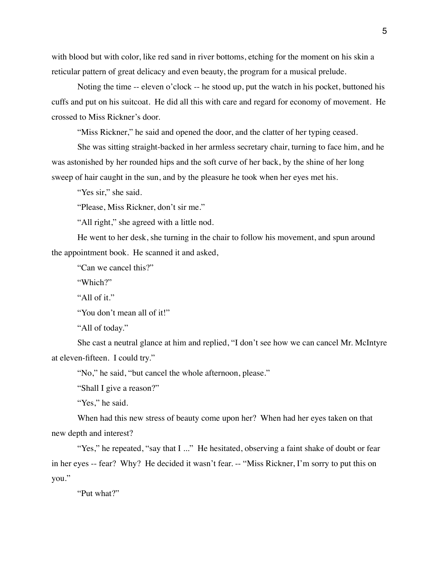with blood but with color, like red sand in river bottoms, etching for the moment on his skin a reticular pattern of great delicacy and even beauty, the program for a musical prelude.

Noting the time -- eleven o'clock -- he stood up, put the watch in his pocket, buttoned his cuffs and put on his suitcoat. He did all this with care and regard for economy of movement. He crossed to Miss Rickner's door.

"Miss Rickner," he said and opened the door, and the clatter of her typing ceased.

She was sitting straight-backed in her armless secretary chair, turning to face him, and he was astonished by her rounded hips and the soft curve of her back, by the shine of her long sweep of hair caught in the sun, and by the pleasure he took when her eyes met his.

"Yes sir," she said.

"Please, Miss Rickner, don't sir me."

"All right," she agreed with a little nod.

He went to her desk, she turning in the chair to follow his movement, and spun around the appointment book. He scanned it and asked,

"Can we cancel this?"

"Which?"

"All of it."

"You don't mean all of it!"

"All of today."

She cast a neutral glance at him and replied, "I don't see how we can cancel Mr. McIntyre at eleven-fifteen. I could try."

"No," he said, "but cancel the whole afternoon, please."

"Shall I give a reason?"

"Yes," he said.

When had this new stress of beauty come upon her? When had her eyes taken on that new depth and interest?

"Yes," he repeated, "say that I ..." He hesitated, observing a faint shake of doubt or fear in her eyes -- fear? Why? He decided it wasn't fear. -- "Miss Rickner, I'm sorry to put this on you."

"Put what?"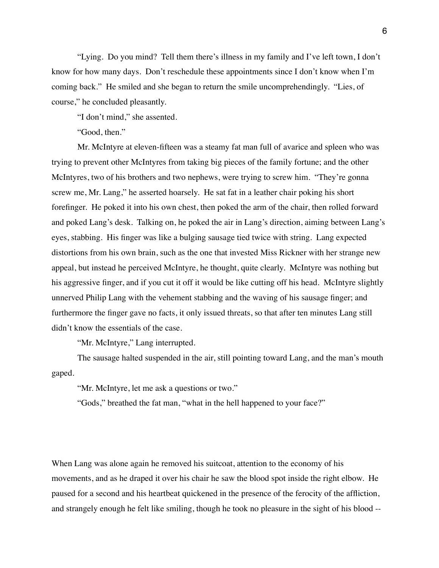"Lying. Do you mind? Tell them there's illness in my family and I've left town, I don't know for how many days. Don't reschedule these appointments since I don't know when I'm coming back." He smiled and she began to return the smile uncomprehendingly. "Lies, of course," he concluded pleasantly.

"I don't mind," she assented.

"Good, then."

Mr. McIntyre at eleven-fifteen was a steamy fat man full of avarice and spleen who was trying to prevent other McIntyres from taking big pieces of the family fortune; and the other McIntyres, two of his brothers and two nephews, were trying to screw him. "They're gonna screw me, Mr. Lang," he asserted hoarsely. He sat fat in a leather chair poking his short forefinger. He poked it into his own chest, then poked the arm of the chair, then rolled forward and poked Lang's desk. Talking on, he poked the air in Lang's direction, aiming between Lang's eyes, stabbing. His finger was like a bulging sausage tied twice with string. Lang expected distortions from his own brain, such as the one that invested Miss Rickner with her strange new appeal, but instead he perceived McIntyre, he thought, quite clearly. McIntyre was nothing but his aggressive finger, and if you cut it off it would be like cutting off his head. McIntyre slightly unnerved Philip Lang with the vehement stabbing and the waving of his sausage finger; and furthermore the finger gave no facts, it only issued threats, so that after ten minutes Lang still didn't know the essentials of the case.

"Mr. McIntyre," Lang interrupted.

The sausage halted suspended in the air, still pointing toward Lang, and the man's mouth gaped.

"Mr. McIntyre, let me ask a questions or two."

"Gods," breathed the fat man, "what in the hell happened to your face?"

When Lang was alone again he removed his suitcoat, attention to the economy of his movements, and as he draped it over his chair he saw the blood spot inside the right elbow. He paused for a second and his heartbeat quickened in the presence of the ferocity of the affliction, and strangely enough he felt like smiling, though he took no pleasure in the sight of his blood --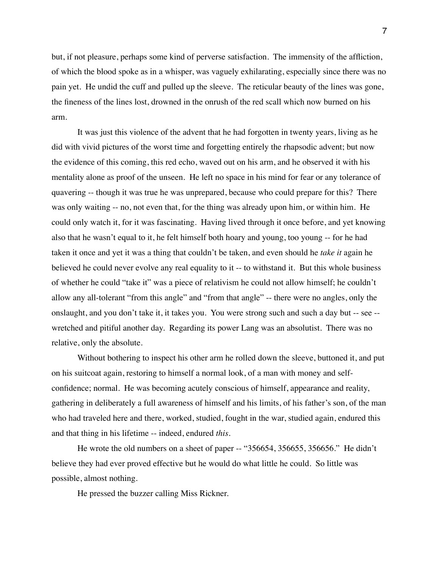but, if not pleasure, perhaps some kind of perverse satisfaction. The immensity of the affliction, of which the blood spoke as in a whisper, was vaguely exhilarating, especially since there was no pain yet. He undid the cuff and pulled up the sleeve. The reticular beauty of the lines was gone, the fineness of the lines lost, drowned in the onrush of the red scall which now burned on his arm.

It was just this violence of the advent that he had forgotten in twenty years, living as he did with vivid pictures of the worst time and forgetting entirely the rhapsodic advent; but now the evidence of this coming, this red echo, waved out on his arm, and he observed it with his mentality alone as proof of the unseen. He left no space in his mind for fear or any tolerance of quavering -- though it was true he was unprepared, because who could prepare for this? There was only waiting -- no, not even that, for the thing was already upon him, or within him. He could only watch it, for it was fascinating. Having lived through it once before, and yet knowing also that he wasn't equal to it, he felt himself both hoary and young, too young -- for he had taken it once and yet it was a thing that couldn't be taken, and even should he *take it* again he believed he could never evolve any real equality to it -- to withstand it. But this whole business of whether he could "take it" was a piece of relativism he could not allow himself; he couldn't allow any all-tolerant "from this angle" and "from that angle" -- there were no angles, only the onslaught, and you don't take it, it takes you. You were strong such and such a day but -- see - wretched and pitiful another day. Regarding its power Lang was an absolutist. There was no relative, only the absolute.

Without bothering to inspect his other arm he rolled down the sleeve, buttoned it, and put on his suitcoat again, restoring to himself a normal look, of a man with money and selfconfidence; normal. He was becoming acutely conscious of himself, appearance and reality, gathering in deliberately a full awareness of himself and his limits, of his father's son, of the man who had traveled here and there, worked, studied, fought in the war, studied again, endured this and that thing in his lifetime -- indeed, endured *this.*

He wrote the old numbers on a sheet of paper -- "356654, 356655, 356656." He didn't believe they had ever proved effective but he would do what little he could. So little was possible, almost nothing.

He pressed the buzzer calling Miss Rickner.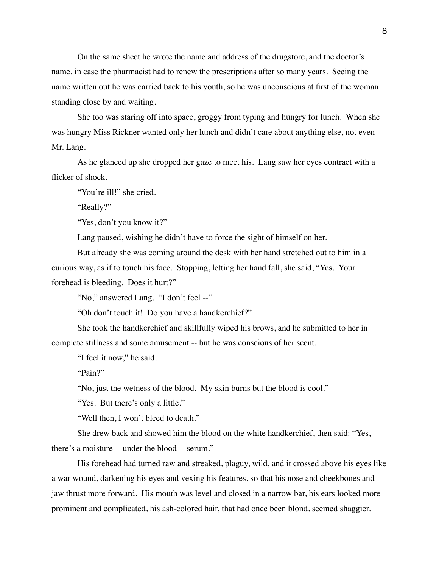On the same sheet he wrote the name and address of the drugstore, and the doctor's name. in case the pharmacist had to renew the prescriptions after so many years. Seeing the name written out he was carried back to his youth, so he was unconscious at first of the woman standing close by and waiting.

She too was staring off into space, groggy from typing and hungry for lunch. When she was hungry Miss Rickner wanted only her lunch and didn't care about anything else, not even Mr. Lang.

As he glanced up she dropped her gaze to meet his. Lang saw her eyes contract with a flicker of shock.

"You're ill!" she cried.

"Really?"

"Yes, don't you know it?"

Lang paused, wishing he didn't have to force the sight of himself on her.

But already she was coming around the desk with her hand stretched out to him in a curious way, as if to touch his face. Stopping, letting her hand fall, she said, "Yes. Your forehead is bleeding. Does it hurt?"

"No," answered Lang. "I don't feel --"

"Oh don't touch it! Do you have a handkerchief?"

She took the handkerchief and skillfully wiped his brows, and he submitted to her in complete stillness and some amusement -- but he was conscious of her scent.

"I feel it now," he said.

"Pain?"

"No, just the wetness of the blood. My skin burns but the blood is cool."

"Yes. But there's only a little."

"Well then, I won't bleed to death."

She drew back and showed him the blood on the white handkerchief, then said: "Yes, there's a moisture -- under the blood -- serum."

His forehead had turned raw and streaked, plaguy, wild, and it crossed above his eyes like a war wound, darkening his eyes and vexing his features, so that his nose and cheekbones and jaw thrust more forward. His mouth was level and closed in a narrow bar, his ears looked more prominent and complicated, his ash-colored hair, that had once been blond, seemed shaggier.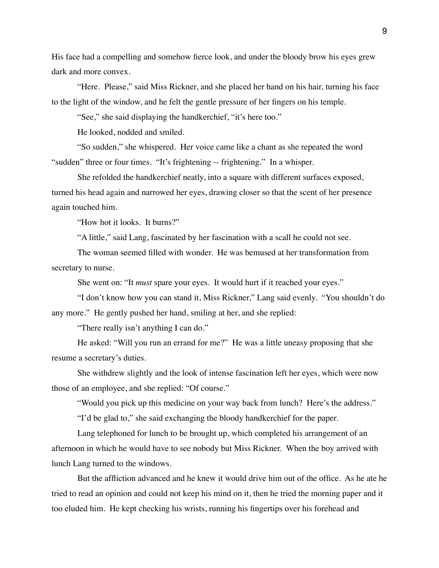His face had a compelling and somehow fierce look, and under the bloody brow his eyes grew dark and more convex.

"Here. Please," said Miss Rickner, and she placed her hand on his hair, turning his face to the light of the window, and he felt the gentle pressure of her fingers on his temple.

"See," she said displaying the handkerchief, "it's here too."

He looked, nodded and smiled.

"So sudden," she whispered. Her voice came like a chant as she repeated the word "sudden" three or four times. "It's frightening -- frightening." In a whisper.

She refolded the handkerchief neatly, into a square with different surfaces exposed, turned his head again and narrowed her eyes, drawing closer so that the scent of her presence again touched him.

"How hot it looks. It burns?"

"A little," said Lang, fascinated by her fascination with a scall he could not see.

The woman seemed filled with wonder. He was bemused at her transformation from secretary to nurse.

She went on: "It *must* spare your eyes. It would hurt if it reached your eyes."

"I don't know how you can stand it, Miss Rickner," Lang said evenly. "You shouldn't do any more." He gently pushed her hand, smiling at her, and she replied:

"There really isn't anything I can do."

He asked: "Will you run an errand for me?" He was a little uneasy proposing that she resume a secretary's duties.

She withdrew slightly and the look of intense fascination left her eyes, which were now those of an employee, and she replied: "Of course."

"Would you pick up this medicine on your way back from lunch? Here's the address."

"I'd be glad to," she said exchanging the bloody handkerchief for the paper.

Lang telephoned for lunch to be brought up, which completed his arrangement of an afternoon in which he would have to see nobody but Miss Rickner. When the boy arrived with lunch Lang turned to the windows.

But the affliction advanced and he knew it would drive him out of the office. As he ate he tried to read an opinion and could not keep his mind on it, then he tried the morning paper and it too eluded him. He kept checking his wrists, running his fingertips over his forehead and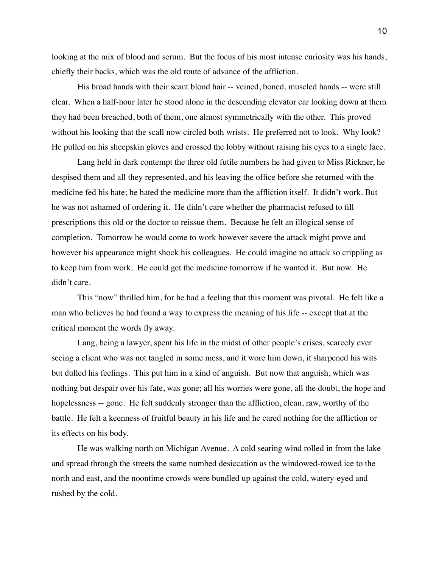looking at the mix of blood and serum. But the focus of his most intense curiosity was his hands, chiefly their backs, which was the old route of advance of the affliction.

His broad hands with their scant blond hair -- veined, boned, muscled hands -- were still clear. When a half-hour later he stood alone in the descending elevator car looking down at them they had been breached, both of them, one almost symmetrically with the other. This proved without his looking that the scall now circled both wrists. He preferred not to look. Why look? He pulled on his sheepskin gloves and crossed the lobby without raising his eyes to a single face.

Lang held in dark contempt the three old futile numbers he had given to Miss Rickner, he despised them and all they represented, and his leaving the office before she returned with the medicine fed his hate; he hated the medicine more than the affliction itself. It didn't work. But he was not ashamed of ordering it. He didn't care whether the pharmacist refused to fill prescriptions this old or the doctor to reissue them. Because he felt an illogical sense of completion. Tomorrow he would come to work however severe the attack might prove and however his appearance might shock his colleagues. He could imagine no attack so crippling as to keep him from work. He could get the medicine tomorrow if he wanted it. But now. He didn't care.

This "now" thrilled him, for he had a feeling that this moment was pivotal. He felt like a man who believes he had found a way to express the meaning of his life -- except that at the critical moment the words fly away.

Lang, being a lawyer, spent his life in the midst of other people's crises, scarcely ever seeing a client who was not tangled in some mess, and it wore him down, it sharpened his wits but dulled his feelings. This put him in a kind of anguish. But now that anguish, which was nothing but despair over his fate, was gone; all his worries were gone, all the doubt, the hope and hopelessness -- gone. He felt suddenly stronger than the affliction, clean, raw, worthy of the battle. He felt a keenness of fruitful beauty in his life and he cared nothing for the affliction or its effects on his body.

He was walking north on Michigan Avenue. A cold searing wind rolled in from the lake and spread through the streets the same numbed desiccation as the windowed-rowed ice to the north and east, and the noontime crowds were bundled up against the cold, watery-eyed and rushed by the cold.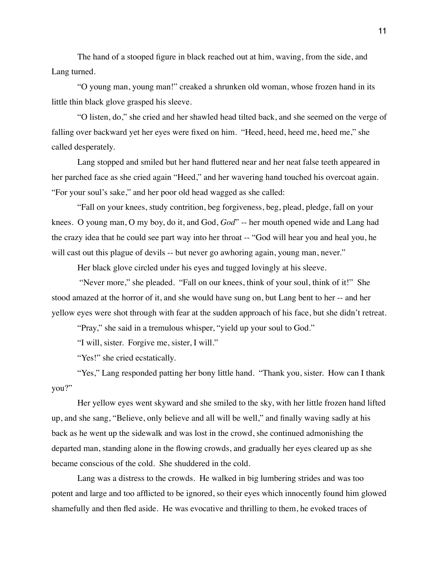The hand of a stooped figure in black reached out at him, waving, from the side, and Lang turned.

"O young man, young man!" creaked a shrunken old woman, whose frozen hand in its little thin black glove grasped his sleeve.

"O listen, do," she cried and her shawled head tilted back, and she seemed on the verge of falling over backward yet her eyes were fixed on him. "Heed, heed, heed me, heed me," she called desperately.

Lang stopped and smiled but her hand fluttered near and her neat false teeth appeared in her parched face as she cried again "Heed," and her wavering hand touched his overcoat again. "For your soul's sake," and her poor old head wagged as she called:

"Fall on your knees, study contrition, beg forgiveness, beg, plead, pledge, fall on your knees. O young man, O my boy, do it, and God, *God*" -- her mouth opened wide and Lang had the crazy idea that he could see part way into her throat -- "God will hear you and heal you, he will cast out this plague of devils -- but never go awhoring again, young man, never."

Her black glove circled under his eyes and tugged lovingly at his sleeve.

 "Never more," she pleaded. "Fall on our knees, think of your soul, think of it!" She stood amazed at the horror of it, and she would have sung on, but Lang bent to her -- and her yellow eyes were shot through with fear at the sudden approach of his face, but she didn't retreat.

"Pray," she said in a tremulous whisper, "yield up your soul to God."

"I will, sister. Forgive me, sister, I will."

"Yes!" she cried ecstatically.

"Yes," Lang responded patting her bony little hand. "Thank you, sister. How can I thank you?"

Her yellow eyes went skyward and she smiled to the sky, with her little frozen hand lifted up, and she sang, "Believe, only believe and all will be well," and finally waving sadly at his back as he went up the sidewalk and was lost in the crowd, she continued admonishing the departed man, standing alone in the flowing crowds, and gradually her eyes cleared up as she became conscious of the cold. She shuddered in the cold.

Lang was a distress to the crowds. He walked in big lumbering strides and was too potent and large and too afflicted to be ignored, so their eyes which innocently found him glowed shamefully and then fled aside. He was evocative and thrilling to them, he evoked traces of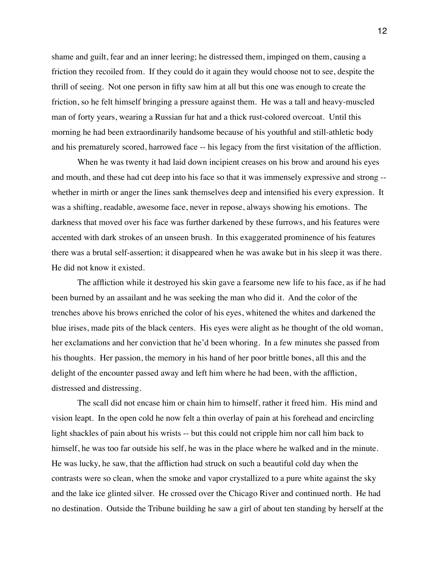shame and guilt, fear and an inner leering; he distressed them, impinged on them, causing a friction they recoiled from. If they could do it again they would choose not to see, despite the thrill of seeing. Not one person in fifty saw him at all but this one was enough to create the friction, so he felt himself bringing a pressure against them. He was a tall and heavy-muscled man of forty years, wearing a Russian fur hat and a thick rust-colored overcoat. Until this morning he had been extraordinarily handsome because of his youthful and still-athletic body and his prematurely scored, harrowed face -- his legacy from the first visitation of the affliction.

When he was twenty it had laid down incipient creases on his brow and around his eyes and mouth, and these had cut deep into his face so that it was immensely expressive and strong - whether in mirth or anger the lines sank themselves deep and intensified his every expression. It was a shifting, readable, awesome face, never in repose, always showing his emotions. The darkness that moved over his face was further darkened by these furrows, and his features were accented with dark strokes of an unseen brush. In this exaggerated prominence of his features there was a brutal self-assertion; it disappeared when he was awake but in his sleep it was there. He did not know it existed.

The affliction while it destroyed his skin gave a fearsome new life to his face, as if he had been burned by an assailant and he was seeking the man who did it. And the color of the trenches above his brows enriched the color of his eyes, whitened the whites and darkened the blue irises, made pits of the black centers. His eyes were alight as he thought of the old woman, her exclamations and her conviction that he'd been whoring. In a few minutes she passed from his thoughts. Her passion, the memory in his hand of her poor brittle bones, all this and the delight of the encounter passed away and left him where he had been, with the affliction, distressed and distressing.

The scall did not encase him or chain him to himself, rather it freed him. His mind and vision leapt. In the open cold he now felt a thin overlay of pain at his forehead and encircling light shackles of pain about his wrists -- but this could not cripple him nor call him back to himself, he was too far outside his self, he was in the place where he walked and in the minute. He was lucky, he saw, that the affliction had struck on such a beautiful cold day when the contrasts were so clean, when the smoke and vapor crystallized to a pure white against the sky and the lake ice glinted silver. He crossed over the Chicago River and continued north. He had no destination. Outside the Tribune building he saw a girl of about ten standing by herself at the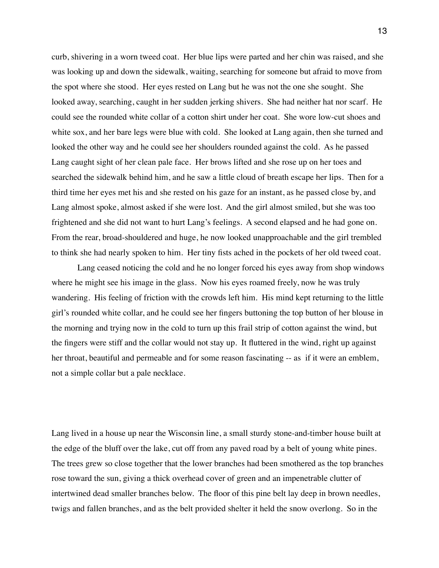curb, shivering in a worn tweed coat. Her blue lips were parted and her chin was raised, and she was looking up and down the sidewalk, waiting, searching for someone but afraid to move from the spot where she stood. Her eyes rested on Lang but he was not the one she sought. She looked away, searching, caught in her sudden jerking shivers. She had neither hat nor scarf. He could see the rounded white collar of a cotton shirt under her coat. She wore low-cut shoes and white sox, and her bare legs were blue with cold. She looked at Lang again, then she turned and looked the other way and he could see her shoulders rounded against the cold. As he passed Lang caught sight of her clean pale face. Her brows lifted and she rose up on her toes and searched the sidewalk behind him, and he saw a little cloud of breath escape her lips. Then for a third time her eyes met his and she rested on his gaze for an instant, as he passed close by, and Lang almost spoke, almost asked if she were lost. And the girl almost smiled, but she was too frightened and she did not want to hurt Lang's feelings. A second elapsed and he had gone on. From the rear, broad-shouldered and huge, he now looked unapproachable and the girl trembled to think she had nearly spoken to him. Her tiny fists ached in the pockets of her old tweed coat.

Lang ceased noticing the cold and he no longer forced his eyes away from shop windows where he might see his image in the glass. Now his eyes roamed freely, now he was truly wandering. His feeling of friction with the crowds left him. His mind kept returning to the little girl's rounded white collar, and he could see her fingers buttoning the top button of her blouse in the morning and trying now in the cold to turn up this frail strip of cotton against the wind, but the fingers were stiff and the collar would not stay up. It fluttered in the wind, right up against her throat, beautiful and permeable and for some reason fascinating -- as if it were an emblem, not a simple collar but a pale necklace.

Lang lived in a house up near the Wisconsin line, a small sturdy stone-and-timber house built at the edge of the bluff over the lake, cut off from any paved road by a belt of young white pines. The trees grew so close together that the lower branches had been smothered as the top branches rose toward the sun, giving a thick overhead cover of green and an impenetrable clutter of intertwined dead smaller branches below. The floor of this pine belt lay deep in brown needles, twigs and fallen branches, and as the belt provided shelter it held the snow overlong. So in the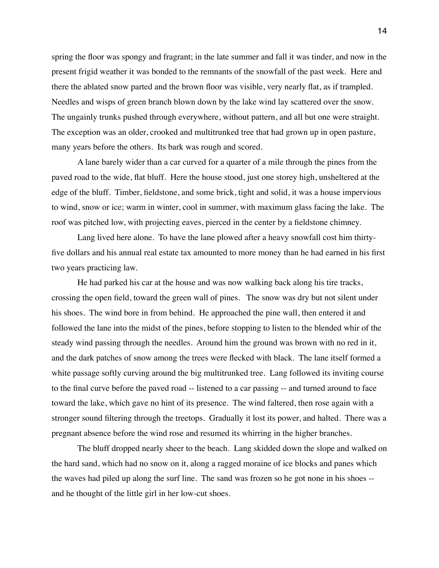spring the floor was spongy and fragrant; in the late summer and fall it was tinder, and now in the present frigid weather it was bonded to the remnants of the snowfall of the past week. Here and there the ablated snow parted and the brown floor was visible, very nearly flat, as if trampled. Needles and wisps of green branch blown down by the lake wind lay scattered over the snow. The ungainly trunks pushed through everywhere, without pattern, and all but one were straight. The exception was an older, crooked and multitrunked tree that had grown up in open pasture, many years before the others. Its bark was rough and scored.

A lane barely wider than a car curved for a quarter of a mile through the pines from the paved road to the wide, flat bluff. Here the house stood, just one storey high, unsheltered at the edge of the bluff. Timber, fieldstone, and some brick, tight and solid, it was a house impervious to wind, snow or ice; warm in winter, cool in summer, with maximum glass facing the lake. The roof was pitched low, with projecting eaves, pierced in the center by a fieldstone chimney.

Lang lived here alone. To have the lane plowed after a heavy snowfall cost him thirtyfive dollars and his annual real estate tax amounted to more money than he had earned in his first two years practicing law.

He had parked his car at the house and was now walking back along his tire tracks, crossing the open field, toward the green wall of pines. The snow was dry but not silent under his shoes. The wind bore in from behind. He approached the pine wall, then entered it and followed the lane into the midst of the pines, before stopping to listen to the blended whir of the steady wind passing through the needles. Around him the ground was brown with no red in it, and the dark patches of snow among the trees were flecked with black. The lane itself formed a white passage softly curving around the big multitrunked tree. Lang followed its inviting course to the final curve before the paved road -- listened to a car passing -- and turned around to face toward the lake, which gave no hint of its presence. The wind faltered, then rose again with a stronger sound filtering through the treetops. Gradually it lost its power, and halted. There was a pregnant absence before the wind rose and resumed its whirring in the higher branches.

The bluff dropped nearly sheer to the beach. Lang skidded down the slope and walked on the hard sand, which had no snow on it, along a ragged moraine of ice blocks and panes which the waves had piled up along the surf line. The sand was frozen so he got none in his shoes - and he thought of the little girl in her low-cut shoes.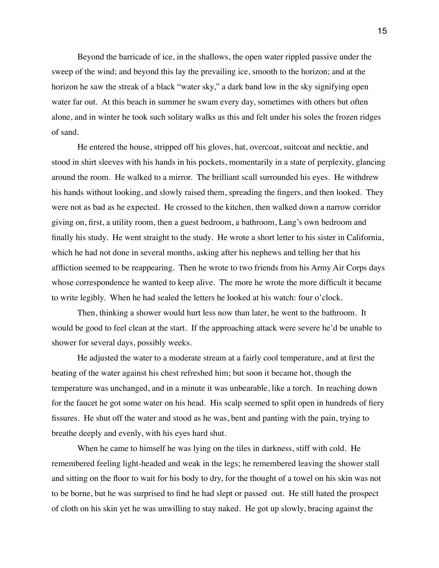Beyond the barricade of ice, in the shallows, the open water rippled passive under the sweep of the wind; and beyond this lay the prevailing ice, smooth to the horizon; and at the horizon he saw the streak of a black "water sky," a dark band low in the sky signifying open water far out. At this beach in summer he swam every day, sometimes with others but often alone, and in winter he took such solitary walks as this and felt under his soles the frozen ridges of sand.

He entered the house, stripped off his gloves, hat, overcoat, suitcoat and necktie, and stood in shirt sleeves with his hands in his pockets, momentarily in a state of perplexity, glancing around the room. He walked to a mirror. The brilliant scall surrounded his eyes. He withdrew his hands without looking, and slowly raised them, spreading the fingers, and then looked. They were not as bad as he expected. He crossed to the kitchen, then walked down a narrow corridor giving on, first, a utility room, then a guest bedroom, a bathroom, Lang's own bedroom and finally his study. He went straight to the study. He wrote a short letter to his sister in California, which he had not done in several months, asking after his nephews and telling her that his affliction seemed to be reappearing. Then he wrote to two friends from his Army Air Corps days whose correspondence he wanted to keep alive. The more he wrote the more difficult it became to write legibly. When he had sealed the letters he looked at his watch: four o'clock.

Then, thinking a shower would hurt less now than later, he went to the bathroom. It would be good to feel clean at the start. If the approaching attack were severe he'd be unable to shower for several days, possibly weeks.

He adjusted the water to a moderate stream at a fairly cool temperature, and at first the beating of the water against his chest refreshed him; but soon it became hot, though the temperature was unchanged, and in a minute it was unbearable, like a torch. In reaching down for the faucet he got some water on his head. His scalp seemed to split open in hundreds of fiery fissures. He shut off the water and stood as he was, bent and panting with the pain, trying to breathe deeply and evenly, with his eyes hard shut.

When he came to himself he was lying on the tiles in darkness, stiff with cold. He remembered feeling light-headed and weak in the legs; he remembered leaving the shower stall and sitting on the floor to wait for his body to dry, for the thought of a towel on his skin was not to be borne, but he was surprised to find he had slept or passed out. He still hated the prospect of cloth on his skin yet he was unwilling to stay naked. He got up slowly, bracing against the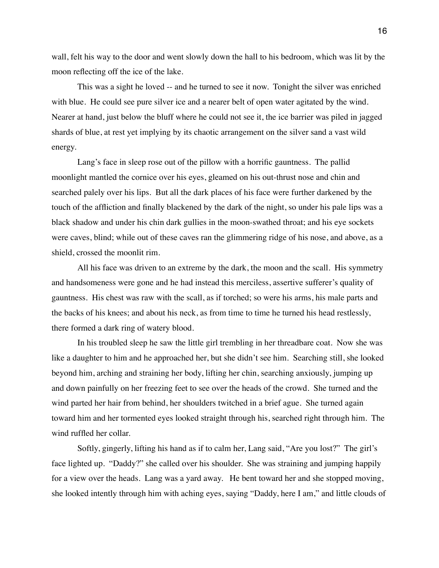wall, felt his way to the door and went slowly down the hall to his bedroom, which was lit by the moon reflecting off the ice of the lake.

This was a sight he loved -- and he turned to see it now. Tonight the silver was enriched with blue. He could see pure silver ice and a nearer belt of open water agitated by the wind. Nearer at hand, just below the bluff where he could not see it, the ice barrier was piled in jagged shards of blue, at rest yet implying by its chaotic arrangement on the silver sand a vast wild energy.

Lang's face in sleep rose out of the pillow with a horrific gauntness. The pallid moonlight mantled the cornice over his eyes, gleamed on his out-thrust nose and chin and searched palely over his lips. But all the dark places of his face were further darkened by the touch of the affliction and finally blackened by the dark of the night, so under his pale lips was a black shadow and under his chin dark gullies in the moon-swathed throat; and his eye sockets were caves, blind; while out of these caves ran the glimmering ridge of his nose, and above, as a shield, crossed the moonlit rim.

All his face was driven to an extreme by the dark, the moon and the scall. His symmetry and handsomeness were gone and he had instead this merciless, assertive sufferer's quality of gauntness. His chest was raw with the scall, as if torched; so were his arms, his male parts and the backs of his knees; and about his neck, as from time to time he turned his head restlessly, there formed a dark ring of watery blood.

In his troubled sleep he saw the little girl trembling in her threadbare coat. Now she was like a daughter to him and he approached her, but she didn't see him. Searching still, she looked beyond him, arching and straining her body, lifting her chin, searching anxiously, jumping up and down painfully on her freezing feet to see over the heads of the crowd. She turned and the wind parted her hair from behind, her shoulders twitched in a brief ague. She turned again toward him and her tormented eyes looked straight through his, searched right through him. The wind ruffled her collar.

Softly, gingerly, lifting his hand as if to calm her, Lang said, "Are you lost?" The girl's face lighted up. "Daddy?" she called over his shoulder. She was straining and jumping happily for a view over the heads. Lang was a yard away. He bent toward her and she stopped moving, she looked intently through him with aching eyes, saying "Daddy, here I am," and little clouds of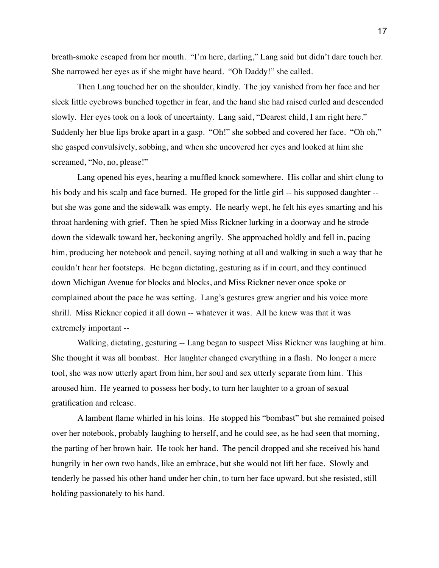breath-smoke escaped from her mouth. "I'm here, darling," Lang said but didn't dare touch her. She narrowed her eyes as if she might have heard. "Oh Daddy!" she called.

Then Lang touched her on the shoulder, kindly. The joy vanished from her face and her sleek little eyebrows bunched together in fear, and the hand she had raised curled and descended slowly. Her eyes took on a look of uncertainty. Lang said, "Dearest child, I am right here." Suddenly her blue lips broke apart in a gasp. "Oh!" she sobbed and covered her face. "Oh oh," she gasped convulsively, sobbing, and when she uncovered her eyes and looked at him she screamed, "No, no, please!"

Lang opened his eyes, hearing a muffled knock somewhere. His collar and shirt clung to his body and his scalp and face burned. He groped for the little girl -- his supposed daughter -but she was gone and the sidewalk was empty. He nearly wept, he felt his eyes smarting and his throat hardening with grief. Then he spied Miss Rickner lurking in a doorway and he strode down the sidewalk toward her, beckoning angrily. She approached boldly and fell in, pacing him, producing her notebook and pencil, saying nothing at all and walking in such a way that he couldn't hear her footsteps. He began dictating, gesturing as if in court, and they continued down Michigan Avenue for blocks and blocks, and Miss Rickner never once spoke or complained about the pace he was setting. Lang's gestures grew angrier and his voice more shrill. Miss Rickner copied it all down -- whatever it was. All he knew was that it was extremely important --

Walking, dictating, gesturing -- Lang began to suspect Miss Rickner was laughing at him. She thought it was all bombast. Her laughter changed everything in a flash. No longer a mere tool, she was now utterly apart from him, her soul and sex utterly separate from him. This aroused him. He yearned to possess her body, to turn her laughter to a groan of sexual gratification and release.

A lambent flame whirled in his loins. He stopped his "bombast" but she remained poised over her notebook, probably laughing to herself, and he could see, as he had seen that morning, the parting of her brown hair. He took her hand. The pencil dropped and she received his hand hungrily in her own two hands, like an embrace, but she would not lift her face. Slowly and tenderly he passed his other hand under her chin, to turn her face upward, but she resisted, still holding passionately to his hand.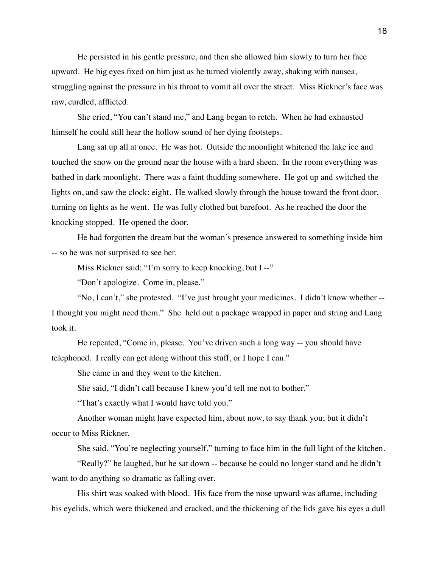He persisted in his gentle pressure, and then she allowed him slowly to turn her face upward. He big eyes fixed on him just as he turned violently away, shaking with nausea, struggling against the pressure in his throat to vomit all over the street. Miss Rickner's face was raw, curdled, afflicted.

She cried, "You can't stand me," and Lang began to retch. When he had exhausted himself he could still hear the hollow sound of her dying footsteps.

Lang sat up all at once. He was hot. Outside the moonlight whitened the lake ice and touched the snow on the ground near the house with a hard sheen. In the room everything was bathed in dark moonlight. There was a faint thudding somewhere. He got up and switched the lights on, and saw the clock: eight. He walked slowly through the house toward the front door, turning on lights as he went. He was fully clothed but barefoot. As he reached the door the knocking stopped. He opened the door.

He had forgotten the dream but the woman's presence answered to something inside him -- so he was not surprised to see her.

Miss Rickner said: "I'm sorry to keep knocking, but I --"

"Don't apologize. Come in, please."

"No, I can't," she protested. "I've just brought your medicines. I didn't know whether -- I thought you might need them." She held out a package wrapped in paper and string and Lang took it.

He repeated, "Come in, please. You've driven such a long way -- you should have telephoned. I really can get along without this stuff, or I hope I can."

She came in and they went to the kitchen.

She said, "I didn't call because I knew you'd tell me not to bother."

"That's exactly what I would have told you."

Another woman might have expected him, about now, to say thank you; but it didn't occur to Miss Rickner.

She said, "You're neglecting yourself," turning to face him in the full light of the kitchen.

"Really?" he laughed, but he sat down -- because he could no longer stand and he didn't want to do anything so dramatic as falling over.

His shirt was soaked with blood. His face from the nose upward was aflame, including his eyelids, which were thickened and cracked, and the thickening of the lids gave his eyes a dull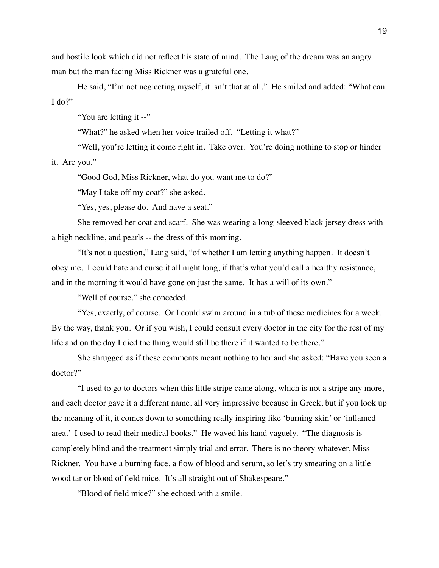and hostile look which did not reflect his state of mind. The Lang of the dream was an angry man but the man facing Miss Rickner was a grateful one.

He said, "I'm not neglecting myself, it isn't that at all." He smiled and added: "What can I do?"

"You are letting it --"

"What?" he asked when her voice trailed off. "Letting it what?"

"Well, you're letting it come right in. Take over. You're doing nothing to stop or hinder it. Are you."

"Good God, Miss Rickner, what do you want me to do?"

"May I take off my coat?" she asked.

"Yes, yes, please do. And have a seat."

She removed her coat and scarf. She was wearing a long-sleeved black jersey dress with a high neckline, and pearls -- the dress of this morning.

"It's not a question," Lang said, "of whether I am letting anything happen. It doesn't obey me. I could hate and curse it all night long, if that's what you'd call a healthy resistance, and in the morning it would have gone on just the same. It has a will of its own."

"Well of course," she conceded.

"Yes, exactly, of course. Or I could swim around in a tub of these medicines for a week. By the way, thank you. Or if you wish, I could consult every doctor in the city for the rest of my life and on the day I died the thing would still be there if it wanted to be there."

She shrugged as if these comments meant nothing to her and she asked: "Have you seen a doctor?"

"I used to go to doctors when this little stripe came along, which is not a stripe any more, and each doctor gave it a different name, all very impressive because in Greek, but if you look up the meaning of it, it comes down to something really inspiring like 'burning skin' or 'inflamed area.' I used to read their medical books." He waved his hand vaguely. "The diagnosis is completely blind and the treatment simply trial and error. There is no theory whatever, Miss Rickner. You have a burning face, a flow of blood and serum, so let's try smearing on a little wood tar or blood of field mice. It's all straight out of Shakespeare."

"Blood of field mice?" she echoed with a smile.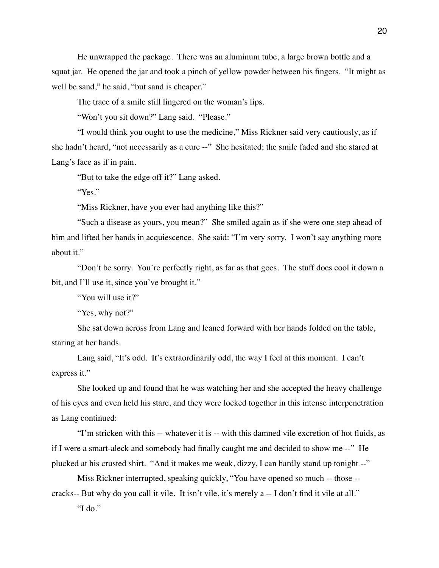He unwrapped the package. There was an aluminum tube, a large brown bottle and a squat jar. He opened the jar and took a pinch of yellow powder between his fingers. "It might as well be sand," he said, "but sand is cheaper."

The trace of a smile still lingered on the woman's lips.

"Won't you sit down?" Lang said. "Please."

"I would think you ought to use the medicine," Miss Rickner said very cautiously, as if she hadn't heard, "not necessarily as a cure --" She hesitated; the smile faded and she stared at Lang's face as if in pain.

"But to take the edge off it?" Lang asked.

"Yes."

"Miss Rickner, have you ever had anything like this?"

"Such a disease as yours, you mean?" She smiled again as if she were one step ahead of him and lifted her hands in acquiescence. She said: "I'm very sorry. I won't say anything more about it."

"Don't be sorry. You're perfectly right, as far as that goes. The stuff does cool it down a bit, and I'll use it, since you've brought it."

"You will use it?"

"Yes, why not?"

She sat down across from Lang and leaned forward with her hands folded on the table, staring at her hands.

Lang said, "It's odd. It's extraordinarily odd, the way I feel at this moment. I can't express it."

She looked up and found that he was watching her and she accepted the heavy challenge of his eyes and even held his stare, and they were locked together in this intense interpenetration as Lang continued:

"I'm stricken with this -- whatever it is -- with this damned vile excretion of hot fluids, as if I were a smart-aleck and somebody had finally caught me and decided to show me --" He plucked at his crusted shirt. "And it makes me weak, dizzy, I can hardly stand up tonight --"

Miss Rickner interrupted, speaking quickly, "You have opened so much -- those --

cracks-- But why do you call it vile. It isn't vile, it's merely a -- I don't find it vile at all."

"I do."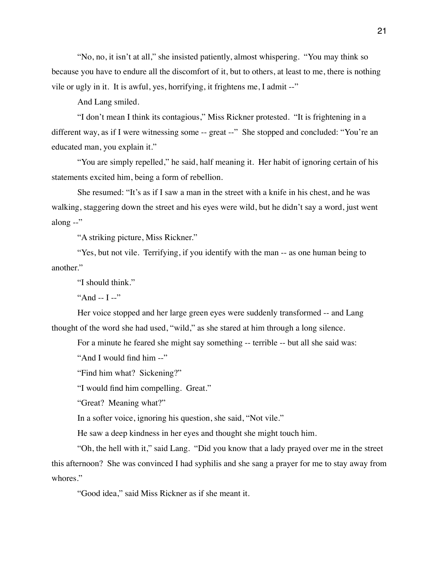"No, no, it isn't at all," she insisted patiently, almost whispering. "You may think so because you have to endure all the discomfort of it, but to others, at least to me, there is nothing vile or ugly in it. It is awful, yes, horrifying, it frightens me, I admit --"

And Lang smiled.

"I don't mean I think its contagious," Miss Rickner protested. "It is frightening in a different way, as if I were witnessing some -- great --" She stopped and concluded: "You're an educated man, you explain it."

"You are simply repelled," he said, half meaning it. Her habit of ignoring certain of his statements excited him, being a form of rebellion.

She resumed: "It's as if I saw a man in the street with a knife in his chest, and he was walking, staggering down the street and his eyes were wild, but he didn't say a word, just went along --"

"A striking picture, Miss Rickner."

"Yes, but not vile. Terrifying, if you identify with the man -- as one human being to another."

"I should think."

"And  $-I$   $-$ "

Her voice stopped and her large green eyes were suddenly transformed -- and Lang thought of the word she had used, "wild," as she stared at him through a long silence.

For a minute he feared she might say something -- terrible -- but all she said was:

"And I would find him --"

"Find him what? Sickening?"

"I would find him compelling. Great."

"Great? Meaning what?"

In a softer voice, ignoring his question, she said, "Not vile."

He saw a deep kindness in her eyes and thought she might touch him.

"Oh, the hell with it," said Lang. "Did you know that a lady prayed over me in the street this afternoon? She was convinced I had syphilis and she sang a prayer for me to stay away from whores."

"Good idea," said Miss Rickner as if she meant it.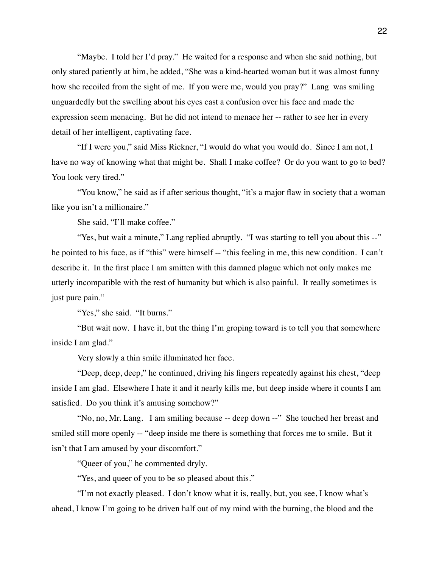"Maybe. I told her I'd pray." He waited for a response and when she said nothing, but only stared patiently at him, he added, "She was a kind-hearted woman but it was almost funny how she recoiled from the sight of me. If you were me, would you pray?" Lang was smiling unguardedly but the swelling about his eyes cast a confusion over his face and made the expression seem menacing. But he did not intend to menace her -- rather to see her in every detail of her intelligent, captivating face.

"If I were you," said Miss Rickner, "I would do what you would do. Since I am not, I have no way of knowing what that might be. Shall I make coffee? Or do you want to go to bed? You look very tired."

"You know," he said as if after serious thought, "it's a major flaw in society that a woman like you isn't a millionaire."

She said, "I'll make coffee."

"Yes, but wait a minute," Lang replied abruptly. "I was starting to tell you about this --" he pointed to his face, as if "this" were himself -- "this feeling in me, this new condition. I can't describe it. In the first place I am smitten with this damned plague which not only makes me utterly incompatible with the rest of humanity but which is also painful. It really sometimes is just pure pain."

"Yes," she said. "It burns."

"But wait now. I have it, but the thing I'm groping toward is to tell you that somewhere inside I am glad."

Very slowly a thin smile illuminated her face.

"Deep, deep, deep," he continued, driving his fingers repeatedly against his chest, "deep inside I am glad. Elsewhere I hate it and it nearly kills me, but deep inside where it counts I am satisfied. Do you think it's amusing somehow?"

"No, no, Mr. Lang. I am smiling because -- deep down --" She touched her breast and smiled still more openly -- "deep inside me there is something that forces me to smile. But it isn't that I am amused by your discomfort."

"Queer of you," he commented dryly.

"Yes, and queer of you to be so pleased about this."

"I'm not exactly pleased. I don't know what it is, really, but, you see, I know what's ahead, I know I'm going to be driven half out of my mind with the burning, the blood and the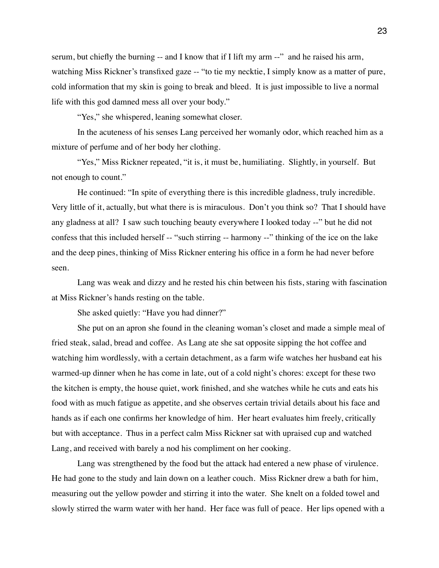serum, but chiefly the burning -- and I know that if I lift my arm --" and he raised his arm, watching Miss Rickner's transfixed gaze -- "to tie my necktie, I simply know as a matter of pure, cold information that my skin is going to break and bleed. It is just impossible to live a normal life with this god damned mess all over your body."

"Yes," she whispered, leaning somewhat closer.

In the acuteness of his senses Lang perceived her womanly odor, which reached him as a mixture of perfume and of her body her clothing.

"Yes," Miss Rickner repeated, "it is, it must be, humiliating. Slightly, in yourself. But not enough to count."

He continued: "In spite of everything there is this incredible gladness, truly incredible. Very little of it, actually, but what there is is miraculous. Don't you think so? That I should have any gladness at all? I saw such touching beauty everywhere I looked today --" but he did not confess that this included herself -- "such stirring -- harmony --" thinking of the ice on the lake and the deep pines, thinking of Miss Rickner entering his office in a form he had never before seen.

Lang was weak and dizzy and he rested his chin between his fists, staring with fascination at Miss Rickner's hands resting on the table.

She asked quietly: "Have you had dinner?"

She put on an apron she found in the cleaning woman's closet and made a simple meal of fried steak, salad, bread and coffee. As Lang ate she sat opposite sipping the hot coffee and watching him wordlessly, with a certain detachment, as a farm wife watches her husband eat his warmed-up dinner when he has come in late, out of a cold night's chores: except for these two the kitchen is empty, the house quiet, work finished, and she watches while he cuts and eats his food with as much fatigue as appetite, and she observes certain trivial details about his face and hands as if each one confirms her knowledge of him. Her heart evaluates him freely, critically but with acceptance. Thus in a perfect calm Miss Rickner sat with upraised cup and watched Lang, and received with barely a nod his compliment on her cooking.

Lang was strengthened by the food but the attack had entered a new phase of virulence. He had gone to the study and lain down on a leather couch. Miss Rickner drew a bath for him, measuring out the yellow powder and stirring it into the water. She knelt on a folded towel and slowly stirred the warm water with her hand. Her face was full of peace. Her lips opened with a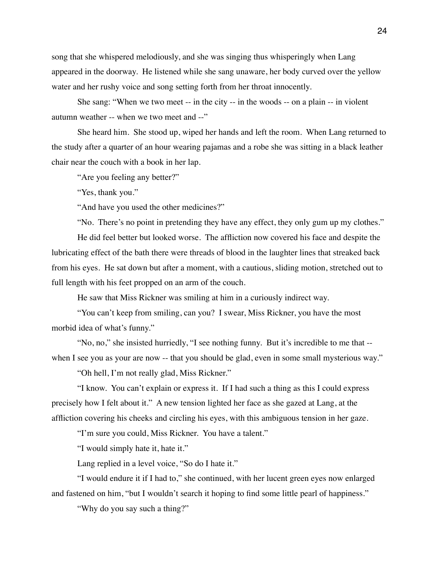song that she whispered melodiously, and she was singing thus whisperingly when Lang appeared in the doorway. He listened while she sang unaware, her body curved over the yellow water and her rushy voice and song setting forth from her throat innocently.

She sang: "When we two meet -- in the city -- in the woods -- on a plain -- in violent autumn weather -- when we two meet and --"

She heard him. She stood up, wiped her hands and left the room. When Lang returned to the study after a quarter of an hour wearing pajamas and a robe she was sitting in a black leather chair near the couch with a book in her lap.

"Are you feeling any better?"

"Yes, thank you."

"And have you used the other medicines?"

"No. There's no point in pretending they have any effect, they only gum up my clothes."

He did feel better but looked worse. The affliction now covered his face and despite the lubricating effect of the bath there were threads of blood in the laughter lines that streaked back from his eyes. He sat down but after a moment, with a cautious, sliding motion, stretched out to full length with his feet propped on an arm of the couch.

He saw that Miss Rickner was smiling at him in a curiously indirect way.

"You can't keep from smiling, can you? I swear, Miss Rickner, you have the most morbid idea of what's funny."

"No, no," she insisted hurriedly, "I see nothing funny. But it's incredible to me that - when I see you as your are now -- that you should be glad, even in some small mysterious way."

"Oh hell, I'm not really glad, Miss Rickner."

"I know. You can't explain or express it. If I had such a thing as this I could express precisely how I felt about it." A new tension lighted her face as she gazed at Lang, at the affliction covering his cheeks and circling his eyes, with this ambiguous tension in her gaze.

"I'm sure you could, Miss Rickner. You have a talent."

"I would simply hate it, hate it."

Lang replied in a level voice, "So do I hate it."

"I would endure it if I had to," she continued, with her lucent green eyes now enlarged and fastened on him, "but I wouldn't search it hoping to find some little pearl of happiness."

"Why do you say such a thing?"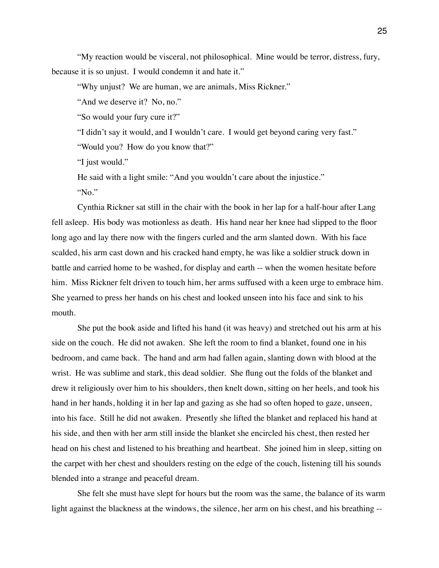"My reaction would be visceral, not philosophical. Mine would be terror, distress, fury, because it is so unjust. I would condemn it and hate it."

"Why unjust? We are human, we are animals, Miss Rickner."

"And we deserve it? No, no."

"So would your fury cure it?"

"I didn't say it would, and I wouldn't care. I would get beyond caring very fast."

"Would you? How do you know that?"

"I just would."

He said with a light smile: "And you wouldn't care about the injustice."

"No."

Cynthia Rickner sat still in the chair with the book in her lap for a half-hour after Lang fell asleep. His body was motionless as death. His hand near her knee had slipped to the floor long ago and lay there now with the fingers curled and the arm slanted down. With his face scalded, his arm cast down and his cracked hand empty, he was like a soldier struck down in battle and carried home to be washed, for display and earth -- when the women hesitate before him. Miss Rickner felt driven to touch him, her arms suffused with a keen urge to embrace him. She yearned to press her hands on his chest and looked unseen into his face and sink to his mouth.

She put the book aside and lifted his hand (it was heavy) and stretched out his arm at his side on the couch. He did not awaken. She left the room to find a blanket, found one in his bedroom, and came back. The hand and arm had fallen again, slanting down with blood at the wrist. He was sublime and stark, this dead soldier. She flung out the folds of the blanket and drew it religiously over him to his shoulders, then knelt down, sitting on her heels, and took his hand in her hands, holding it in her lap and gazing as she had so often hoped to gaze, unseen, into his face. Still he did not awaken. Presently she lifted the blanket and replaced his hand at his side, and then with her arm still inside the blanket she encircled his chest, then rested her head on his chest and listened to his breathing and heartbeat. She joined him in sleep, sitting on the carpet with her chest and shoulders resting on the edge of the couch, listening till his sounds blended into a strange and peaceful dream.

She felt she must have slept for hours but the room was the same, the balance of its warm light against the blackness at the windows, the silence, her arm on his chest, and his breathing --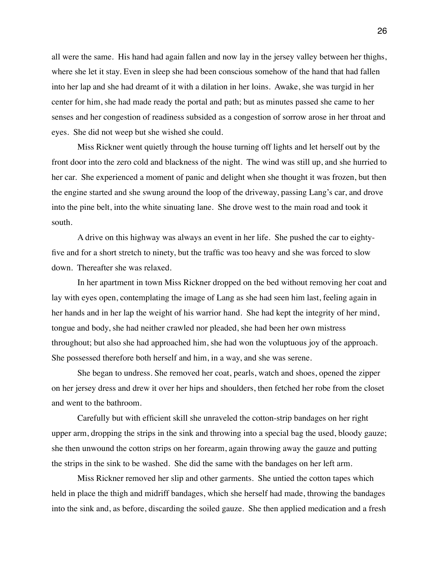all were the same. His hand had again fallen and now lay in the jersey valley between her thighs, where she let it stay. Even in sleep she had been conscious somehow of the hand that had fallen into her lap and she had dreamt of it with a dilation in her loins. Awake, she was turgid in her center for him, she had made ready the portal and path; but as minutes passed she came to her senses and her congestion of readiness subsided as a congestion of sorrow arose in her throat and eyes. She did not weep but she wished she could.

Miss Rickner went quietly through the house turning off lights and let herself out by the front door into the zero cold and blackness of the night. The wind was still up, and she hurried to her car. She experienced a moment of panic and delight when she thought it was frozen, but then the engine started and she swung around the loop of the driveway, passing Lang's car, and drove into the pine belt, into the white sinuating lane. She drove west to the main road and took it south.

A drive on this highway was always an event in her life. She pushed the car to eightyfive and for a short stretch to ninety, but the traffic was too heavy and she was forced to slow down. Thereafter she was relaxed.

In her apartment in town Miss Rickner dropped on the bed without removing her coat and lay with eyes open, contemplating the image of Lang as she had seen him last, feeling again in her hands and in her lap the weight of his warrior hand. She had kept the integrity of her mind, tongue and body, she had neither crawled nor pleaded, she had been her own mistress throughout; but also she had approached him, she had won the voluptuous joy of the approach. She possessed therefore both herself and him, in a way, and she was serene.

She began to undress. She removed her coat, pearls, watch and shoes, opened the zipper on her jersey dress and drew it over her hips and shoulders, then fetched her robe from the closet and went to the bathroom.

Carefully but with efficient skill she unraveled the cotton-strip bandages on her right upper arm, dropping the strips in the sink and throwing into a special bag the used, bloody gauze; she then unwound the cotton strips on her forearm, again throwing away the gauze and putting the strips in the sink to be washed. She did the same with the bandages on her left arm.

Miss Rickner removed her slip and other garments. She untied the cotton tapes which held in place the thigh and midriff bandages, which she herself had made, throwing the bandages into the sink and, as before, discarding the soiled gauze. She then applied medication and a fresh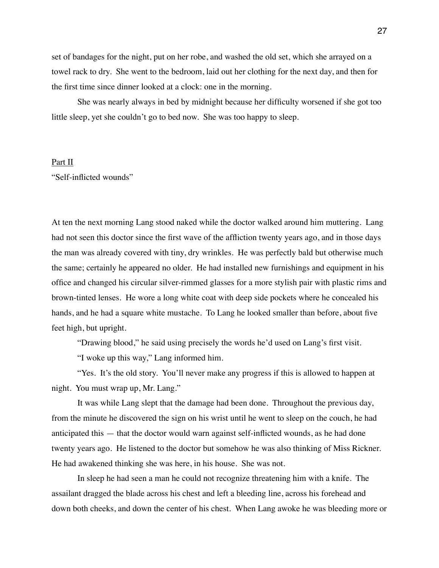set of bandages for the night, put on her robe, and washed the old set, which she arrayed on a towel rack to dry. She went to the bedroom, laid out her clothing for the next day, and then for the first time since dinner looked at a clock: one in the morning.

She was nearly always in bed by midnight because her difficulty worsened if she got too little sleep, yet she couldn't go to bed now. She was too happy to sleep.

## Part II

"Self-inflicted wounds"

At ten the next morning Lang stood naked while the doctor walked around him muttering. Lang had not seen this doctor since the first wave of the affliction twenty years ago, and in those days the man was already covered with tiny, dry wrinkles. He was perfectly bald but otherwise much the same; certainly he appeared no older. He had installed new furnishings and equipment in his office and changed his circular silver-rimmed glasses for a more stylish pair with plastic rims and brown-tinted lenses. He wore a long white coat with deep side pockets where he concealed his hands, and he had a square white mustache. To Lang he looked smaller than before, about five feet high, but upright.

"Drawing blood," he said using precisely the words he'd used on Lang's first visit.

"I woke up this way," Lang informed him.

"Yes. It's the old story. You'll never make any progress if this is allowed to happen at night. You must wrap up, Mr. Lang."

It was while Lang slept that the damage had been done. Throughout the previous day, from the minute he discovered the sign on his wrist until he went to sleep on the couch, he had anticipated this — that the doctor would warn against self-inflicted wounds, as he had done twenty years ago. He listened to the doctor but somehow he was also thinking of Miss Rickner. He had awakened thinking she was here, in his house. She was not.

In sleep he had seen a man he could not recognize threatening him with a knife. The assailant dragged the blade across his chest and left a bleeding line, across his forehead and down both cheeks, and down the center of his chest. When Lang awoke he was bleeding more or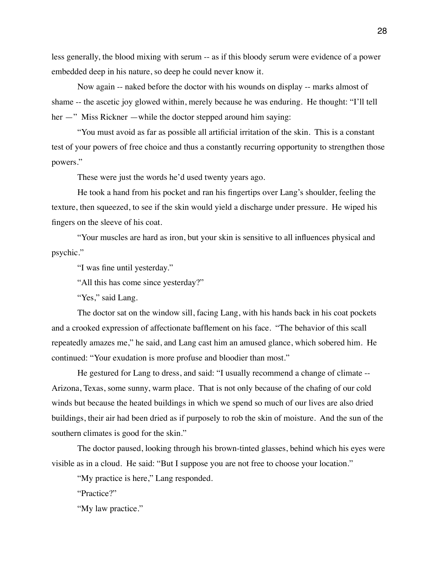less generally, the blood mixing with serum -- as if this bloody serum were evidence of a power embedded deep in his nature, so deep he could never know it.

Now again -- naked before the doctor with his wounds on display -- marks almost of shame -- the ascetic joy glowed within, merely because he was enduring. He thought: "I'll tell her —" Miss Rickner —while the doctor stepped around him saying:

"You must avoid as far as possible all artificial irritation of the skin. This is a constant test of your powers of free choice and thus a constantly recurring opportunity to strengthen those powers."

These were just the words he'd used twenty years ago.

He took a hand from his pocket and ran his fingertips over Lang's shoulder, feeling the texture, then squeezed, to see if the skin would yield a discharge under pressure. He wiped his fingers on the sleeve of his coat.

"Your muscles are hard as iron, but your skin is sensitive to all influences physical and psychic."

"I was fine until yesterday."

"All this has come since yesterday?"

"Yes," said Lang.

The doctor sat on the window sill, facing Lang, with his hands back in his coat pockets and a crooked expression of affectionate bafflement on his face. "The behavior of this scall repeatedly amazes me," he said, and Lang cast him an amused glance, which sobered him. He continued: "Your exudation is more profuse and bloodier than most."

He gestured for Lang to dress, and said: "I usually recommend a change of climate -- Arizona, Texas, some sunny, warm place. That is not only because of the chafing of our cold winds but because the heated buildings in which we spend so much of our lives are also dried buildings, their air had been dried as if purposely to rob the skin of moisture. And the sun of the southern climates is good for the skin."

The doctor paused, looking through his brown-tinted glasses, behind which his eyes were visible as in a cloud. He said: "But I suppose you are not free to choose your location."

"My practice is here," Lang responded.

"Practice?"

"My law practice."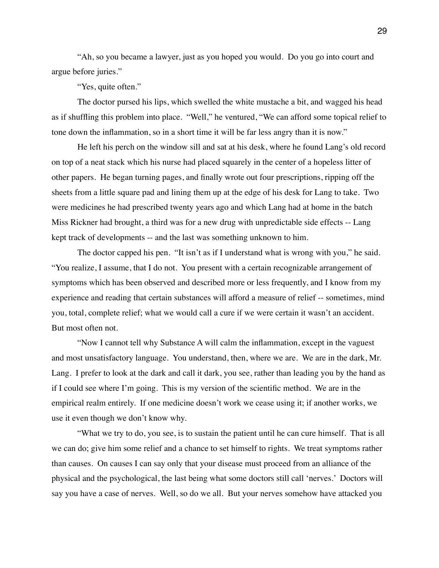"Ah, so you became a lawyer, just as you hoped you would. Do you go into court and argue before juries."

"Yes, quite often."

The doctor pursed his lips, which swelled the white mustache a bit, and wagged his head as if shuffling this problem into place. "Well," he ventured, "We can afford some topical relief to tone down the inflammation, so in a short time it will be far less angry than it is now."

He left his perch on the window sill and sat at his desk, where he found Lang's old record on top of a neat stack which his nurse had placed squarely in the center of a hopeless litter of other papers. He began turning pages, and finally wrote out four prescriptions, ripping off the sheets from a little square pad and lining them up at the edge of his desk for Lang to take. Two were medicines he had prescribed twenty years ago and which Lang had at home in the batch Miss Rickner had brought, a third was for a new drug with unpredictable side effects -- Lang kept track of developments -- and the last was something unknown to him.

The doctor capped his pen. "It isn't as if I understand what is wrong with you," he said. "You realize, I assume, that I do not. You present with a certain recognizable arrangement of symptoms which has been observed and described more or less frequently, and I know from my experience and reading that certain substances will afford a measure of relief -- sometimes, mind you, total, complete relief; what we would call a cure if we were certain it wasn't an accident. But most often not.

"Now I cannot tell why Substance A will calm the inflammation, except in the vaguest and most unsatisfactory language. You understand, then, where we are. We are in the dark, Mr. Lang. I prefer to look at the dark and call it dark, you see, rather than leading you by the hand as if I could see where I'm going. This is my version of the scientific method. We are in the empirical realm entirely. If one medicine doesn't work we cease using it; if another works, we use it even though we don't know why.

"What we try to do, you see, is to sustain the patient until he can cure himself. That is all we can do; give him some relief and a chance to set himself to rights. We treat symptoms rather than causes. On causes I can say only that your disease must proceed from an alliance of the physical and the psychological, the last being what some doctors still call 'nerves.' Doctors will say you have a case of nerves. Well, so do we all. But your nerves somehow have attacked you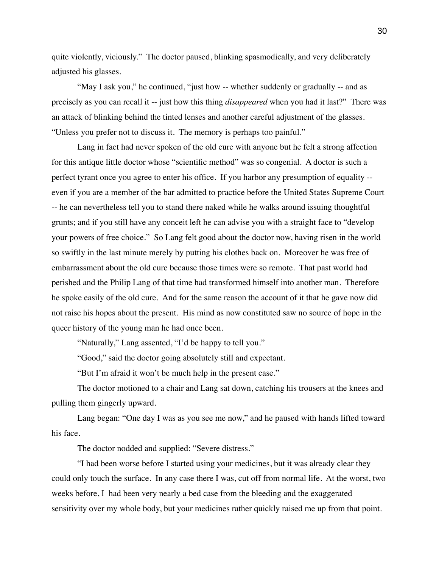quite violently, viciously." The doctor paused, blinking spasmodically, and very deliberately adjusted his glasses.

"May I ask you," he continued, "just how -- whether suddenly or gradually -- and as precisely as you can recall it -- just how this thing *disappeared* when you had it last?" There was an attack of blinking behind the tinted lenses and another careful adjustment of the glasses. "Unless you prefer not to discuss it. The memory is perhaps too painful."

Lang in fact had never spoken of the old cure with anyone but he felt a strong affection for this antique little doctor whose "scientific method" was so congenial. A doctor is such a perfect tyrant once you agree to enter his office. If you harbor any presumption of equality - even if you are a member of the bar admitted to practice before the United States Supreme Court -- he can nevertheless tell you to stand there naked while he walks around issuing thoughtful grunts; and if you still have any conceit left he can advise you with a straight face to "develop your powers of free choice." So Lang felt good about the doctor now, having risen in the world so swiftly in the last minute merely by putting his clothes back on. Moreover he was free of embarrassment about the old cure because those times were so remote. That past world had perished and the Philip Lang of that time had transformed himself into another man. Therefore he spoke easily of the old cure. And for the same reason the account of it that he gave now did not raise his hopes about the present. His mind as now constituted saw no source of hope in the queer history of the young man he had once been.

"Naturally," Lang assented, "I'd be happy to tell you."

"Good," said the doctor going absolutely still and expectant.

"But I'm afraid it won't be much help in the present case."

The doctor motioned to a chair and Lang sat down, catching his trousers at the knees and pulling them gingerly upward.

Lang began: "One day I was as you see me now," and he paused with hands lifted toward his face.

The doctor nodded and supplied: "Severe distress."

"I had been worse before I started using your medicines, but it was already clear they could only touch the surface. In any case there I was, cut off from normal life. At the worst, two weeks before, I had been very nearly a bed case from the bleeding and the exaggerated sensitivity over my whole body, but your medicines rather quickly raised me up from that point.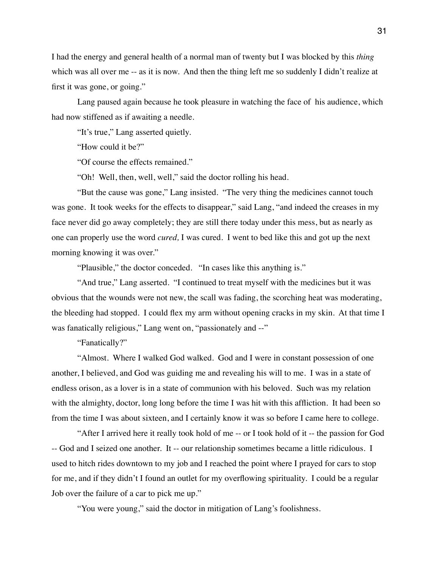I had the energy and general health of a normal man of twenty but I was blocked by this *thing*  which was all over me -- as it is now. And then the thing left me so suddenly I didn't realize at first it was gone, or going."

Lang paused again because he took pleasure in watching the face of his audience, which had now stiffened as if awaiting a needle.

"It's true," Lang asserted quietly.

"How could it be?"

"Of course the effects remained."

"Oh! Well, then, well, well," said the doctor rolling his head.

"But the cause was gone," Lang insisted. "The very thing the medicines cannot touch was gone. It took weeks for the effects to disappear," said Lang, "and indeed the creases in my face never did go away completely; they are still there today under this mess, but as nearly as one can properly use the word *cured,* I was cured. I went to bed like this and got up the next morning knowing it was over."

"Plausible," the doctor conceded. "In cases like this anything is."

"And true," Lang asserted. "I continued to treat myself with the medicines but it was obvious that the wounds were not new, the scall was fading, the scorching heat was moderating, the bleeding had stopped. I could flex my arm without opening cracks in my skin. At that time I was fanatically religious," Lang went on, "passionately and --"

"Fanatically?"

"Almost. Where I walked God walked. God and I were in constant possession of one another, I believed, and God was guiding me and revealing his will to me. I was in a state of endless orison, as a lover is in a state of communion with his beloved. Such was my relation with the almighty, doctor, long long before the time I was hit with this affliction. It had been so from the time I was about sixteen, and I certainly know it was so before I came here to college.

"After I arrived here it really took hold of me -- or I took hold of it -- the passion for God -- God and I seized one another. It -- our relationship sometimes became a little ridiculous. I used to hitch rides downtown to my job and I reached the point where I prayed for cars to stop for me, and if they didn't I found an outlet for my overflowing spirituality. I could be a regular Job over the failure of a car to pick me up."

"You were young," said the doctor in mitigation of Lang's foolishness.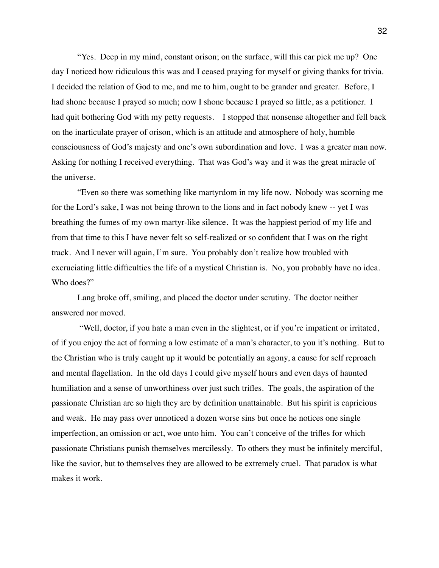"Yes. Deep in my mind, constant orison; on the surface, will this car pick me up? One day I noticed how ridiculous this was and I ceased praying for myself or giving thanks for trivia. I decided the relation of God to me, and me to him, ought to be grander and greater. Before, I had shone because I prayed so much; now I shone because I prayed so little, as a petitioner. I had quit bothering God with my petty requests. I stopped that nonsense altogether and fell back on the inarticulate prayer of orison, which is an attitude and atmosphere of holy, humble consciousness of God's majesty and one's own subordination and love. I was a greater man now. Asking for nothing I received everything. That was God's way and it was the great miracle of the universe.

"Even so there was something like martyrdom in my life now. Nobody was scorning me for the Lord's sake, I was not being thrown to the lions and in fact nobody knew -- yet I was breathing the fumes of my own martyr-like silence. It was the happiest period of my life and from that time to this I have never felt so self-realized or so confident that I was on the right track. And I never will again, I'm sure. You probably don't realize how troubled with excruciating little difficulties the life of a mystical Christian is. No, you probably have no idea. Who does?"

Lang broke off, smiling, and placed the doctor under scrutiny. The doctor neither answered nor moved.

 "Well, doctor, if you hate a man even in the slightest, or if you're impatient or irritated, of if you enjoy the act of forming a low estimate of a man's character, to you it's nothing. But to the Christian who is truly caught up it would be potentially an agony, a cause for self reproach and mental flagellation. In the old days I could give myself hours and even days of haunted humiliation and a sense of unworthiness over just such trifles. The goals, the aspiration of the passionate Christian are so high they are by definition unattainable. But his spirit is capricious and weak. He may pass over unnoticed a dozen worse sins but once he notices one single imperfection, an omission or act, woe unto him. You can't conceive of the trifles for which passionate Christians punish themselves mercilessly. To others they must be infinitely merciful, like the savior, but to themselves they are allowed to be extremely cruel. That paradox is what makes it work.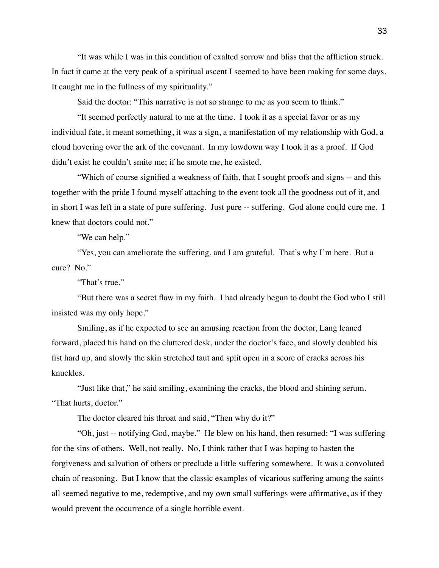"It was while I was in this condition of exalted sorrow and bliss that the affliction struck. In fact it came at the very peak of a spiritual ascent I seemed to have been making for some days. It caught me in the fullness of my spirituality."

Said the doctor: "This narrative is not so strange to me as you seem to think."

"It seemed perfectly natural to me at the time. I took it as a special favor or as my individual fate, it meant something, it was a sign, a manifestation of my relationship with God, a cloud hovering over the ark of the covenant. In my lowdown way I took it as a proof. If God didn't exist he couldn't smite me; if he smote me, he existed.

"Which of course signified a weakness of faith, that I sought proofs and signs -- and this together with the pride I found myself attaching to the event took all the goodness out of it, and in short I was left in a state of pure suffering. Just pure -- suffering. God alone could cure me. I knew that doctors could not."

"We can help."

"Yes, you can ameliorate the suffering, and I am grateful. That's why I'm here. But a cure? No."

"That's true."

"But there was a secret flaw in my faith. I had already begun to doubt the God who I still insisted was my only hope."

Smiling, as if he expected to see an amusing reaction from the doctor, Lang leaned forward, placed his hand on the cluttered desk, under the doctor's face, and slowly doubled his fist hard up, and slowly the skin stretched taut and split open in a score of cracks across his knuckles.

"Just like that," he said smiling, examining the cracks, the blood and shining serum. "That hurts, doctor."

The doctor cleared his throat and said, "Then why do it?"

"Oh, just -- notifying God, maybe." He blew on his hand, then resumed: "I was suffering for the sins of others. Well, not really. No, I think rather that I was hoping to hasten the forgiveness and salvation of others or preclude a little suffering somewhere. It was a convoluted chain of reasoning. But I know that the classic examples of vicarious suffering among the saints all seemed negative to me, redemptive, and my own small sufferings were affirmative, as if they would prevent the occurrence of a single horrible event.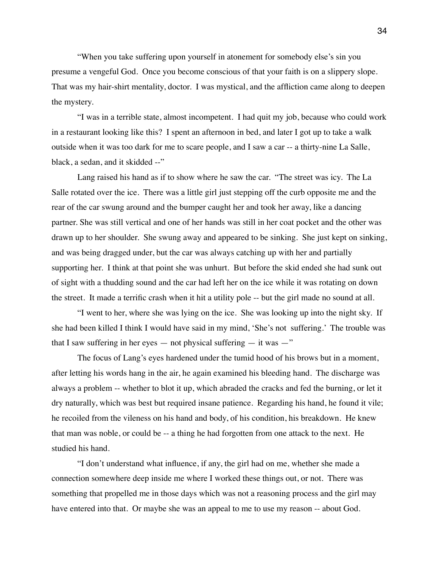"When you take suffering upon yourself in atonement for somebody else's sin you presume a vengeful God. Once you become conscious of that your faith is on a slippery slope. That was my hair-shirt mentality, doctor. I was mystical, and the affliction came along to deepen the mystery.

"I was in a terrible state, almost incompetent. I had quit my job, because who could work in a restaurant looking like this? I spent an afternoon in bed, and later I got up to take a walk outside when it was too dark for me to scare people, and I saw a car -- a thirty-nine La Salle, black, a sedan, and it skidded --"

Lang raised his hand as if to show where he saw the car. "The street was icy. The La Salle rotated over the ice. There was a little girl just stepping off the curb opposite me and the rear of the car swung around and the bumper caught her and took her away, like a dancing partner. She was still vertical and one of her hands was still in her coat pocket and the other was drawn up to her shoulder. She swung away and appeared to be sinking. She just kept on sinking, and was being dragged under, but the car was always catching up with her and partially supporting her. I think at that point she was unhurt. But before the skid ended she had sunk out of sight with a thudding sound and the car had left her on the ice while it was rotating on down the street. It made a terrific crash when it hit a utility pole -- but the girl made no sound at all.

"I went to her, where she was lying on the ice. She was looking up into the night sky. If she had been killed I think I would have said in my mind, 'She's not suffering.' The trouble was that I saw suffering in her eyes — not physical suffering — it was  $-$ "

The focus of Lang's eyes hardened under the tumid hood of his brows but in a moment, after letting his words hang in the air, he again examined his bleeding hand. The discharge was always a problem -- whether to blot it up, which abraded the cracks and fed the burning, or let it dry naturally, which was best but required insane patience. Regarding his hand, he found it vile; he recoiled from the vileness on his hand and body, of his condition, his breakdown. He knew that man was noble, or could be -- a thing he had forgotten from one attack to the next. He studied his hand.

"I don't understand what influence, if any, the girl had on me, whether she made a connection somewhere deep inside me where I worked these things out, or not. There was something that propelled me in those days which was not a reasoning process and the girl may have entered into that. Or maybe she was an appeal to me to use my reason -- about God.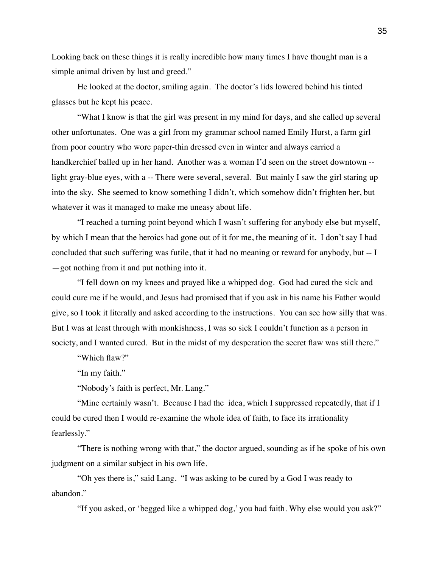Looking back on these things it is really incredible how many times I have thought man is a simple animal driven by lust and greed."

He looked at the doctor, smiling again. The doctor's lids lowered behind his tinted glasses but he kept his peace.

"What I know is that the girl was present in my mind for days, and she called up several other unfortunates. One was a girl from my grammar school named Emily Hurst, a farm girl from poor country who wore paper-thin dressed even in winter and always carried a handkerchief balled up in her hand. Another was a woman I'd seen on the street downtown - light gray-blue eyes, with a -- There were several, several. But mainly I saw the girl staring up into the sky. She seemed to know something I didn't, which somehow didn't frighten her, but whatever it was it managed to make me uneasy about life.

"I reached a turning point beyond which I wasn't suffering for anybody else but myself, by which I mean that the heroics had gone out of it for me, the meaning of it. I don't say I had concluded that such suffering was futile, that it had no meaning or reward for anybody, but -- I —got nothing from it and put nothing into it.

"I fell down on my knees and prayed like a whipped dog. God had cured the sick and could cure me if he would, and Jesus had promised that if you ask in his name his Father would give, so I took it literally and asked according to the instructions. You can see how silly that was. But I was at least through with monkishness, I was so sick I couldn't function as a person in society, and I wanted cured. But in the midst of my desperation the secret flaw was still there."

"Which flaw?"

"In my faith."

"Nobody's faith is perfect, Mr. Lang."

"Mine certainly wasn't. Because I had the idea, which I suppressed repeatedly, that if I could be cured then I would re-examine the whole idea of faith, to face its irrationality fearlessly."

"There is nothing wrong with that," the doctor argued, sounding as if he spoke of his own judgment on a similar subject in his own life.

"Oh yes there is," said Lang. "I was asking to be cured by a God I was ready to abandon."

"If you asked, or 'begged like a whipped dog,' you had faith. Why else would you ask?"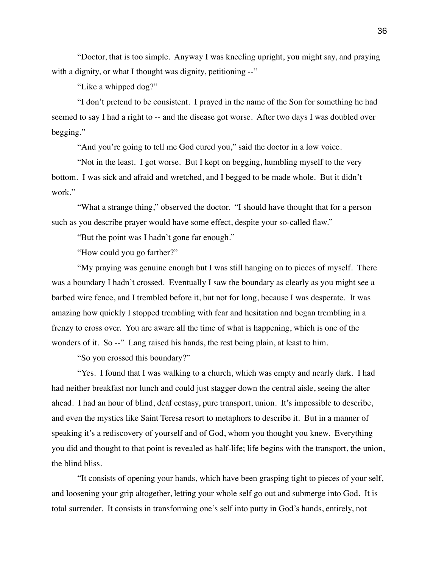"Doctor, that is too simple. Anyway I was kneeling upright, you might say, and praying with a dignity, or what I thought was dignity, petitioning --"

"Like a whipped dog?"

"I don't pretend to be consistent. I prayed in the name of the Son for something he had seemed to say I had a right to -- and the disease got worse. After two days I was doubled over begging."

"And you're going to tell me God cured you," said the doctor in a low voice.

"Not in the least. I got worse. But I kept on begging, humbling myself to the very bottom. I was sick and afraid and wretched, and I begged to be made whole. But it didn't work."

"What a strange thing," observed the doctor. "I should have thought that for a person such as you describe prayer would have some effect, despite your so-called flaw."

"But the point was I hadn't gone far enough."

"How could you go farther?"

"My praying was genuine enough but I was still hanging on to pieces of myself. There was a boundary I hadn't crossed. Eventually I saw the boundary as clearly as you might see a barbed wire fence, and I trembled before it, but not for long, because I was desperate. It was amazing how quickly I stopped trembling with fear and hesitation and began trembling in a frenzy to cross over. You are aware all the time of what is happening, which is one of the wonders of it. So --" Lang raised his hands, the rest being plain, at least to him.

"So you crossed this boundary?"

"Yes. I found that I was walking to a church, which was empty and nearly dark. I had had neither breakfast nor lunch and could just stagger down the central aisle, seeing the alter ahead. I had an hour of blind, deaf ecstasy, pure transport, union. It's impossible to describe, and even the mystics like Saint Teresa resort to metaphors to describe it. But in a manner of speaking it's a rediscovery of yourself and of God, whom you thought you knew. Everything you did and thought to that point is revealed as half-life; life begins with the transport, the union, the blind bliss.

"It consists of opening your hands, which have been grasping tight to pieces of your self, and loosening your grip altogether, letting your whole self go out and submerge into God. It is total surrender. It consists in transforming one's self into putty in God's hands, entirely, not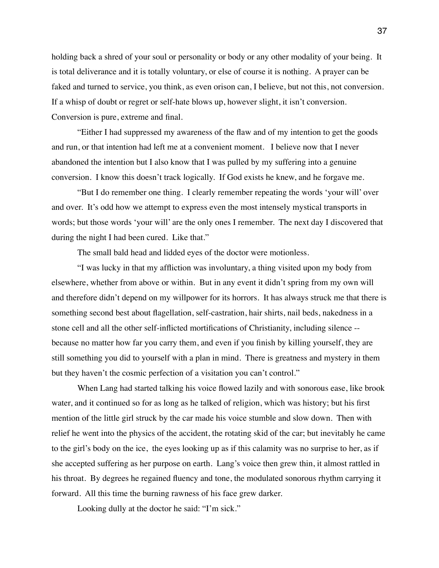holding back a shred of your soul or personality or body or any other modality of your being. It is total deliverance and it is totally voluntary, or else of course it is nothing. A prayer can be faked and turned to service, you think, as even orison can, I believe, but not this, not conversion. If a whisp of doubt or regret or self-hate blows up, however slight, it isn't conversion. Conversion is pure, extreme and final.

"Either I had suppressed my awareness of the flaw and of my intention to get the goods and run, or that intention had left me at a convenient moment. I believe now that I never abandoned the intention but I also know that I was pulled by my suffering into a genuine conversion. I know this doesn't track logically. If God exists he knew, and he forgave me.

"But I do remember one thing. I clearly remember repeating the words 'your will' over and over. It's odd how we attempt to express even the most intensely mystical transports in words; but those words 'your will' are the only ones I remember. The next day I discovered that during the night I had been cured. Like that."

The small bald head and lidded eyes of the doctor were motionless.

"I was lucky in that my affliction was involuntary, a thing visited upon my body from elsewhere, whether from above or within. But in any event it didn't spring from my own will and therefore didn't depend on my willpower for its horrors. It has always struck me that there is something second best about flagellation, self-castration, hair shirts, nail beds, nakedness in a stone cell and all the other self-inflicted mortifications of Christianity, including silence - because no matter how far you carry them, and even if you finish by killing yourself, they are still something you did to yourself with a plan in mind. There is greatness and mystery in them but they haven't the cosmic perfection of a visitation you can't control."

When Lang had started talking his voice flowed lazily and with sonorous ease, like brook water, and it continued so for as long as he talked of religion, which was history; but his first mention of the little girl struck by the car made his voice stumble and slow down. Then with relief he went into the physics of the accident, the rotating skid of the car; but inevitably he came to the girl's body on the ice, the eyes looking up as if this calamity was no surprise to her, as if she accepted suffering as her purpose on earth. Lang's voice then grew thin, it almost rattled in his throat. By degrees he regained fluency and tone, the modulated sonorous rhythm carrying it forward. All this time the burning rawness of his face grew darker.

Looking dully at the doctor he said: "I'm sick."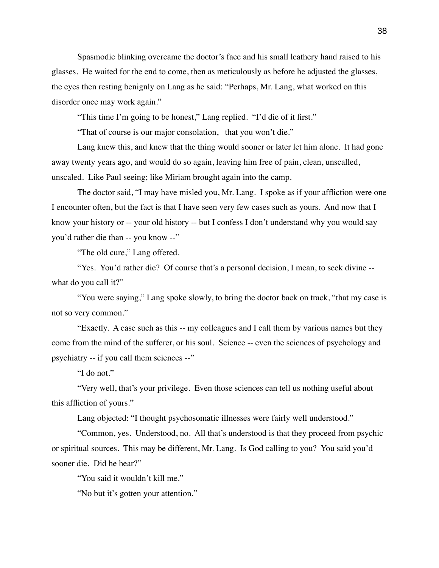Spasmodic blinking overcame the doctor's face and his small leathery hand raised to his glasses. He waited for the end to come, then as meticulously as before he adjusted the glasses, the eyes then resting benignly on Lang as he said: "Perhaps, Mr. Lang, what worked on this disorder once may work again."

"This time I'm going to be honest," Lang replied. "I'd die of it first."

"That of course is our major consolation, that you won't die."

Lang knew this, and knew that the thing would sooner or later let him alone. It had gone away twenty years ago, and would do so again, leaving him free of pain, clean, unscalled, unscaled. Like Paul seeing; like Miriam brought again into the camp.

The doctor said, "I may have misled you, Mr. Lang. I spoke as if your affliction were one I encounter often, but the fact is that I have seen very few cases such as yours. And now that I know your history or -- your old history -- but I confess I don't understand why you would say you'd rather die than -- you know --"

"The old cure," Lang offered.

"Yes. You'd rather die? Of course that's a personal decision, I mean, to seek divine -what do you call it?"

"You were saying," Lang spoke slowly, to bring the doctor back on track, "that my case is not so very common."

"Exactly. A case such as this -- my colleagues and I call them by various names but they come from the mind of the sufferer, or his soul. Science -- even the sciences of psychology and psychiatry -- if you call them sciences --"

"I do not."

"Very well, that's your privilege. Even those sciences can tell us nothing useful about this affliction of yours."

Lang objected: "I thought psychosomatic illnesses were fairly well understood."

"Common, yes. Understood, no. All that's understood is that they proceed from psychic or spiritual sources. This may be different, Mr. Lang. Is God calling to you? You said you'd sooner die. Did he hear?"

"You said it wouldn't kill me."

"No but it's gotten your attention."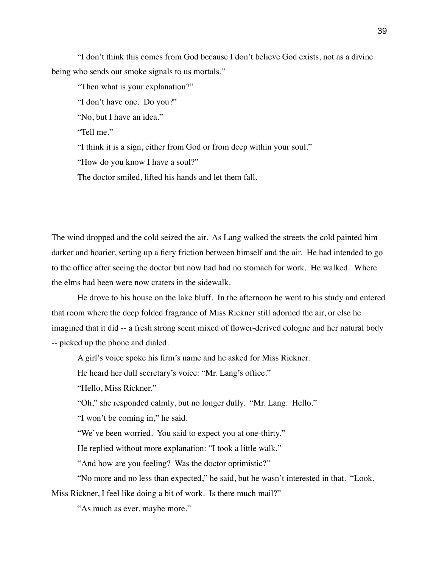"I don't think this comes from God because I don't believe God exists, not as a divine being who sends out smoke signals to us mortals."

"Then what is your explanation?"

"I don't have one. Do you?"

"No, but I have an idea."

"Tell me."

"I think it is a sign, either from God or from deep within your soul."

"How do you know I have a soul?"

The doctor smiled, lifted his hands and let them fall.

The wind dropped and the cold seized the air. As Lang walked the streets the cold painted him darker and hoarier, setting up a fiery friction between himself and the air. He had intended to go to the office after seeing the doctor but now had had no stomach for work. He walked. Where the elms had been were now craters in the sidewalk.

He drove to his house on the lake bluff. In the afternoon he went to his study and entered that room where the deep folded fragrance of Miss Rickner still adorned the air, or else he imagined that it did -- a fresh strong scent mixed of flower-derived cologne and her natural body -- picked up the phone and dialed.

A girl's voice spoke his firm's name and he asked for Miss Rickner.

He heard her dull secretary's voice: "Mr. Lang's office."

"Hello, Miss Rickner."

"Oh," she responded calmly, but no longer dully. "Mr. Lang. Hello."

"I won't be coming in," he said.

"We've been worried. You said to expect you at one-thirty."

He replied without more explanation: "I took a little walk."

"And how are you feeling? Was the doctor optimistic?"

"No more and no less than expected," he said, but he wasn't interested in that. "Look, Miss Rickner, I feel like doing a bit of work. Is there much mail?"

"As much as ever, maybe more."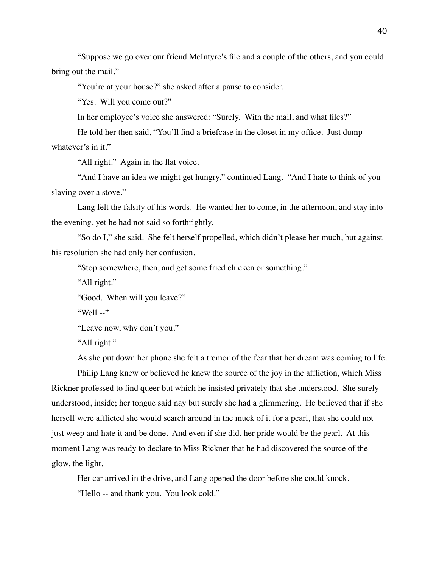"Suppose we go over our friend McIntyre's file and a couple of the others, and you could bring out the mail."

"You're at your house?" she asked after a pause to consider.

"Yes. Will you come out?"

In her employee's voice she answered: "Surely. With the mail, and what files?"

He told her then said, "You'll find a briefcase in the closet in my office. Just dump whatever's in it."

"All right." Again in the flat voice.

"And I have an idea we might get hungry," continued Lang. "And I hate to think of you slaving over a stove."

Lang felt the falsity of his words. He wanted her to come, in the afternoon, and stay into the evening, yet he had not said so forthrightly.

"So do I," she said. She felt herself propelled, which didn't please her much, but against his resolution she had only her confusion.

"Stop somewhere, then, and get some fried chicken or something."

"All right."

"Good. When will you leave?"

"Well --"

"Leave now, why don't you."

"All right."

As she put down her phone she felt a tremor of the fear that her dream was coming to life.

Philip Lang knew or believed he knew the source of the joy in the affliction, which Miss Rickner professed to find queer but which he insisted privately that she understood. She surely understood, inside; her tongue said nay but surely she had a glimmering. He believed that if she herself were afflicted she would search around in the muck of it for a pearl, that she could not just weep and hate it and be done. And even if she did, her pride would be the pearl. At this moment Lang was ready to declare to Miss Rickner that he had discovered the source of the glow, the light.

Her car arrived in the drive, and Lang opened the door before she could knock. "Hello -- and thank you. You look cold."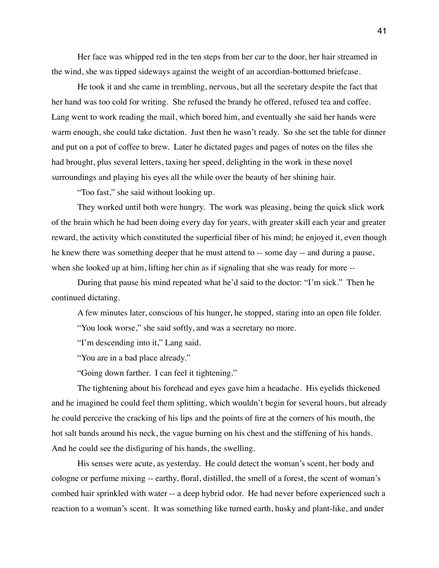Her face was whipped red in the ten steps from her car to the door, her hair streamed in the wind, she was tipped sideways against the weight of an accordian-bottomed briefcase.

He took it and she came in trembling, nervous, but all the secretary despite the fact that her hand was too cold for writing. She refused the brandy he offered, refused tea and coffee. Lang went to work reading the mail, which bored him, and eventually she said her hands were warm enough, she could take dictation. Just then he wasn't ready. So she set the table for dinner and put on a pot of coffee to brew. Later he dictated pages and pages of notes on the files she had brought, plus several letters, taxing her speed, delighting in the work in these novel surroundings and playing his eyes all the while over the beauty of her shining hair.

"Too fast," she said without looking up.

They worked until both were hungry. The work was pleasing, being the quick slick work of the brain which he had been doing every day for years, with greater skill each year and greater reward, the activity which constituted the superficial fiber of his mind; he enjoyed it, even though he knew there was something deeper that he must attend to -- some day -- and during a pause, when she looked up at him, lifting her chin as if signaling that she was ready for more --

During that pause his mind repeated what he'd said to the doctor: "I'm sick." Then he continued dictating.

A few minutes later, conscious of his hunger, he stopped, staring into an open file folder. "You look worse," she said softly, and was a secretary no more.

"I'm descending into it," Lang said.

"You are in a bad place already."

"Going down farther. I can feel it tightening."

The tightening about his forehead and eyes gave him a headache. His eyelids thickened and he imagined he could feel them splitting, which wouldn't begin for several hours, but already he could perceive the cracking of his lips and the points of fire at the corners of his mouth, the hot salt bands around his neck, the vague burning on his chest and the stiffening of his hands. And he could see the disfiguring of his hands, the swelling.

His senses were acute, as yesterday. He could detect the woman's scent, her body and cologne or perfume mixing -- earthy, floral, distilled, the smell of a forest, the scent of woman's combed hair sprinkled with water -- a deep hybrid odor. He had never before experienced such a reaction to a woman's scent. It was something like turned earth, husky and plant-like, and under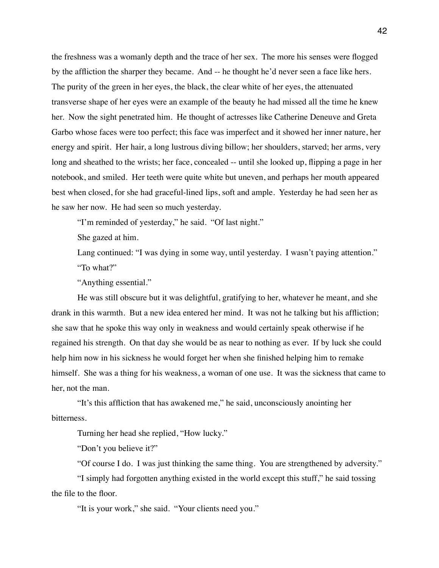the freshness was a womanly depth and the trace of her sex. The more his senses were flogged by the affliction the sharper they became. And -- he thought he'd never seen a face like hers. The purity of the green in her eyes, the black, the clear white of her eyes, the attenuated transverse shape of her eyes were an example of the beauty he had missed all the time he knew her. Now the sight penetrated him. He thought of actresses like Catherine Deneuve and Greta Garbo whose faces were too perfect; this face was imperfect and it showed her inner nature, her energy and spirit. Her hair, a long lustrous diving billow; her shoulders, starved; her arms, very long and sheathed to the wrists; her face, concealed -- until she looked up, flipping a page in her notebook, and smiled. Her teeth were quite white but uneven, and perhaps her mouth appeared best when closed, for she had graceful-lined lips, soft and ample. Yesterday he had seen her as he saw her now. He had seen so much yesterday.

"I'm reminded of yesterday," he said. "Of last night."

She gazed at him.

Lang continued: "I was dying in some way, until yesterday. I wasn't paying attention." "To what?"

"Anything essential."

He was still obscure but it was delightful, gratifying to her, whatever he meant, and she drank in this warmth. But a new idea entered her mind. It was not he talking but his affliction; she saw that he spoke this way only in weakness and would certainly speak otherwise if he regained his strength. On that day she would be as near to nothing as ever. If by luck she could help him now in his sickness he would forget her when she finished helping him to remake himself. She was a thing for his weakness, a woman of one use. It was the sickness that came to her, not the man.

"It's this affliction that has awakened me," he said, unconsciously anointing her bitterness.

Turning her head she replied, "How lucky."

"Don't you believe it?"

"Of course I do. I was just thinking the same thing. You are strengthened by adversity."

"I simply had forgotten anything existed in the world except this stuff," he said tossing the file to the floor.

"It is your work," she said. "Your clients need you."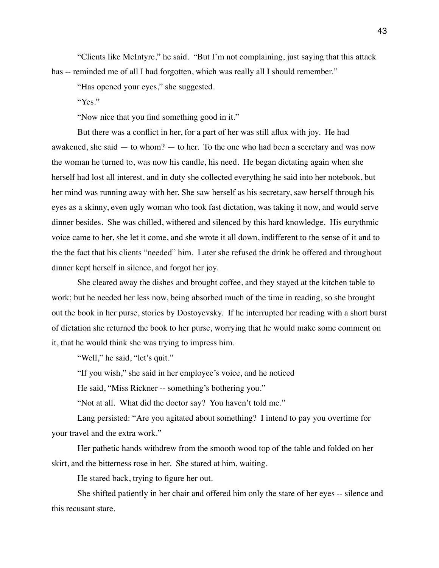"Clients like McIntyre," he said. "But I'm not complaining, just saying that this attack has -- reminded me of all I had forgotten, which was really all I should remember."

"Has opened your eyes," she suggested.

"Yes."

"Now nice that you find something good in it."

But there was a conflict in her, for a part of her was still aflux with joy. He had awakened, she said — to whom? — to her. To the one who had been a secretary and was now the woman he turned to, was now his candle, his need. He began dictating again when she herself had lost all interest, and in duty she collected everything he said into her notebook, but her mind was running away with her. She saw herself as his secretary, saw herself through his eyes as a skinny, even ugly woman who took fast dictation, was taking it now, and would serve dinner besides. She was chilled, withered and silenced by this hard knowledge. His eurythmic voice came to her, she let it come, and she wrote it all down, indifferent to the sense of it and to the the fact that his clients "needed" him. Later she refused the drink he offered and throughout dinner kept herself in silence, and forgot her joy.

She cleared away the dishes and brought coffee, and they stayed at the kitchen table to work; but he needed her less now, being absorbed much of the time in reading, so she brought out the book in her purse, stories by Dostoyevsky. If he interrupted her reading with a short burst of dictation she returned the book to her purse, worrying that he would make some comment on it, that he would think she was trying to impress him.

"Well," he said, "let's quit."

"If you wish," she said in her employee's voice, and he noticed

He said, "Miss Rickner -- something's bothering you."

"Not at all. What did the doctor say? You haven't told me."

Lang persisted: "Are you agitated about something? I intend to pay you overtime for your travel and the extra work."

Her pathetic hands withdrew from the smooth wood top of the table and folded on her skirt, and the bitterness rose in her. She stared at him, waiting.

He stared back, trying to figure her out.

She shifted patiently in her chair and offered him only the stare of her eyes -- silence and this recusant stare.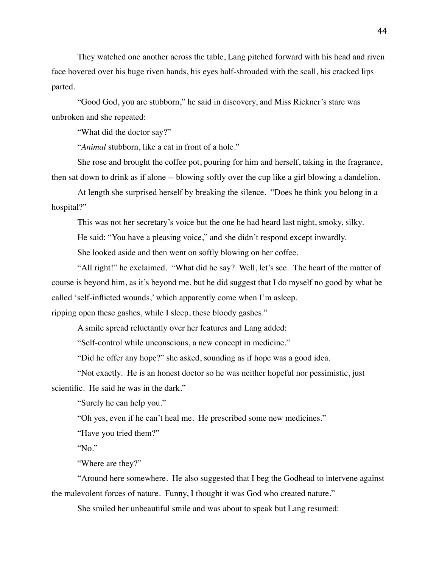They watched one another across the table, Lang pitched forward with his head and riven face hovered over his huge riven hands, his eyes half-shrouded with the scall, his cracked lips parted.

"Good God, you are stubborn," he said in discovery, and Miss Rickner's stare was unbroken and she repeated:

"What did the doctor say?"

"*Animal* stubborn, like a cat in front of a hole."

She rose and brought the coffee pot, pouring for him and herself, taking in the fragrance, then sat down to drink as if alone -- blowing softly over the cup like a girl blowing a dandelion.

At length she surprised herself by breaking the silence. "Does he think you belong in a hospital?"

This was not her secretary's voice but the one he had heard last night, smoky, silky.

He said: "You have a pleasing voice," and she didn't respond except inwardly.

She looked aside and then went on softly blowing on her coffee.

"All right!" he exclaimed. "What did he say? Well, let's see. The heart of the matter of course is beyond him, as it's beyond me, but he did suggest that I do myself no good by what he called 'self-inflicted wounds,' which apparently come when I'm asleep.

ripping open these gashes, while I sleep, these bloody gashes."

A smile spread reluctantly over her features and Lang added:

"Self-control while unconscious, a new concept in medicine."

"Did he offer any hope?" she asked, sounding as if hope was a good idea.

"Not exactly. He is an honest doctor so he was neither hopeful nor pessimistic, just scientific. He said he was in the dark."

"Surely he can help you."

"Oh yes, even if he can't heal me. He prescribed some new medicines."

"Have you tried them?"

"No."

"Where are they?"

"Around here somewhere. He also suggested that I beg the Godhead to intervene against the malevolent forces of nature. Funny, I thought it was God who created nature."

She smiled her unbeautiful smile and was about to speak but Lang resumed: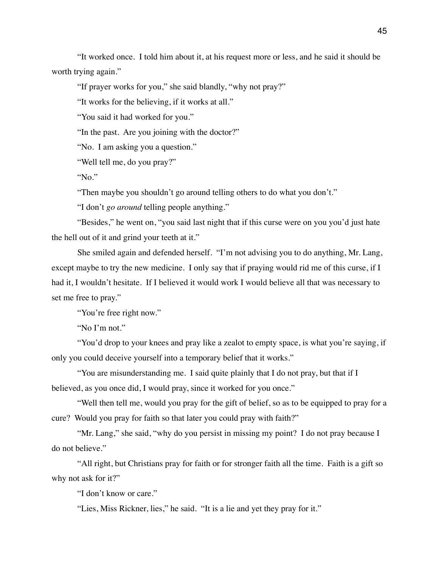"It worked once. I told him about it, at his request more or less, and he said it should be worth trying again."

"If prayer works for you," she said blandly, "why not pray?"

"It works for the believing, if it works at all."

"You said it had worked for you."

"In the past. Are you joining with the doctor?"

"No. I am asking you a question."

"Well tell me, do you pray?"

"No."

"Then maybe you shouldn't go around telling others to do what you don't."

"I don't *go around* telling people anything."

"Besides," he went on, "you said last night that if this curse were on you you'd just hate the hell out of it and grind your teeth at it."

She smiled again and defended herself. "I'm not advising you to do anything, Mr. Lang, except maybe to try the new medicine. I only say that if praying would rid me of this curse, if I had it, I wouldn't hesitate. If I believed it would work I would believe all that was necessary to set me free to pray."

"You're free right now."

"No I'm not."

"You'd drop to your knees and pray like a zealot to empty space, is what you're saying, if only you could deceive yourself into a temporary belief that it works."

"You are misunderstanding me. I said quite plainly that I do not pray, but that if I believed, as you once did, I would pray, since it worked for you once."

"Well then tell me, would you pray for the gift of belief, so as to be equipped to pray for a cure? Would you pray for faith so that later you could pray with faith?"

"Mr. Lang," she said, "why do you persist in missing my point? I do not pray because I do not believe."

"All right, but Christians pray for faith or for stronger faith all the time. Faith is a gift so why not ask for it?"

"I don't know or care."

"Lies, Miss Rickner, lies," he said. "It is a lie and yet they pray for it."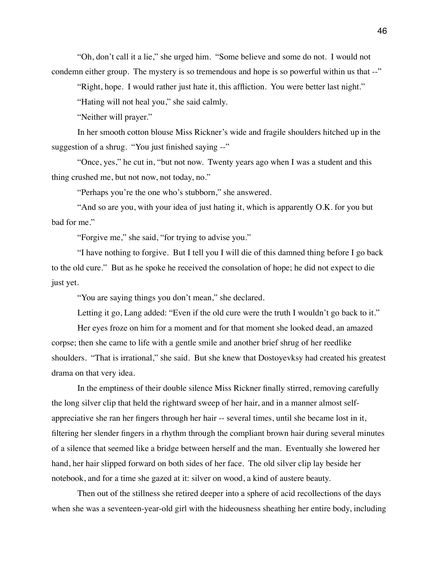"Oh, don't call it a lie," she urged him. "Some believe and some do not. I would not condemn either group. The mystery is so tremendous and hope is so powerful within us that --"

"Right, hope. I would rather just hate it, this affliction. You were better last night."

"Hating will not heal you," she said calmly.

"Neither will prayer."

In her smooth cotton blouse Miss Rickner's wide and fragile shoulders hitched up in the suggestion of a shrug. "You just finished saying --"

"Once, yes," he cut in, "but not now. Twenty years ago when I was a student and this thing crushed me, but not now, not today, no."

"Perhaps you're the one who's stubborn," she answered.

"And so are you, with your idea of just hating it, which is apparently O.K. for you but bad for me."

"Forgive me," she said, "for trying to advise you."

"I have nothing to forgive. But I tell you I will die of this damned thing before I go back to the old cure." But as he spoke he received the consolation of hope; he did not expect to die just yet.

"You are saying things you don't mean," she declared.

Letting it go, Lang added: "Even if the old cure were the truth I wouldn't go back to it."

Her eyes froze on him for a moment and for that moment she looked dead, an amazed corpse; then she came to life with a gentle smile and another brief shrug of her reedlike shoulders. "That is irrational," she said. But she knew that Dostoyevksy had created his greatest drama on that very idea.

In the emptiness of their double silence Miss Rickner finally stirred, removing carefully the long silver clip that held the rightward sweep of her hair, and in a manner almost selfappreciative she ran her fingers through her hair -- several times, until she became lost in it, filtering her slender fingers in a rhythm through the compliant brown hair during several minutes of a silence that seemed like a bridge between herself and the man. Eventually she lowered her hand, her hair slipped forward on both sides of her face. The old silver clip lay beside her notebook, and for a time she gazed at it: silver on wood, a kind of austere beauty.

Then out of the stillness she retired deeper into a sphere of acid recollections of the days when she was a seventeen-year-old girl with the hideousness sheathing her entire body, including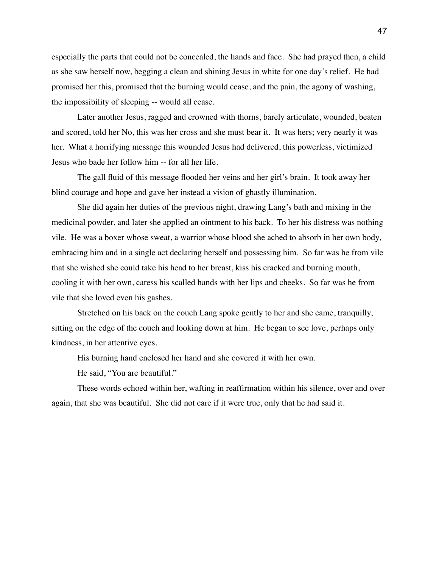especially the parts that could not be concealed, the hands and face. She had prayed then, a child as she saw herself now, begging a clean and shining Jesus in white for one day's relief. He had promised her this, promised that the burning would cease, and the pain, the agony of washing, the impossibility of sleeping -- would all cease.

Later another Jesus, ragged and crowned with thorns, barely articulate, wounded, beaten and scored, told her No, this was her cross and she must bear it. It was hers; very nearly it was her. What a horrifying message this wounded Jesus had delivered, this powerless, victimized Jesus who bade her follow him -- for all her life.

The gall fluid of this message flooded her veins and her girl's brain. It took away her blind courage and hope and gave her instead a vision of ghastly illumination.

She did again her duties of the previous night, drawing Lang's bath and mixing in the medicinal powder, and later she applied an ointment to his back. To her his distress was nothing vile. He was a boxer whose sweat, a warrior whose blood she ached to absorb in her own body, embracing him and in a single act declaring herself and possessing him. So far was he from vile that she wished she could take his head to her breast, kiss his cracked and burning mouth, cooling it with her own, caress his scalled hands with her lips and cheeks. So far was he from vile that she loved even his gashes.

Stretched on his back on the couch Lang spoke gently to her and she came, tranquilly, sitting on the edge of the couch and looking down at him. He began to see love, perhaps only kindness, in her attentive eyes.

His burning hand enclosed her hand and she covered it with her own.

He said, "You are beautiful."

These words echoed within her, wafting in reaffirmation within his silence, over and over again, that she was beautiful. She did not care if it were true, only that he had said it.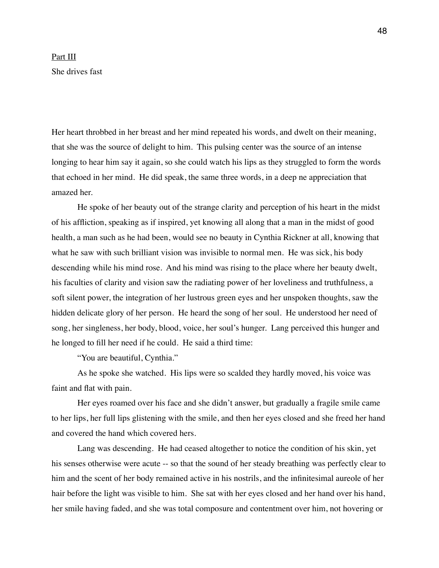## Part III She drives fast

Her heart throbbed in her breast and her mind repeated his words, and dwelt on their meaning, that she was the source of delight to him. This pulsing center was the source of an intense longing to hear him say it again, so she could watch his lips as they struggled to form the words that echoed in her mind. He did speak, the same three words, in a deep ne appreciation that amazed her.

He spoke of her beauty out of the strange clarity and perception of his heart in the midst of his affliction, speaking as if inspired, yet knowing all along that a man in the midst of good health, a man such as he had been, would see no beauty in Cynthia Rickner at all, knowing that what he saw with such brilliant vision was invisible to normal men. He was sick, his body descending while his mind rose. And his mind was rising to the place where her beauty dwelt, his faculties of clarity and vision saw the radiating power of her loveliness and truthfulness, a soft silent power, the integration of her lustrous green eyes and her unspoken thoughts, saw the hidden delicate glory of her person. He heard the song of her soul. He understood her need of song, her singleness, her body, blood, voice, her soul's hunger. Lang perceived this hunger and he longed to fill her need if he could. He said a third time:

"You are beautiful, Cynthia."

As he spoke she watched. His lips were so scalded they hardly moved, his voice was faint and flat with pain.

Her eyes roamed over his face and she didn't answer, but gradually a fragile smile came to her lips, her full lips glistening with the smile, and then her eyes closed and she freed her hand and covered the hand which covered hers.

Lang was descending. He had ceased altogether to notice the condition of his skin, yet his senses otherwise were acute -- so that the sound of her steady breathing was perfectly clear to him and the scent of her body remained active in his nostrils, and the infinitesimal aureole of her hair before the light was visible to him. She sat with her eyes closed and her hand over his hand, her smile having faded, and she was total composure and contentment over him, not hovering or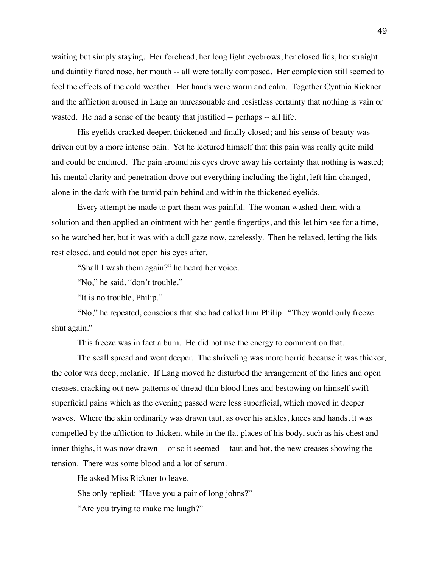waiting but simply staying. Her forehead, her long light eyebrows, her closed lids, her straight and daintily flared nose, her mouth -- all were totally composed. Her complexion still seemed to feel the effects of the cold weather. Her hands were warm and calm. Together Cynthia Rickner and the affliction aroused in Lang an unreasonable and resistless certainty that nothing is vain or wasted. He had a sense of the beauty that justified -- perhaps -- all life.

His eyelids cracked deeper, thickened and finally closed; and his sense of beauty was driven out by a more intense pain. Yet he lectured himself that this pain was really quite mild and could be endured. The pain around his eyes drove away his certainty that nothing is wasted; his mental clarity and penetration drove out everything including the light, left him changed, alone in the dark with the tumid pain behind and within the thickened eyelids.

Every attempt he made to part them was painful. The woman washed them with a solution and then applied an ointment with her gentle fingertips, and this let him see for a time, so he watched her, but it was with a dull gaze now, carelessly. Then he relaxed, letting the lids rest closed, and could not open his eyes after.

"Shall I wash them again?" he heard her voice.

"No," he said, "don't trouble."

"It is no trouble, Philip."

"No," he repeated, conscious that she had called him Philip. "They would only freeze shut again."

This freeze was in fact a burn. He did not use the energy to comment on that.

The scall spread and went deeper. The shriveling was more horrid because it was thicker, the color was deep, melanic. If Lang moved he disturbed the arrangement of the lines and open creases, cracking out new patterns of thread-thin blood lines and bestowing on himself swift superficial pains which as the evening passed were less superficial, which moved in deeper waves. Where the skin ordinarily was drawn taut, as over his ankles, knees and hands, it was compelled by the affliction to thicken, while in the flat places of his body, such as his chest and inner thighs, it was now drawn -- or so it seemed -- taut and hot, the new creases showing the tension. There was some blood and a lot of serum.

He asked Miss Rickner to leave.

She only replied: "Have you a pair of long johns?"

"Are you trying to make me laugh?"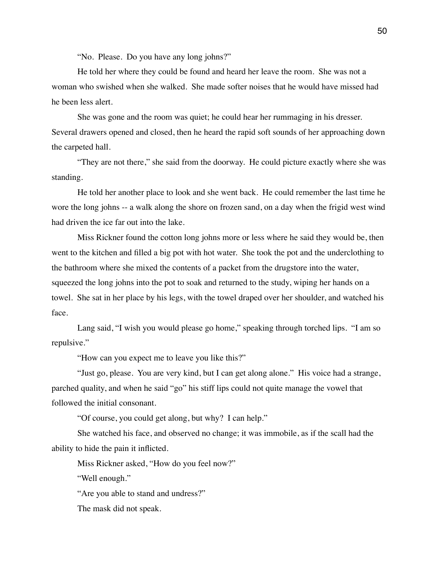"No. Please. Do you have any long johns?"

He told her where they could be found and heard her leave the room. She was not a woman who swished when she walked. She made softer noises that he would have missed had he been less alert.

She was gone and the room was quiet; he could hear her rummaging in his dresser. Several drawers opened and closed, then he heard the rapid soft sounds of her approaching down the carpeted hall.

"They are not there," she said from the doorway. He could picture exactly where she was standing.

He told her another place to look and she went back. He could remember the last time he wore the long johns -- a walk along the shore on frozen sand, on a day when the frigid west wind had driven the ice far out into the lake.

Miss Rickner found the cotton long johns more or less where he said they would be, then went to the kitchen and filled a big pot with hot water. She took the pot and the underclothing to the bathroom where she mixed the contents of a packet from the drugstore into the water, squeezed the long johns into the pot to soak and returned to the study, wiping her hands on a towel. She sat in her place by his legs, with the towel draped over her shoulder, and watched his face.

Lang said, "I wish you would please go home," speaking through torched lips. "I am so repulsive."

"How can you expect me to leave you like this?"

"Just go, please. You are very kind, but I can get along alone." His voice had a strange, parched quality, and when he said "go" his stiff lips could not quite manage the vowel that followed the initial consonant.

"Of course, you could get along, but why? I can help."

She watched his face, and observed no change; it was immobile, as if the scall had the ability to hide the pain it inflicted.

Miss Rickner asked, "How do you feel now?"

"Well enough."

"Are you able to stand and undress?"

The mask did not speak.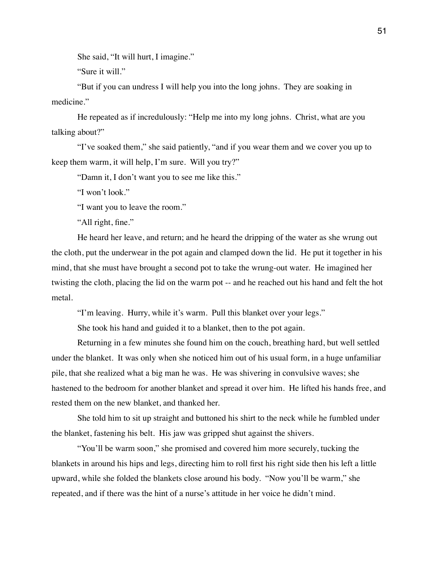She said, "It will hurt, I imagine."

"Sure it will."

"But if you can undress I will help you into the long johns. They are soaking in medicine."

He repeated as if incredulously: "Help me into my long johns. Christ, what are you talking about?"

"I've soaked them," she said patiently, "and if you wear them and we cover you up to keep them warm, it will help, I'm sure. Will you try?"

"Damn it, I don't want you to see me like this."

"I won't look."

"I want you to leave the room."

"All right, fine."

He heard her leave, and return; and he heard the dripping of the water as she wrung out the cloth, put the underwear in the pot again and clamped down the lid. He put it together in his mind, that she must have brought a second pot to take the wrung-out water. He imagined her twisting the cloth, placing the lid on the warm pot -- and he reached out his hand and felt the hot metal.

"I'm leaving. Hurry, while it's warm. Pull this blanket over your legs."

She took his hand and guided it to a blanket, then to the pot again.

Returning in a few minutes she found him on the couch, breathing hard, but well settled under the blanket. It was only when she noticed him out of his usual form, in a huge unfamiliar pile, that she realized what a big man he was. He was shivering in convulsive waves; she hastened to the bedroom for another blanket and spread it over him. He lifted his hands free, and rested them on the new blanket, and thanked her.

She told him to sit up straight and buttoned his shirt to the neck while he fumbled under the blanket, fastening his belt. His jaw was gripped shut against the shivers.

"You'll be warm soon," she promised and covered him more securely, tucking the blankets in around his hips and legs, directing him to roll first his right side then his left a little upward, while she folded the blankets close around his body. "Now you'll be warm," she repeated, and if there was the hint of a nurse's attitude in her voice he didn't mind.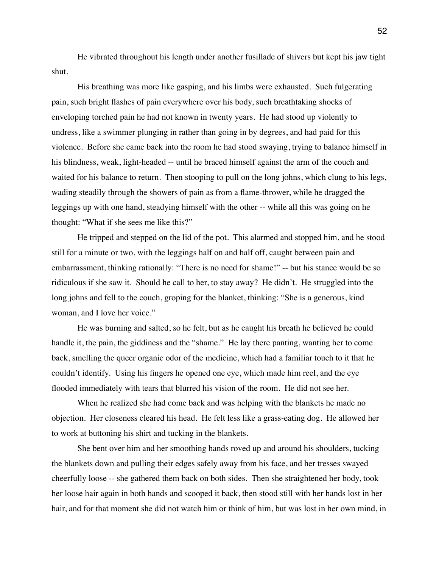He vibrated throughout his length under another fusillade of shivers but kept his jaw tight shut.

His breathing was more like gasping, and his limbs were exhausted. Such fulgerating pain, such bright flashes of pain everywhere over his body, such breathtaking shocks of enveloping torched pain he had not known in twenty years. He had stood up violently to undress, like a swimmer plunging in rather than going in by degrees, and had paid for this violence. Before she came back into the room he had stood swaying, trying to balance himself in his blindness, weak, light-headed -- until he braced himself against the arm of the couch and waited for his balance to return. Then stooping to pull on the long johns, which clung to his legs, wading steadily through the showers of pain as from a flame-thrower, while he dragged the leggings up with one hand, steadying himself with the other -- while all this was going on he thought: "What if she sees me like this?"

He tripped and stepped on the lid of the pot. This alarmed and stopped him, and he stood still for a minute or two, with the leggings half on and half off, caught between pain and embarrassment, thinking rationally: "There is no need for shame!" -- but his stance would be so ridiculous if she saw it. Should he call to her, to stay away? He didn't. He struggled into the long johns and fell to the couch, groping for the blanket, thinking: "She is a generous, kind woman, and I love her voice."

He was burning and salted, so he felt, but as he caught his breath he believed he could handle it, the pain, the giddiness and the "shame." He lay there panting, wanting her to come back, smelling the queer organic odor of the medicine, which had a familiar touch to it that he couldn't identify. Using his fingers he opened one eye, which made him reel, and the eye flooded immediately with tears that blurred his vision of the room. He did not see her.

When he realized she had come back and was helping with the blankets he made no objection. Her closeness cleared his head. He felt less like a grass-eating dog. He allowed her to work at buttoning his shirt and tucking in the blankets.

She bent over him and her smoothing hands roved up and around his shoulders, tucking the blankets down and pulling their edges safely away from his face, and her tresses swayed cheerfully loose -- she gathered them back on both sides. Then she straightened her body, took her loose hair again in both hands and scooped it back, then stood still with her hands lost in her hair, and for that moment she did not watch him or think of him, but was lost in her own mind, in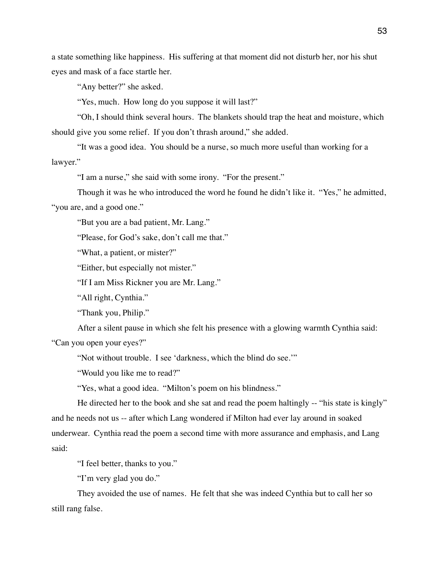a state something like happiness. His suffering at that moment did not disturb her, nor his shut eyes and mask of a face startle her.

"Any better?" she asked.

"Yes, much. How long do you suppose it will last?"

"Oh, I should think several hours. The blankets should trap the heat and moisture, which should give you some relief. If you don't thrash around," she added.

"It was a good idea. You should be a nurse, so much more useful than working for a lawyer."

"I am a nurse," she said with some irony. "For the present."

Though it was he who introduced the word he found he didn't like it. "Yes," he admitted, "you are, and a good one."

"But you are a bad patient, Mr. Lang."

"Please, for God's sake, don't call me that."

"What, a patient, or mister?"

"Either, but especially not mister."

"If I am Miss Rickner you are Mr. Lang."

"All right, Cynthia."

"Thank you, Philip."

After a silent pause in which she felt his presence with a glowing warmth Cynthia said: "Can you open your eyes?"

"Not without trouble. I see 'darkness, which the blind do see.'"

"Would you like me to read?"

"Yes, what a good idea. "Milton's poem on his blindness."

He directed her to the book and she sat and read the poem haltingly -- "his state is kingly" and he needs not us -- after which Lang wondered if Milton had ever lay around in soaked underwear. Cynthia read the poem a second time with more assurance and emphasis, and Lang said:

"I feel better, thanks to you."

"I'm very glad you do."

They avoided the use of names. He felt that she was indeed Cynthia but to call her so still rang false.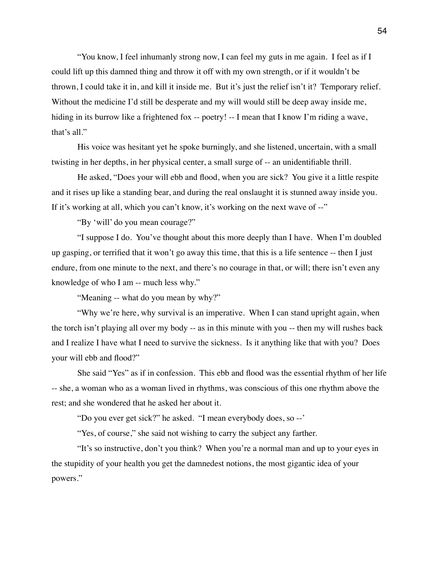"You know, I feel inhumanly strong now, I can feel my guts in me again. I feel as if I could lift up this damned thing and throw it off with my own strength, or if it wouldn't be thrown, I could take it in, and kill it inside me. But it's just the relief isn't it? Temporary relief. Without the medicine I'd still be desperate and my will would still be deep away inside me, hiding in its burrow like a frightened fox -- poetry! -- I mean that I know I'm riding a wave, that's all."

His voice was hesitant yet he spoke burningly, and she listened, uncertain, with a small twisting in her depths, in her physical center, a small surge of -- an unidentifiable thrill.

He asked, "Does your will ebb and flood, when you are sick? You give it a little respite and it rises up like a standing bear, and during the real onslaught it is stunned away inside you. If it's working at all, which you can't know, it's working on the next wave of --"

"By 'will' do you mean courage?"

"I suppose I do. You've thought about this more deeply than I have. When I'm doubled up gasping, or terrified that it won't go away this time, that this is a life sentence -- then I just endure, from one minute to the next, and there's no courage in that, or will; there isn't even any knowledge of who I am -- much less why."

"Meaning -- what do you mean by why?"

"Why we're here, why survival is an imperative. When I can stand upright again, when the torch isn't playing all over my body -- as in this minute with you -- then my will rushes back and I realize I have what I need to survive the sickness. Is it anything like that with you? Does your will ebb and flood?"

She said "Yes" as if in confession. This ebb and flood was the essential rhythm of her life -- she, a woman who as a woman lived in rhythms, was conscious of this one rhythm above the rest; and she wondered that he asked her about it.

"Do you ever get sick?" he asked. "I mean everybody does, so --'

"Yes, of course," she said not wishing to carry the subject any farther.

"It's so instructive, don't you think? When you're a normal man and up to your eyes in the stupidity of your health you get the damnedest notions, the most gigantic idea of your powers."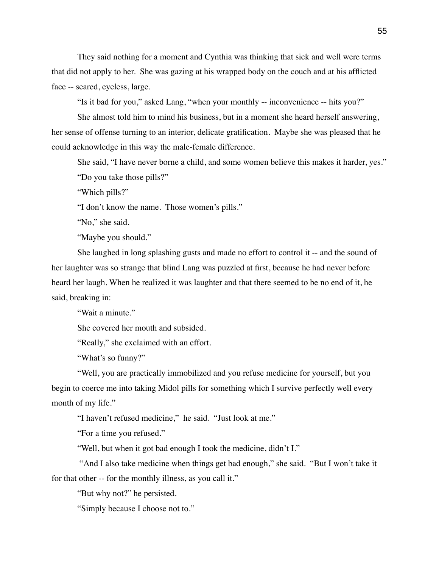They said nothing for a moment and Cynthia was thinking that sick and well were terms that did not apply to her. She was gazing at his wrapped body on the couch and at his afflicted face -- seared, eyeless, large.

"Is it bad for you," asked Lang, "when your monthly -- inconvenience -- hits you?"

She almost told him to mind his business, but in a moment she heard herself answering, her sense of offense turning to an interior, delicate gratification. Maybe she was pleased that he could acknowledge in this way the male-female difference.

She said, "I have never borne a child, and some women believe this makes it harder, yes." "Do you take those pills?"

"Which pills?"

"I don't know the name. Those women's pills."

"No," she said.

"Maybe you should."

She laughed in long splashing gusts and made no effort to control it -- and the sound of her laughter was so strange that blind Lang was puzzled at first, because he had never before heard her laugh. When he realized it was laughter and that there seemed to be no end of it, he said, breaking in:

"Wait a minute."

She covered her mouth and subsided.

"Really," she exclaimed with an effort.

"What's so funny?"

"Well, you are practically immobilized and you refuse medicine for yourself, but you begin to coerce me into taking Midol pills for something which I survive perfectly well every month of my life."

"I haven't refused medicine," he said. "Just look at me."

"For a time you refused."

"Well, but when it got bad enough I took the medicine, didn't I."

 "And I also take medicine when things get bad enough," she said. "But I won't take it for that other -- for the monthly illness, as you call it."

"But why not?" he persisted.

"Simply because I choose not to."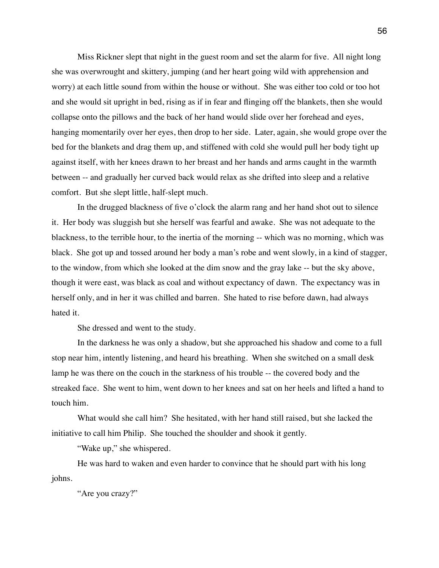Miss Rickner slept that night in the guest room and set the alarm for five. All night long she was overwrought and skittery, jumping (and her heart going wild with apprehension and worry) at each little sound from within the house or without. She was either too cold or too hot and she would sit upright in bed, rising as if in fear and flinging off the blankets, then she would collapse onto the pillows and the back of her hand would slide over her forehead and eyes, hanging momentarily over her eyes, then drop to her side. Later, again, she would grope over the bed for the blankets and drag them up, and stiffened with cold she would pull her body tight up against itself, with her knees drawn to her breast and her hands and arms caught in the warmth between -- and gradually her curved back would relax as she drifted into sleep and a relative comfort. But she slept little, half-slept much.

In the drugged blackness of five o'clock the alarm rang and her hand shot out to silence it. Her body was sluggish but she herself was fearful and awake. She was not adequate to the blackness, to the terrible hour, to the inertia of the morning -- which was no morning, which was black. She got up and tossed around her body a man's robe and went slowly, in a kind of stagger, to the window, from which she looked at the dim snow and the gray lake -- but the sky above, though it were east, was black as coal and without expectancy of dawn. The expectancy was in herself only, and in her it was chilled and barren. She hated to rise before dawn, had always hated it.

She dressed and went to the study.

In the darkness he was only a shadow, but she approached his shadow and come to a full stop near him, intently listening, and heard his breathing. When she switched on a small desk lamp he was there on the couch in the starkness of his trouble -- the covered body and the streaked face. She went to him, went down to her knees and sat on her heels and lifted a hand to touch him.

What would she call him? She hesitated, with her hand still raised, but she lacked the initiative to call him Philip. She touched the shoulder and shook it gently.

"Wake up," she whispered.

He was hard to waken and even harder to convince that he should part with his long johns.

"Are you crazy?"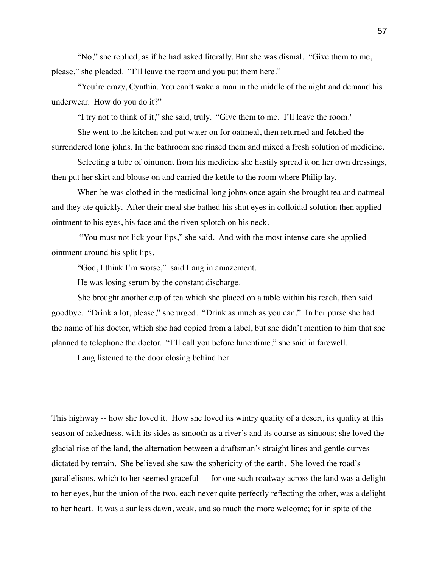"No," she replied, as if he had asked literally. But she was dismal. "Give them to me, please," she pleaded. "I'll leave the room and you put them here."

"You're crazy, Cynthia. You can't wake a man in the middle of the night and demand his underwear. How do you do it?"

"I try not to think of it," she said, truly. "Give them to me. I'll leave the room."

She went to the kitchen and put water on for oatmeal, then returned and fetched the surrendered long johns. In the bathroom she rinsed them and mixed a fresh solution of medicine.

Selecting a tube of ointment from his medicine she hastily spread it on her own dressings, then put her skirt and blouse on and carried the kettle to the room where Philip lay.

When he was clothed in the medicinal long johns once again she brought tea and oatmeal and they ate quickly. After their meal she bathed his shut eyes in colloidal solution then applied ointment to his eyes, his face and the riven splotch on his neck.

 "You must not lick your lips," she said. And with the most intense care she applied ointment around his split lips.

"God, I think I'm worse," said Lang in amazement.

He was losing serum by the constant discharge.

She brought another cup of tea which she placed on a table within his reach, then said goodbye. "Drink a lot, please," she urged. "Drink as much as you can." In her purse she had the name of his doctor, which she had copied from a label, but she didn't mention to him that she planned to telephone the doctor. "I'll call you before lunchtime," she said in farewell.

Lang listened to the door closing behind her.

This highway -- how she loved it. How she loved its wintry quality of a desert, its quality at this season of nakedness, with its sides as smooth as a river's and its course as sinuous; she loved the glacial rise of the land, the alternation between a draftsman's straight lines and gentle curves dictated by terrain. She believed she saw the sphericity of the earth. She loved the road's parallelisms, which to her seemed graceful -- for one such roadway across the land was a delight to her eyes, but the union of the two, each never quite perfectly reflecting the other, was a delight to her heart. It was a sunless dawn, weak, and so much the more welcome; for in spite of the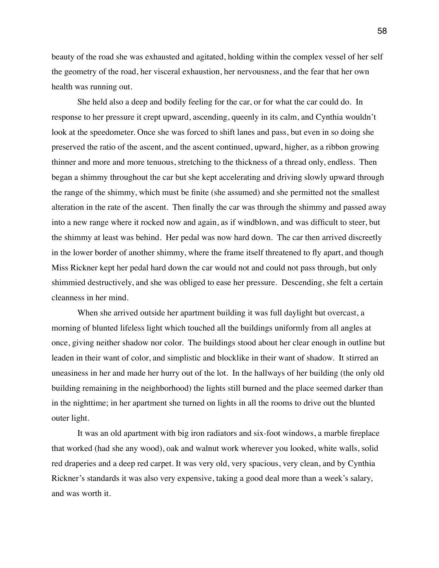beauty of the road she was exhausted and agitated, holding within the complex vessel of her self the geometry of the road, her visceral exhaustion, her nervousness, and the fear that her own health was running out.

She held also a deep and bodily feeling for the car, or for what the car could do. In response to her pressure it crept upward, ascending, queenly in its calm, and Cynthia wouldn't look at the speedometer. Once she was forced to shift lanes and pass, but even in so doing she preserved the ratio of the ascent, and the ascent continued, upward, higher, as a ribbon growing thinner and more and more tenuous, stretching to the thickness of a thread only, endless. Then began a shimmy throughout the car but she kept accelerating and driving slowly upward through the range of the shimmy, which must be finite (she assumed) and she permitted not the smallest alteration in the rate of the ascent. Then finally the car was through the shimmy and passed away into a new range where it rocked now and again, as if windblown, and was difficult to steer, but the shimmy at least was behind. Her pedal was now hard down. The car then arrived discreetly in the lower border of another shimmy, where the frame itself threatened to fly apart, and though Miss Rickner kept her pedal hard down the car would not and could not pass through, but only shimmied destructively, and she was obliged to ease her pressure. Descending, she felt a certain cleanness in her mind.

When she arrived outside her apartment building it was full daylight but overcast, a morning of blunted lifeless light which touched all the buildings uniformly from all angles at once, giving neither shadow nor color. The buildings stood about her clear enough in outline but leaden in their want of color, and simplistic and blocklike in their want of shadow. It stirred an uneasiness in her and made her hurry out of the lot. In the hallways of her building (the only old building remaining in the neighborhood) the lights still burned and the place seemed darker than in the nighttime; in her apartment she turned on lights in all the rooms to drive out the blunted outer light.

It was an old apartment with big iron radiators and six-foot windows, a marble fireplace that worked (had she any wood), oak and walnut work wherever you looked, white walls, solid red draperies and a deep red carpet. It was very old, very spacious, very clean, and by Cynthia Rickner's standards it was also very expensive, taking a good deal more than a week's salary, and was worth it.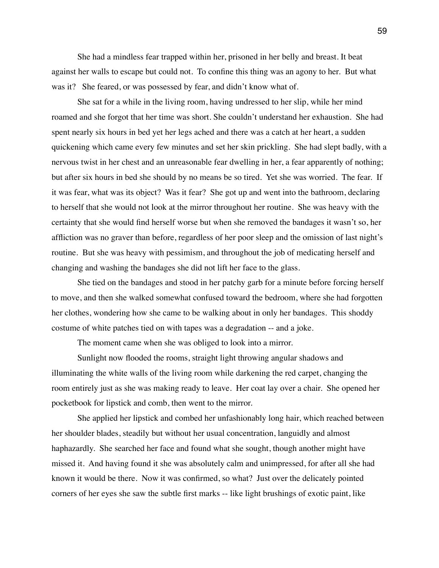She had a mindless fear trapped within her, prisoned in her belly and breast. It beat against her walls to escape but could not. To confine this thing was an agony to her. But what was it? She feared, or was possessed by fear, and didn't know what of.

She sat for a while in the living room, having undressed to her slip, while her mind roamed and she forgot that her time was short. She couldn't understand her exhaustion. She had spent nearly six hours in bed yet her legs ached and there was a catch at her heart, a sudden quickening which came every few minutes and set her skin prickling. She had slept badly, with a nervous twist in her chest and an unreasonable fear dwelling in her, a fear apparently of nothing; but after six hours in bed she should by no means be so tired. Yet she was worried. The fear. If it was fear, what was its object? Was it fear? She got up and went into the bathroom, declaring to herself that she would not look at the mirror throughout her routine. She was heavy with the certainty that she would find herself worse but when she removed the bandages it wasn't so, her affliction was no graver than before, regardless of her poor sleep and the omission of last night's routine. But she was heavy with pessimism, and throughout the job of medicating herself and changing and washing the bandages she did not lift her face to the glass.

 She tied on the bandages and stood in her patchy garb for a minute before forcing herself to move, and then she walked somewhat confused toward the bedroom, where she had forgotten her clothes, wondering how she came to be walking about in only her bandages. This shoddy costume of white patches tied on with tapes was a degradation -- and a joke.

The moment came when she was obliged to look into a mirror.

Sunlight now flooded the rooms, straight light throwing angular shadows and illuminating the white walls of the living room while darkening the red carpet, changing the room entirely just as she was making ready to leave. Her coat lay over a chair. She opened her pocketbook for lipstick and comb, then went to the mirror.

She applied her lipstick and combed her unfashionably long hair, which reached between her shoulder blades, steadily but without her usual concentration, languidly and almost haphazardly. She searched her face and found what she sought, though another might have missed it. And having found it she was absolutely calm and unimpressed, for after all she had known it would be there. Now it was confirmed, so what? Just over the delicately pointed corners of her eyes she saw the subtle first marks -- like light brushings of exotic paint, like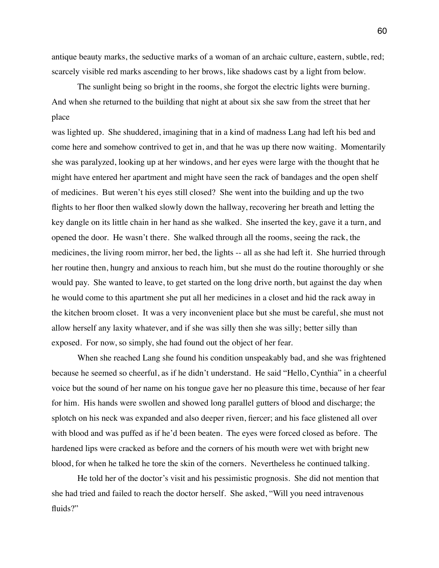antique beauty marks, the seductive marks of a woman of an archaic culture, eastern, subtle, red; scarcely visible red marks ascending to her brows, like shadows cast by a light from below.

The sunlight being so bright in the rooms, she forgot the electric lights were burning. And when she returned to the building that night at about six she saw from the street that her place

was lighted up. She shuddered, imagining that in a kind of madness Lang had left his bed and come here and somehow contrived to get in, and that he was up there now waiting. Momentarily she was paralyzed, looking up at her windows, and her eyes were large with the thought that he might have entered her apartment and might have seen the rack of bandages and the open shelf of medicines. But weren't his eyes still closed? She went into the building and up the two flights to her floor then walked slowly down the hallway, recovering her breath and letting the key dangle on its little chain in her hand as she walked. She inserted the key, gave it a turn, and opened the door. He wasn't there. She walked through all the rooms, seeing the rack, the medicines, the living room mirror, her bed, the lights -- all as she had left it. She hurried through her routine then, hungry and anxious to reach him, but she must do the routine thoroughly or she would pay. She wanted to leave, to get started on the long drive north, but against the day when he would come to this apartment she put all her medicines in a closet and hid the rack away in the kitchen broom closet. It was a very inconvenient place but she must be careful, she must not allow herself any laxity whatever, and if she was silly then she was silly; better silly than exposed. For now, so simply, she had found out the object of her fear.

When she reached Lang she found his condition unspeakably bad, and she was frightened because he seemed so cheerful, as if he didn't understand. He said "Hello, Cynthia" in a cheerful voice but the sound of her name on his tongue gave her no pleasure this time, because of her fear for him. His hands were swollen and showed long parallel gutters of blood and discharge; the splotch on his neck was expanded and also deeper riven, fiercer; and his face glistened all over with blood and was puffed as if he'd been beaten. The eyes were forced closed as before. The hardened lips were cracked as before and the corners of his mouth were wet with bright new blood, for when he talked he tore the skin of the corners. Nevertheless he continued talking.

He told her of the doctor's visit and his pessimistic prognosis. She did not mention that she had tried and failed to reach the doctor herself. She asked, "Will you need intravenous fluids?"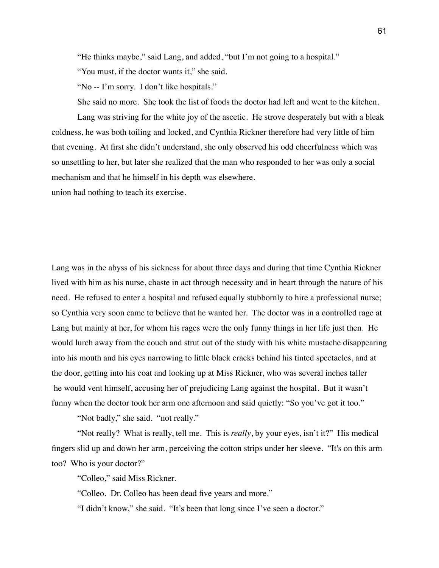"He thinks maybe," said Lang, and added, "but I'm not going to a hospital."

"You must, if the doctor wants it," she said.

"No -- I'm sorry. I don't like hospitals."

She said no more. She took the list of foods the doctor had left and went to the kitchen.

Lang was striving for the white joy of the ascetic. He strove desperately but with a bleak coldness, he was both toiling and locked, and Cynthia Rickner therefore had very little of him that evening. At first she didn't understand, she only observed his odd cheerfulness which was so unsettling to her, but later she realized that the man who responded to her was only a social mechanism and that he himself in his depth was elsewhere.

union had nothing to teach its exercise.

Lang was in the abyss of his sickness for about three days and during that time Cynthia Rickner lived with him as his nurse, chaste in act through necessity and in heart through the nature of his need. He refused to enter a hospital and refused equally stubbornly to hire a professional nurse; so Cynthia very soon came to believe that he wanted her. The doctor was in a controlled rage at Lang but mainly at her, for whom his rages were the only funny things in her life just then. He would lurch away from the couch and strut out of the study with his white mustache disappearing into his mouth and his eyes narrowing to little black cracks behind his tinted spectacles, and at the door, getting into his coat and looking up at Miss Rickner, who was several inches taller he would vent himself, accusing her of prejudicing Lang against the hospital. But it wasn't funny when the doctor took her arm one afternoon and said quietly: "So you've got it too."

"Not badly," she said. "not really."

"Not really? What is really, tell me. This is *really*, by your eyes, isn't it?" His medical fingers slid up and down her arm, perceiving the cotton strips under her sleeve. "It's on this arm too? Who is your doctor?"

"Colleo," said Miss Rickner.

"Colleo. Dr. Colleo has been dead five years and more."

"I didn't know," she said. "It's been that long since I've seen a doctor."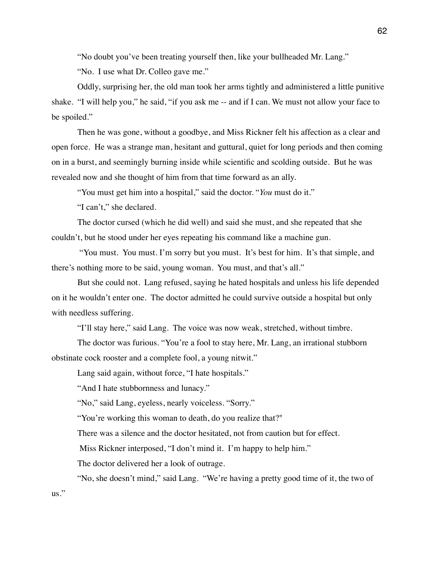"No doubt you've been treating yourself then, like your bullheaded Mr. Lang."

"No. I use what Dr. Colleo gave me."

Oddly, surprising her, the old man took her arms tightly and administered a little punitive shake. "I will help you," he said, "if you ask me -- and if I can. We must not allow your face to be spoiled."

Then he was gone, without a goodbye, and Miss Rickner felt his affection as a clear and open force. He was a strange man, hesitant and guttural, quiet for long periods and then coming on in a burst, and seemingly burning inside while scientific and scolding outside. But he was revealed now and she thought of him from that time forward as an ally.

"You must get him into a hospital," said the doctor. "*You* must do it."

"I can't," she declared.

The doctor cursed (which he did well) and said she must, and she repeated that she couldn't, but he stood under her eyes repeating his command like a machine gun.

 "You must. You must. I'm sorry but you must. It's best for him. It's that simple, and there's nothing more to be said, young woman. You must, and that's all."

But she could not. Lang refused, saying he hated hospitals and unless his life depended on it he wouldn't enter one. The doctor admitted he could survive outside a hospital but only with needless suffering.

"I'll stay here," said Lang. The voice was now weak, stretched, without timbre.

The doctor was furious. "You're a fool to stay here, Mr. Lang, an irrational stubborn obstinate cock rooster and a complete fool, a young nitwit."

Lang said again, without force, "I hate hospitals."

"And I hate stubbornness and lunacy."

"No," said Lang, eyeless, nearly voiceless. "Sorry."

"You're working this woman to death, do you realize that?"

There was a silence and the doctor hesitated, not from caution but for effect.

Miss Rickner interposed, "I don't mind it. I'm happy to help him."

The doctor delivered her a look of outrage.

"No, she doesn't mind," said Lang. "We're having a pretty good time of it, the two of

us."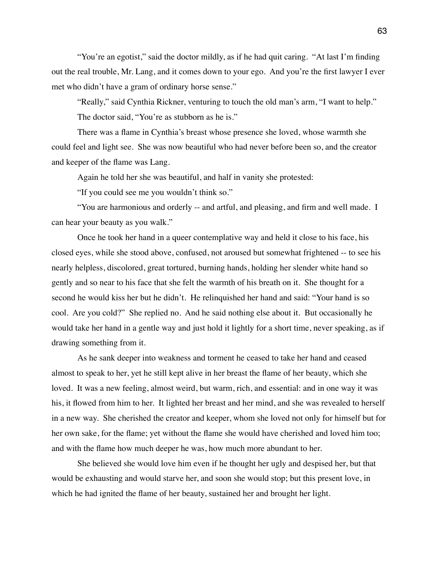"You're an egotist," said the doctor mildly, as if he had quit caring. "At last I'm finding out the real trouble, Mr. Lang, and it comes down to your ego. And you're the first lawyer I ever met who didn't have a gram of ordinary horse sense."

"Really," said Cynthia Rickner, venturing to touch the old man's arm, "I want to help." The doctor said, "You're as stubborn as he is."

There was a flame in Cynthia's breast whose presence she loved, whose warmth she could feel and light see. She was now beautiful who had never before been so, and the creator and keeper of the flame was Lang.

Again he told her she was beautiful, and half in vanity she protested:

"If you could see me you wouldn't think so."

"You are harmonious and orderly -- and artful, and pleasing, and firm and well made. I can hear your beauty as you walk."

Once he took her hand in a queer contemplative way and held it close to his face, his closed eyes, while she stood above, confused, not aroused but somewhat frightened -- to see his nearly helpless, discolored, great tortured, burning hands, holding her slender white hand so gently and so near to his face that she felt the warmth of his breath on it. She thought for a second he would kiss her but he didn't. He relinquished her hand and said: "Your hand is so cool. Are you cold?" She replied no. And he said nothing else about it. But occasionally he would take her hand in a gentle way and just hold it lightly for a short time, never speaking, as if drawing something from it.

As he sank deeper into weakness and torment he ceased to take her hand and ceased almost to speak to her, yet he still kept alive in her breast the flame of her beauty, which she loved. It was a new feeling, almost weird, but warm, rich, and essential: and in one way it was his, it flowed from him to her. It lighted her breast and her mind, and she was revealed to herself in a new way. She cherished the creator and keeper, whom she loved not only for himself but for her own sake, for the flame; yet without the flame she would have cherished and loved him too; and with the flame how much deeper he was, how much more abundant to her.

She believed she would love him even if he thought her ugly and despised her, but that would be exhausting and would starve her, and soon she would stop; but this present love, in which he had ignited the flame of her beauty, sustained her and brought her light.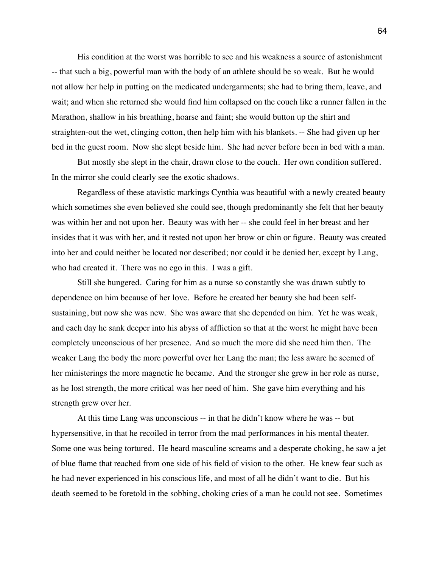His condition at the worst was horrible to see and his weakness a source of astonishment -- that such a big, powerful man with the body of an athlete should be so weak. But he would not allow her help in putting on the medicated undergarments; she had to bring them, leave, and wait; and when she returned she would find him collapsed on the couch like a runner fallen in the Marathon, shallow in his breathing, hoarse and faint; she would button up the shirt and straighten-out the wet, clinging cotton, then help him with his blankets. -- She had given up her bed in the guest room. Now she slept beside him. She had never before been in bed with a man.

But mostly she slept in the chair, drawn close to the couch. Her own condition suffered. In the mirror she could clearly see the exotic shadows.

Regardless of these atavistic markings Cynthia was beautiful with a newly created beauty which sometimes she even believed she could see, though predominantly she felt that her beauty was within her and not upon her. Beauty was with her -- she could feel in her breast and her insides that it was with her, and it rested not upon her brow or chin or figure. Beauty was created into her and could neither be located nor described; nor could it be denied her, except by Lang, who had created it. There was no ego in this. I was a gift.

Still she hungered. Caring for him as a nurse so constantly she was drawn subtly to dependence on him because of her love. Before he created her beauty she had been selfsustaining, but now she was new. She was aware that she depended on him. Yet he was weak, and each day he sank deeper into his abyss of affliction so that at the worst he might have been completely unconscious of her presence. And so much the more did she need him then. The weaker Lang the body the more powerful over her Lang the man; the less aware he seemed of her ministerings the more magnetic he became. And the stronger she grew in her role as nurse, as he lost strength, the more critical was her need of him. She gave him everything and his strength grew over her.

At this time Lang was unconscious -- in that he didn't know where he was -- but hypersensitive, in that he recoiled in terror from the mad performances in his mental theater. Some one was being tortured. He heard masculine screams and a desperate choking, he saw a jet of blue flame that reached from one side of his field of vision to the other. He knew fear such as he had never experienced in his conscious life, and most of all he didn't want to die. But his death seemed to be foretold in the sobbing, choking cries of a man he could not see. Sometimes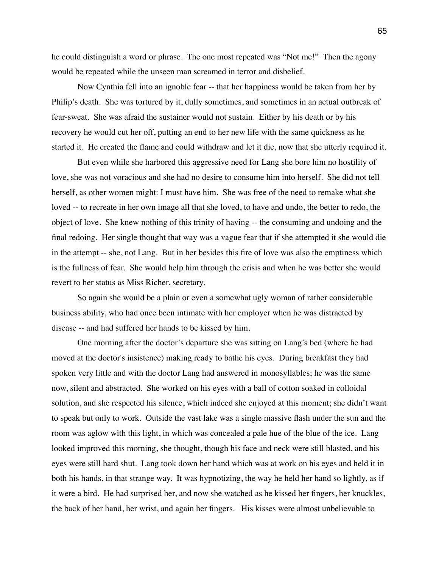he could distinguish a word or phrase. The one most repeated was "Not me!" Then the agony would be repeated while the unseen man screamed in terror and disbelief.

Now Cynthia fell into an ignoble fear -- that her happiness would be taken from her by Philip's death. She was tortured by it, dully sometimes, and sometimes in an actual outbreak of fear-sweat. She was afraid the sustainer would not sustain. Either by his death or by his recovery he would cut her off, putting an end to her new life with the same quickness as he started it. He created the flame and could withdraw and let it die, now that she utterly required it.

But even while she harbored this aggressive need for Lang she bore him no hostility of love, she was not voracious and she had no desire to consume him into herself. She did not tell herself, as other women might: I must have him. She was free of the need to remake what she loved -- to recreate in her own image all that she loved, to have and undo, the better to redo, the object of love. She knew nothing of this trinity of having -- the consuming and undoing and the final redoing. Her single thought that way was a vague fear that if she attempted it she would die in the attempt -- she, not Lang. But in her besides this fire of love was also the emptiness which is the fullness of fear. She would help him through the crisis and when he was better she would revert to her status as Miss Richer, secretary.

So again she would be a plain or even a somewhat ugly woman of rather considerable business ability, who had once been intimate with her employer when he was distracted by disease -- and had suffered her hands to be kissed by him.

One morning after the doctor's departure she was sitting on Lang's bed (where he had moved at the doctor's insistence) making ready to bathe his eyes. During breakfast they had spoken very little and with the doctor Lang had answered in monosyllables; he was the same now, silent and abstracted. She worked on his eyes with a ball of cotton soaked in colloidal solution, and she respected his silence, which indeed she enjoyed at this moment; she didn't want to speak but only to work. Outside the vast lake was a single massive flash under the sun and the room was aglow with this light, in which was concealed a pale hue of the blue of the ice. Lang looked improved this morning, she thought, though his face and neck were still blasted, and his eyes were still hard shut. Lang took down her hand which was at work on his eyes and held it in both his hands, in that strange way. It was hypnotizing, the way he held her hand so lightly, as if it were a bird. He had surprised her, and now she watched as he kissed her fingers, her knuckles, the back of her hand, her wrist, and again her fingers. His kisses were almost unbelievable to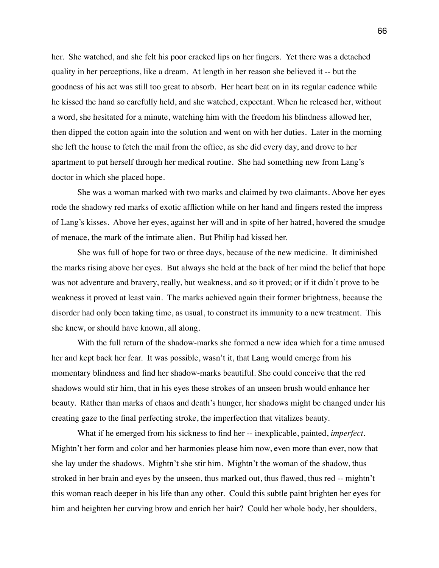her. She watched, and she felt his poor cracked lips on her fingers. Yet there was a detached quality in her perceptions, like a dream. At length in her reason she believed it -- but the goodness of his act was still too great to absorb. Her heart beat on in its regular cadence while he kissed the hand so carefully held, and she watched, expectant. When he released her, without a word, she hesitated for a minute, watching him with the freedom his blindness allowed her, then dipped the cotton again into the solution and went on with her duties. Later in the morning she left the house to fetch the mail from the office, as she did every day, and drove to her apartment to put herself through her medical routine. She had something new from Lang's doctor in which she placed hope.

She was a woman marked with two marks and claimed by two claimants. Above her eyes rode the shadowy red marks of exotic affliction while on her hand and fingers rested the impress of Lang's kisses. Above her eyes, against her will and in spite of her hatred, hovered the smudge of menace, the mark of the intimate alien. But Philip had kissed her.

She was full of hope for two or three days, because of the new medicine. It diminished the marks rising above her eyes. But always she held at the back of her mind the belief that hope was not adventure and bravery, really, but weakness, and so it proved; or if it didn't prove to be weakness it proved at least vain. The marks achieved again their former brightness, because the disorder had only been taking time, as usual, to construct its immunity to a new treatment. This she knew, or should have known, all along.

With the full return of the shadow-marks she formed a new idea which for a time amused her and kept back her fear. It was possible, wasn't it, that Lang would emerge from his momentary blindness and find her shadow-marks beautiful. She could conceive that the red shadows would stir him, that in his eyes these strokes of an unseen brush would enhance her beauty. Rather than marks of chaos and death's hunger, her shadows might be changed under his creating gaze to the final perfecting stroke, the imperfection that vitalizes beauty.

What if he emerged from his sickness to find her -- inexplicable, painted, *imperfect*. Mightn't her form and color and her harmonies please him now, even more than ever, now that she lay under the shadows. Mightn't she stir him. Mightn't the woman of the shadow, thus stroked in her brain and eyes by the unseen, thus marked out, thus flawed, thus red -- mightn't this woman reach deeper in his life than any other. Could this subtle paint brighten her eyes for him and heighten her curving brow and enrich her hair? Could her whole body, her shoulders,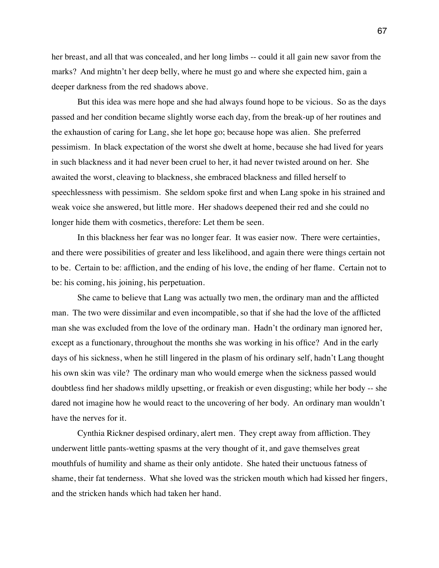her breast, and all that was concealed, and her long limbs -- could it all gain new savor from the marks? And mightn't her deep belly, where he must go and where she expected him, gain a deeper darkness from the red shadows above.

But this idea was mere hope and she had always found hope to be vicious. So as the days passed and her condition became slightly worse each day, from the break-up of her routines and the exhaustion of caring for Lang, she let hope go; because hope was alien. She preferred pessimism. In black expectation of the worst she dwelt at home, because she had lived for years in such blackness and it had never been cruel to her, it had never twisted around on her. She awaited the worst, cleaving to blackness, she embraced blackness and filled herself to speechlessness with pessimism. She seldom spoke first and when Lang spoke in his strained and weak voice she answered, but little more. Her shadows deepened their red and she could no longer hide them with cosmetics, therefore: Let them be seen.

In this blackness her fear was no longer fear. It was easier now. There were certainties, and there were possibilities of greater and less likelihood, and again there were things certain not to be. Certain to be: affliction, and the ending of his love, the ending of her flame. Certain not to be: his coming, his joining, his perpetuation.

She came to believe that Lang was actually two men, the ordinary man and the afflicted man. The two were dissimilar and even incompatible, so that if she had the love of the afflicted man she was excluded from the love of the ordinary man. Hadn't the ordinary man ignored her, except as a functionary, throughout the months she was working in his office? And in the early days of his sickness, when he still lingered in the plasm of his ordinary self, hadn't Lang thought his own skin was vile? The ordinary man who would emerge when the sickness passed would doubtless find her shadows mildly upsetting, or freakish or even disgusting; while her body -- she dared not imagine how he would react to the uncovering of her body. An ordinary man wouldn't have the nerves for it.

Cynthia Rickner despised ordinary, alert men. They crept away from affliction. They underwent little pants-wetting spasms at the very thought of it, and gave themselves great mouthfuls of humility and shame as their only antidote. She hated their unctuous fatness of shame, their fat tenderness. What she loved was the stricken mouth which had kissed her fingers, and the stricken hands which had taken her hand.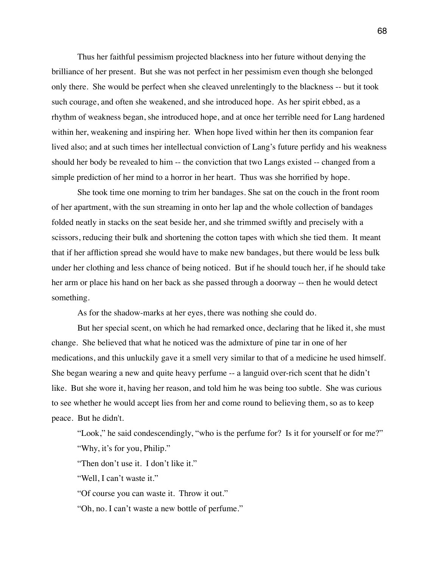Thus her faithful pessimism projected blackness into her future without denying the brilliance of her present. But she was not perfect in her pessimism even though she belonged only there. She would be perfect when she cleaved unrelentingly to the blackness -- but it took such courage, and often she weakened, and she introduced hope. As her spirit ebbed, as a rhythm of weakness began, she introduced hope, and at once her terrible need for Lang hardened within her, weakening and inspiring her. When hope lived within her then its companion fear lived also; and at such times her intellectual conviction of Lang's future perfidy and his weakness should her body be revealed to him -- the conviction that two Langs existed -- changed from a simple prediction of her mind to a horror in her heart. Thus was she horrified by hope.

She took time one morning to trim her bandages. She sat on the couch in the front room of her apartment, with the sun streaming in onto her lap and the whole collection of bandages folded neatly in stacks on the seat beside her, and she trimmed swiftly and precisely with a scissors, reducing their bulk and shortening the cotton tapes with which she tied them. It meant that if her affliction spread she would have to make new bandages, but there would be less bulk under her clothing and less chance of being noticed. But if he should touch her, if he should take her arm or place his hand on her back as she passed through a doorway -- then he would detect something.

As for the shadow-marks at her eyes, there was nothing she could do.

But her special scent, on which he had remarked once, declaring that he liked it, she must change. She believed that what he noticed was the admixture of pine tar in one of her medications, and this unluckily gave it a smell very similar to that of a medicine he used himself. She began wearing a new and quite heavy perfume -- a languid over-rich scent that he didn't like. But she wore it, having her reason, and told him he was being too subtle. She was curious to see whether he would accept lies from her and come round to believing them, so as to keep peace. But he didn't.

"Look," he said condescendingly, "who is the perfume for? Is it for yourself or for me?" "Why, it's for you, Philip."

"Then don't use it. I don't like it."

"Well, I can't waste it."

"Of course you can waste it. Throw it out."

"Oh, no. I can't waste a new bottle of perfume."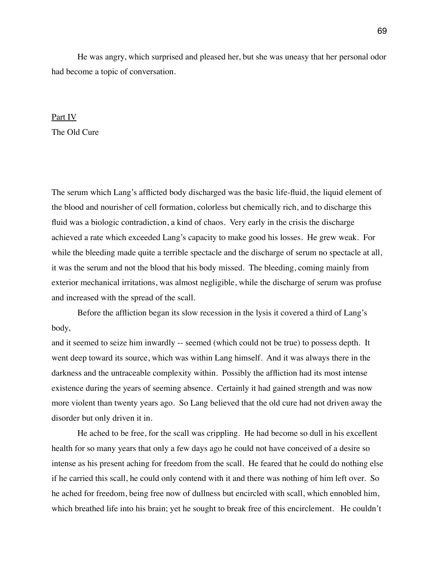He was angry, which surprised and pleased her, but she was uneasy that her personal odor had become a topic of conversation.

## Part IV The Old Cure

The serum which Lang's afflicted body discharged was the basic life-fluid, the liquid element of the blood and nourisher of cell formation, colorless but chemically rich, and to discharge this fluid was a biologic contradiction, a kind of chaos. Very early in the crisis the discharge achieved a rate which exceeded Lang's capacity to make good his losses. He grew weak. For while the bleeding made quite a terrible spectacle and the discharge of serum no spectacle at all, it was the serum and not the blood that his body missed. The bleeding, coming mainly from exterior mechanical irritations, was almost negligible, while the discharge of serum was profuse and increased with the spread of the scall.

Before the affliction began its slow recession in the lysis it covered a third of Lang's body,

and it seemed to seize him inwardly -- seemed (which could not be true) to possess depth. It went deep toward its source, which was within Lang himself. And it was always there in the darkness and the untraceable complexity within. Possibly the affliction had its most intense existence during the years of seeming absence. Certainly it had gained strength and was now more violent than twenty years ago. So Lang believed that the old cure had not driven away the disorder but only driven it in.

He ached to be free, for the scall was crippling. He had become so dull in his excellent health for so many years that only a few days ago he could not have conceived of a desire so intense as his present aching for freedom from the scall. He feared that he could do nothing else if he carried this scall, he could only contend with it and there was nothing of him left over. So he ached for freedom, being free now of dullness but encircled with scall, which ennobled him, which breathed life into his brain; yet he sought to break free of this encirclement. He couldn't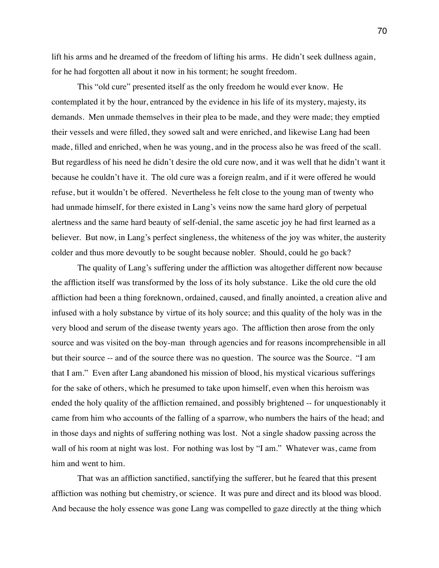lift his arms and he dreamed of the freedom of lifting his arms. He didn't seek dullness again, for he had forgotten all about it now in his torment; he sought freedom.

This "old cure" presented itself as the only freedom he would ever know. He contemplated it by the hour, entranced by the evidence in his life of its mystery, majesty, its demands. Men unmade themselves in their plea to be made, and they were made; they emptied their vessels and were filled, they sowed salt and were enriched, and likewise Lang had been made, filled and enriched, when he was young, and in the process also he was freed of the scall. But regardless of his need he didn't desire the old cure now, and it was well that he didn't want it because he couldn't have it. The old cure was a foreign realm, and if it were offered he would refuse, but it wouldn't be offered. Nevertheless he felt close to the young man of twenty who had unmade himself, for there existed in Lang's veins now the same hard glory of perpetual alertness and the same hard beauty of self-denial, the same ascetic joy he had first learned as a believer. But now, in Lang's perfect singleness, the whiteness of the joy was whiter, the austerity colder and thus more devoutly to be sought because nobler. Should, could he go back?

The quality of Lang's suffering under the affliction was altogether different now because the affliction itself was transformed by the loss of its holy substance. Like the old cure the old affliction had been a thing foreknown, ordained, caused, and finally anointed, a creation alive and infused with a holy substance by virtue of its holy source; and this quality of the holy was in the very blood and serum of the disease twenty years ago. The affliction then arose from the only source and was visited on the boy-man through agencies and for reasons incomprehensible in all but their source -- and of the source there was no question. The source was the Source. "I am that I am." Even after Lang abandoned his mission of blood, his mystical vicarious sufferings for the sake of others, which he presumed to take upon himself, even when this heroism was ended the holy quality of the affliction remained, and possibly brightened -- for unquestionably it came from him who accounts of the falling of a sparrow, who numbers the hairs of the head; and in those days and nights of suffering nothing was lost. Not a single shadow passing across the wall of his room at night was lost. For nothing was lost by "I am." Whatever was, came from him and went to him.

That was an affliction sanctified, sanctifying the sufferer, but he feared that this present affliction was nothing but chemistry, or science. It was pure and direct and its blood was blood. And because the holy essence was gone Lang was compelled to gaze directly at the thing which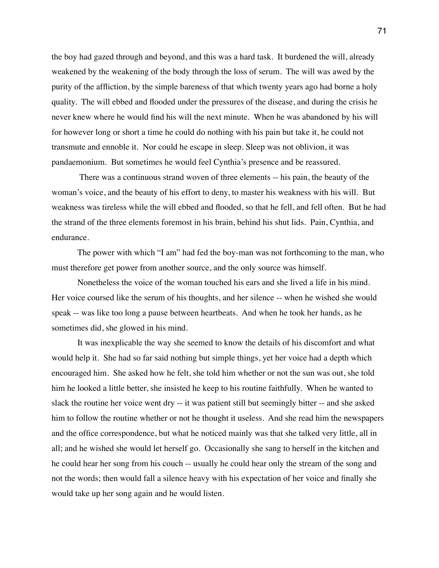the boy had gazed through and beyond, and this was a hard task. It burdened the will, already weakened by the weakening of the body through the loss of serum. The will was awed by the purity of the affliction, by the simple bareness of that which twenty years ago had borne a holy quality. The will ebbed and flooded under the pressures of the disease, and during the crisis he never knew where he would find his will the next minute. When he was abandoned by his will for however long or short a time he could do nothing with his pain but take it, he could not transmute and ennoble it. Nor could he escape in sleep. Sleep was not oblivion, it was pandaemonium. But sometimes he would feel Cynthia's presence and be reassured.

 There was a continuous strand woven of three elements -- his pain, the beauty of the woman's voice, and the beauty of his effort to deny, to master his weakness with his will. But weakness was tireless while the will ebbed and flooded, so that he fell, and fell often. But he had the strand of the three elements foremost in his brain, behind his shut lids. Pain, Cynthia, and endurance.

The power with which "I am" had fed the boy-man was not forthcoming to the man, who must therefore get power from another source, and the only source was himself.

Nonetheless the voice of the woman touched his ears and she lived a life in his mind. Her voice coursed like the serum of his thoughts, and her silence -- when he wished she would speak -- was like too long a pause between heartbeats. And when he took her hands, as he sometimes did, she glowed in his mind.

It was inexplicable the way she seemed to know the details of his discomfort and what would help it. She had so far said nothing but simple things, yet her voice had a depth which encouraged him. She asked how he felt, she told him whether or not the sun was out, she told him he looked a little better, she insisted he keep to his routine faithfully. When he wanted to slack the routine her voice went dry -- it was patient still but seemingly bitter -- and she asked him to follow the routine whether or not he thought it useless. And she read him the newspapers and the office correspondence, but what he noticed mainly was that she talked very little, all in all; and he wished she would let herself go. Occasionally she sang to herself in the kitchen and he could hear her song from his couch -- usually he could hear only the stream of the song and not the words; then would fall a silence heavy with his expectation of her voice and finally she would take up her song again and he would listen.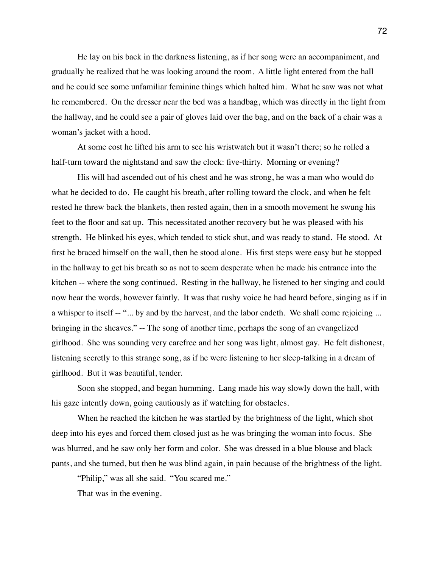He lay on his back in the darkness listening, as if her song were an accompaniment, and gradually he realized that he was looking around the room. A little light entered from the hall and he could see some unfamiliar feminine things which halted him. What he saw was not what he remembered. On the dresser near the bed was a handbag, which was directly in the light from the hallway, and he could see a pair of gloves laid over the bag, and on the back of a chair was a woman's jacket with a hood.

At some cost he lifted his arm to see his wristwatch but it wasn't there; so he rolled a half-turn toward the nightstand and saw the clock: five-thirty. Morning or evening?

His will had ascended out of his chest and he was strong, he was a man who would do what he decided to do. He caught his breath, after rolling toward the clock, and when he felt rested he threw back the blankets, then rested again, then in a smooth movement he swung his feet to the floor and sat up. This necessitated another recovery but he was pleased with his strength. He blinked his eyes, which tended to stick shut, and was ready to stand. He stood. At first he braced himself on the wall, then he stood alone. His first steps were easy but he stopped in the hallway to get his breath so as not to seem desperate when he made his entrance into the kitchen -- where the song continued. Resting in the hallway, he listened to her singing and could now hear the words, however faintly. It was that rushy voice he had heard before, singing as if in a whisper to itself -- "... by and by the harvest, and the labor endeth. We shall come rejoicing ... bringing in the sheaves." -- The song of another time, perhaps the song of an evangelized girlhood. She was sounding very carefree and her song was light, almost gay. He felt dishonest, listening secretly to this strange song, as if he were listening to her sleep-talking in a dream of girlhood. But it was beautiful, tender.

Soon she stopped, and began humming. Lang made his way slowly down the hall, with his gaze intently down, going cautiously as if watching for obstacles.

When he reached the kitchen he was startled by the brightness of the light, which shot deep into his eyes and forced them closed just as he was bringing the woman into focus. She was blurred, and he saw only her form and color. She was dressed in a blue blouse and black pants, and she turned, but then he was blind again, in pain because of the brightness of the light.

"Philip," was all she said. "You scared me."

That was in the evening.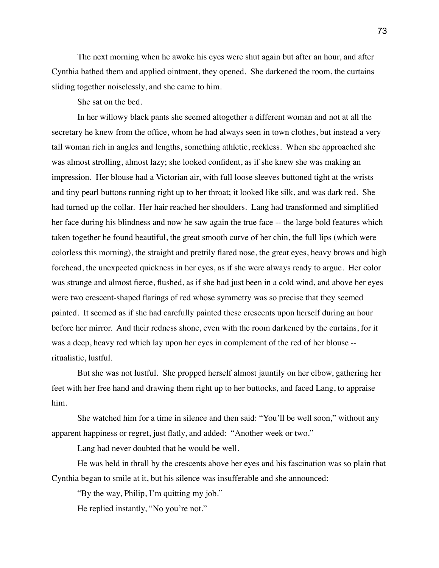The next morning when he awoke his eyes were shut again but after an hour, and after Cynthia bathed them and applied ointment, they opened. She darkened the room, the curtains sliding together noiselessly, and she came to him.

She sat on the bed.

In her willowy black pants she seemed altogether a different woman and not at all the secretary he knew from the office, whom he had always seen in town clothes, but instead a very tall woman rich in angles and lengths, something athletic, reckless. When she approached she was almost strolling, almost lazy; she looked confident, as if she knew she was making an impression. Her blouse had a Victorian air, with full loose sleeves buttoned tight at the wrists and tiny pearl buttons running right up to her throat; it looked like silk, and was dark red. She had turned up the collar. Her hair reached her shoulders. Lang had transformed and simplified her face during his blindness and now he saw again the true face -- the large bold features which taken together he found beautiful, the great smooth curve of her chin, the full lips (which were colorless this morning), the straight and prettily flared nose, the great eyes, heavy brows and high forehead, the unexpected quickness in her eyes, as if she were always ready to argue. Her color was strange and almost fierce, flushed, as if she had just been in a cold wind, and above her eyes were two crescent-shaped flarings of red whose symmetry was so precise that they seemed painted. It seemed as if she had carefully painted these crescents upon herself during an hour before her mirror. And their redness shone, even with the room darkened by the curtains, for it was a deep, heavy red which lay upon her eyes in complement of the red of her blouse - ritualistic, lustful.

But she was not lustful. She propped herself almost jauntily on her elbow, gathering her feet with her free hand and drawing them right up to her buttocks, and faced Lang, to appraise him.

She watched him for a time in silence and then said: "You'll be well soon," without any apparent happiness or regret, just flatly, and added: "Another week or two."

Lang had never doubted that he would be well.

He was held in thrall by the crescents above her eyes and his fascination was so plain that Cynthia began to smile at it, but his silence was insufferable and she announced:

"By the way, Philip, I'm quitting my job."

He replied instantly, "No you're not."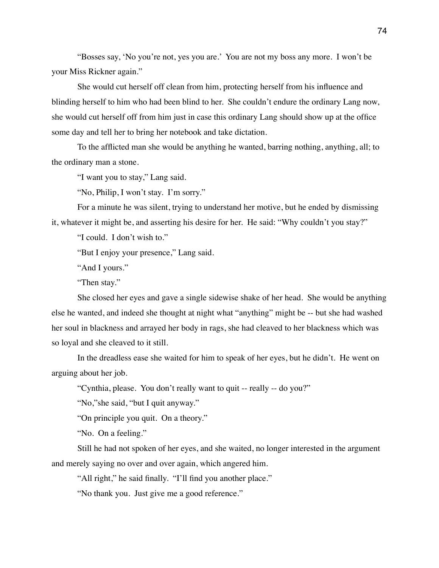"Bosses say, 'No you're not, yes you are.' You are not my boss any more. I won't be your Miss Rickner again."

She would cut herself off clean from him, protecting herself from his influence and blinding herself to him who had been blind to her. She couldn't endure the ordinary Lang now, she would cut herself off from him just in case this ordinary Lang should show up at the office some day and tell her to bring her notebook and take dictation.

To the afflicted man she would be anything he wanted, barring nothing, anything, all; to the ordinary man a stone.

"I want you to stay," Lang said.

"No, Philip, I won't stay. I'm sorry."

For a minute he was silent, trying to understand her motive, but he ended by dismissing it, whatever it might be, and asserting his desire for her. He said: "Why couldn't you stay?"

"I could. I don't wish to."

"But I enjoy your presence," Lang said.

"And I yours."

"Then stay."

She closed her eyes and gave a single sidewise shake of her head. She would be anything else he wanted, and indeed she thought at night what "anything" might be -- but she had washed her soul in blackness and arrayed her body in rags, she had cleaved to her blackness which was so loyal and she cleaved to it still.

In the dreadless ease she waited for him to speak of her eyes, but he didn't. He went on arguing about her job.

"Cynthia, please. You don't really want to quit -- really -- do you?"

"No,"she said, "but I quit anyway."

"On principle you quit. On a theory."

"No. On a feeling."

Still he had not spoken of her eyes, and she waited, no longer interested in the argument and merely saying no over and over again, which angered him.

"All right," he said finally. "I'll find you another place."

"No thank you. Just give me a good reference."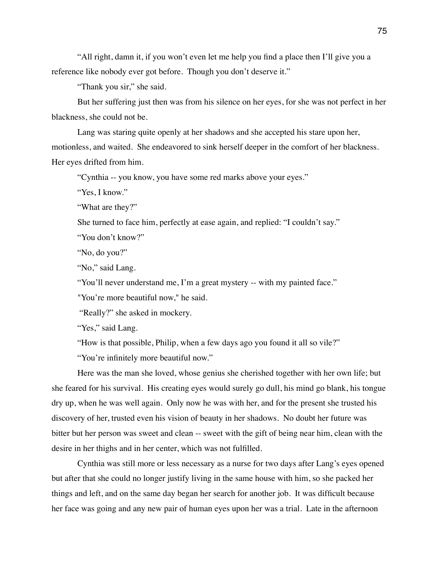"All right, damn it, if you won't even let me help you find a place then I'll give you a reference like nobody ever got before. Though you don't deserve it."

"Thank you sir," she said.

But her suffering just then was from his silence on her eyes, for she was not perfect in her blackness, she could not be.

Lang was staring quite openly at her shadows and she accepted his stare upon her, motionless, and waited. She endeavored to sink herself deeper in the comfort of her blackness. Her eyes drifted from him.

"Cynthia -- you know, you have some red marks above your eyes."

"Yes, I know."

"What are they?"

She turned to face him, perfectly at ease again, and replied: "I couldn't say."

"You don't know?"

"No, do you?"

"No," said Lang.

"You'll never understand me, I'm a great mystery -- with my painted face."

"You're more beautiful now," he said.

"Really?" she asked in mockery.

"Yes," said Lang.

"How is that possible, Philip, when a few days ago you found it all so vile?"

"You're infinitely more beautiful now."

Here was the man she loved, whose genius she cherished together with her own life; but she feared for his survival. His creating eyes would surely go dull, his mind go blank, his tongue dry up, when he was well again. Only now he was with her, and for the present she trusted his discovery of her, trusted even his vision of beauty in her shadows. No doubt her future was bitter but her person was sweet and clean -- sweet with the gift of being near him, clean with the desire in her thighs and in her center, which was not fulfilled.

Cynthia was still more or less necessary as a nurse for two days after Lang's eyes opened but after that she could no longer justify living in the same house with him, so she packed her things and left, and on the same day began her search for another job. It was difficult because her face was going and any new pair of human eyes upon her was a trial. Late in the afternoon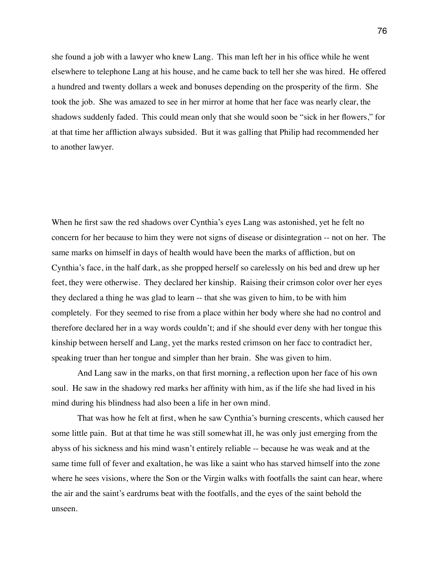she found a job with a lawyer who knew Lang. This man left her in his office while he went elsewhere to telephone Lang at his house, and he came back to tell her she was hired. He offered a hundred and twenty dollars a week and bonuses depending on the prosperity of the firm. She took the job. She was amazed to see in her mirror at home that her face was nearly clear, the shadows suddenly faded. This could mean only that she would soon be "sick in her flowers," for at that time her affliction always subsided. But it was galling that Philip had recommended her to another lawyer.

When he first saw the red shadows over Cynthia's eyes Lang was astonished, yet he felt no concern for her because to him they were not signs of disease or disintegration -- not on her. The same marks on himself in days of health would have been the marks of affliction, but on Cynthia's face, in the half dark, as she propped herself so carelessly on his bed and drew up her feet, they were otherwise. They declared her kinship. Raising their crimson color over her eyes they declared a thing he was glad to learn -- that she was given to him, to be with him completely. For they seemed to rise from a place within her body where she had no control and therefore declared her in a way words couldn't; and if she should ever deny with her tongue this kinship between herself and Lang, yet the marks rested crimson on her facc to contradict her, speaking truer than her tongue and simpler than her brain. She was given to him.

And Lang saw in the marks, on that first morning, a reflection upon her face of his own soul. He saw in the shadowy red marks her affinity with him, as if the life she had lived in his mind during his blindness had also been a life in her own mind.

That was how he felt at first, when he saw Cynthia's burning crescents, which caused her some little pain. But at that time he was still somewhat ill, he was only just emerging from the abyss of his sickness and his mind wasn't entirely reliable -- because he was weak and at the same time full of fever and exaltation, he was like a saint who has starved himself into the zone where he sees visions, where the Son or the Virgin walks with footfalls the saint can hear, where the air and the saint's eardrums beat with the footfalls, and the eyes of the saint behold the unseen.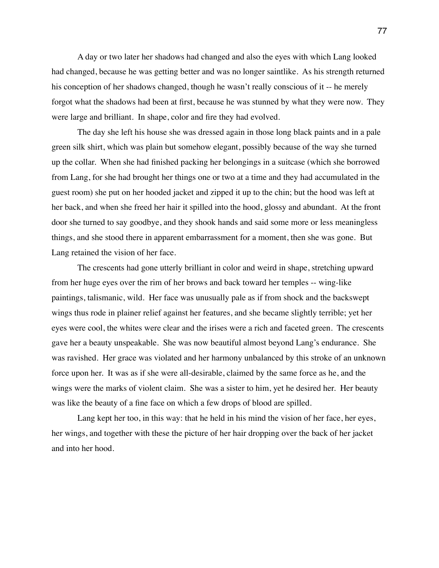A day or two later her shadows had changed and also the eyes with which Lang looked had changed, because he was getting better and was no longer saintlike. As his strength returned his conception of her shadows changed, though he wasn't really conscious of it -- he merely forgot what the shadows had been at first, because he was stunned by what they were now. They were large and brilliant. In shape, color and fire they had evolved.

The day she left his house she was dressed again in those long black paints and in a pale green silk shirt, which was plain but somehow elegant, possibly because of the way she turned up the collar. When she had finished packing her belongings in a suitcase (which she borrowed from Lang, for she had brought her things one or two at a time and they had accumulated in the guest room) she put on her hooded jacket and zipped it up to the chin; but the hood was left at her back, and when she freed her hair it spilled into the hood, glossy and abundant. At the front door she turned to say goodbye, and they shook hands and said some more or less meaningless things, and she stood there in apparent embarrassment for a moment, then she was gone. But Lang retained the vision of her face.

The crescents had gone utterly brilliant in color and weird in shape, stretching upward from her huge eyes over the rim of her brows and back toward her temples -- wing-like paintings, talismanic, wild. Her face was unusually pale as if from shock and the backswept wings thus rode in plainer relief against her features, and she became slightly terrible; yet her eyes were cool, the whites were clear and the irises were a rich and faceted green. The crescents gave her a beauty unspeakable. She was now beautiful almost beyond Lang's endurance. She was ravished. Her grace was violated and her harmony unbalanced by this stroke of an unknown force upon her. It was as if she were all-desirable, claimed by the same force as he, and the wings were the marks of violent claim. She was a sister to him, yet he desired her. Her beauty was like the beauty of a fine face on which a few drops of blood are spilled.

Lang kept her too, in this way: that he held in his mind the vision of her face, her eyes, her wings, and together with these the picture of her hair dropping over the back of her jacket and into her hood.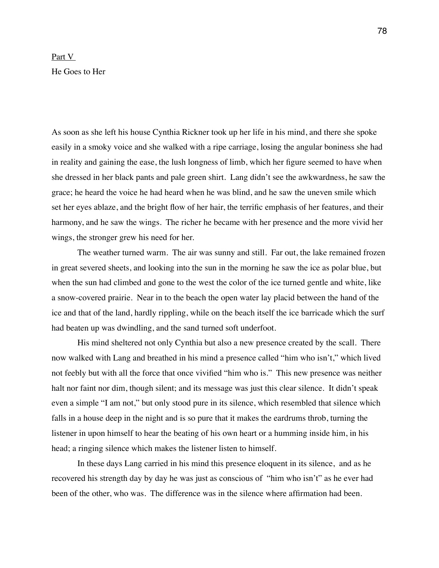## Part V He Goes to Her

As soon as she left his house Cynthia Rickner took up her life in his mind, and there she spoke easily in a smoky voice and she walked with a ripe carriage, losing the angular boniness she had in reality and gaining the ease, the lush longness of limb, which her figure seemed to have when she dressed in her black pants and pale green shirt. Lang didn't see the awkwardness, he saw the grace; he heard the voice he had heard when he was blind, and he saw the uneven smile which set her eyes ablaze, and the bright flow of her hair, the terrific emphasis of her features, and their harmony, and he saw the wings. The richer he became with her presence and the more vivid her wings, the stronger grew his need for her.

The weather turned warm. The air was sunny and still. Far out, the lake remained frozen in great severed sheets, and looking into the sun in the morning he saw the ice as polar blue, but when the sun had climbed and gone to the west the color of the ice turned gentle and white, like a snow-covered prairie. Near in to the beach the open water lay placid between the hand of the ice and that of the land, hardly rippling, while on the beach itself the ice barricade which the surf had beaten up was dwindling, and the sand turned soft underfoot.

His mind sheltered not only Cynthia but also a new presence created by the scall. There now walked with Lang and breathed in his mind a presence called "him who isn't," which lived not feebly but with all the force that once vivified "him who is." This new presence was neither halt nor faint nor dim, though silent; and its message was just this clear silence. It didn't speak even a simple "I am not," but only stood pure in its silence, which resembled that silence which falls in a house deep in the night and is so pure that it makes the eardrums throb, turning the listener in upon himself to hear the beating of his own heart or a humming inside him, in his head; a ringing silence which makes the listener listen to himself.

In these days Lang carried in his mind this presence eloquent in its silence, and as he recovered his strength day by day he was just as conscious of "him who isn't" as he ever had been of the other, who was. The difference was in the silence where affirmation had been.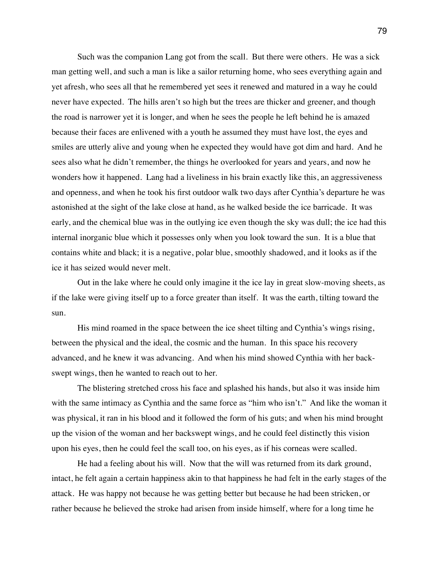Such was the companion Lang got from the scall. But there were others. He was a sick man getting well, and such a man is like a sailor returning home, who sees everything again and yet afresh, who sees all that he remembered yet sees it renewed and matured in a way he could never have expected. The hills aren't so high but the trees are thicker and greener, and though the road is narrower yet it is longer, and when he sees the people he left behind he is amazed because their faces are enlivened with a youth he assumed they must have lost, the eyes and smiles are utterly alive and young when he expected they would have got dim and hard. And he sees also what he didn't remember, the things he overlooked for years and years, and now he wonders how it happened. Lang had a liveliness in his brain exactly like this, an aggressiveness and openness, and when he took his first outdoor walk two days after Cynthia's departure he was astonished at the sight of the lake close at hand, as he walked beside the ice barricade. It was early, and the chemical blue was in the outlying ice even though the sky was dull; the ice had this internal inorganic blue which it possesses only when you look toward the sun. It is a blue that contains white and black; it is a negative, polar blue, smoothly shadowed, and it looks as if the ice it has seized would never melt.

Out in the lake where he could only imagine it the ice lay in great slow-moving sheets, as if the lake were giving itself up to a force greater than itself. It was the earth, tilting toward the sun.

His mind roamed in the space between the ice sheet tilting and Cynthia's wings rising, between the physical and the ideal, the cosmic and the human. In this space his recovery advanced, and he knew it was advancing. And when his mind showed Cynthia with her backswept wings, then he wanted to reach out to her.

The blistering stretched cross his face and splashed his hands, but also it was inside him with the same intimacy as Cynthia and the same force as "him who isn't." And like the woman it was physical, it ran in his blood and it followed the form of his guts; and when his mind brought up the vision of the woman and her backswept wings, and he could feel distinctly this vision upon his eyes, then he could feel the scall too, on his eyes, as if his corneas were scalled.

He had a feeling about his will. Now that the will was returned from its dark ground, intact, he felt again a certain happiness akin to that happiness he had felt in the early stages of the attack. He was happy not because he was getting better but because he had been stricken, or rather because he believed the stroke had arisen from inside himself, where for a long time he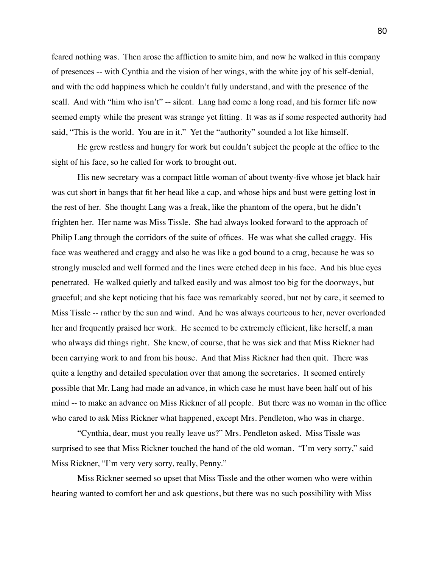feared nothing was. Then arose the affliction to smite him, and now he walked in this company of presences -- with Cynthia and the vision of her wings, with the white joy of his self-denial, and with the odd happiness which he couldn't fully understand, and with the presence of the scall. And with "him who isn't" -- silent. Lang had come a long road, and his former life now seemed empty while the present was strange yet fitting. It was as if some respected authority had said, "This is the world. You are in it." Yet the "authority" sounded a lot like himself.

He grew restless and hungry for work but couldn't subject the people at the office to the sight of his face, so he called for work to brought out.

His new secretary was a compact little woman of about twenty-five whose jet black hair was cut short in bangs that fit her head like a cap, and whose hips and bust were getting lost in the rest of her. She thought Lang was a freak, like the phantom of the opera, but he didn't frighten her. Her name was Miss Tissle. She had always looked forward to the approach of Philip Lang through the corridors of the suite of offices. He was what she called craggy. His face was weathered and craggy and also he was like a god bound to a crag, because he was so strongly muscled and well formed and the lines were etched deep in his face. And his blue eyes penetrated. He walked quietly and talked easily and was almost too big for the doorways, but graceful; and she kept noticing that his face was remarkably scored, but not by care, it seemed to Miss Tissle -- rather by the sun and wind. And he was always courteous to her, never overloaded her and frequently praised her work. He seemed to be extremely efficient, like herself, a man who always did things right. She knew, of course, that he was sick and that Miss Rickner had been carrying work to and from his house. And that Miss Rickner had then quit. There was quite a lengthy and detailed speculation over that among the secretaries. It seemed entirely possible that Mr. Lang had made an advance, in which case he must have been half out of his mind -- to make an advance on Miss Rickner of all people. But there was no woman in the office who cared to ask Miss Rickner what happened, except Mrs. Pendleton, who was in charge.

"Cynthia, dear, must you really leave us?" Mrs. Pendleton asked. Miss Tissle was surprised to see that Miss Rickner touched the hand of the old woman. "I'm very sorry," said Miss Rickner, "I'm very very sorry, really, Penny."

Miss Rickner seemed so upset that Miss Tissle and the other women who were within hearing wanted to comfort her and ask questions, but there was no such possibility with Miss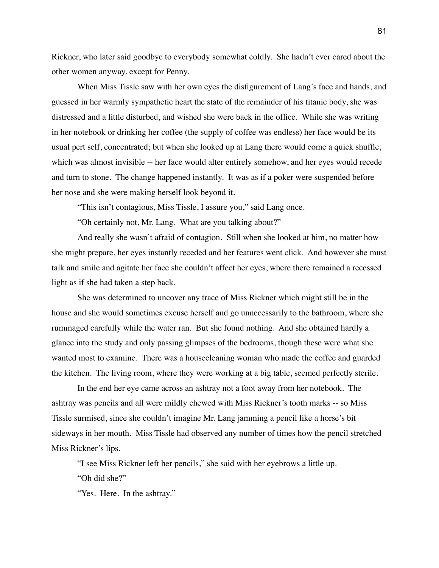Rickner, who later said goodbye to everybody somewhat coldly. She hadn't ever cared about the other women anyway, except for Penny.

When Miss Tissle saw with her own eyes the disfigurement of Lang's face and hands, and guessed in her warmly sympathetic heart the state of the remainder of his titanic body, she was distressed and a little disturbed, and wished she were back in the office. While she was writing in her notebook or drinking her coffee (the supply of coffee was endless) her face would be its usual pert self, concentrated; but when she looked up at Lang there would come a quick shuffle, which was almost invisible -- her face would alter entirely somehow, and her eyes would recede and turn to stone. The change happened instantly. It was as if a poker were suspended before her nose and she were making herself look beyond it.

"This isn't contagious, Miss Tissle, I assure you," said Lang once.

"Oh certainly not, Mr. Lang. What are you talking about?"

And really she wasn't afraid of contagion. Still when she looked at him, no matter how she might prepare, her eyes instantly receded and her features went click. And however she must talk and smile and agitate her face she couldn't affect her eyes, where there remained a recessed light as if she had taken a step back.

She was determined to uncover any trace of Miss Rickner which might still be in the house and she would sometimes excuse herself and go unnecessarily to the bathroom, where she rummaged carefully while the water ran. But she found nothing. And she obtained hardly a glance into the study and only passing glimpses of the bedrooms, though these were what she wanted most to examine. There was a housecleaning woman who made the coffee and guarded the kitchen. The living room, where they were working at a big table, seemed perfectly sterile.

In the end her eye came across an ashtray not a foot away from her notebook. The ashtray was pencils and all were mildly chewed with Miss Rickner's tooth marks -- so Miss Tissle surmised, since she couldn't imagine Mr. Lang jamming a pencil like a horse's bit sideways in her mouth. Miss Tissle had observed any number of times how the pencil stretched Miss Rickner's lips.

"I see Miss Rickner left her pencils," she said with her eyebrows a little up.

"Oh did she?"

"Yes. Here. In the ashtray."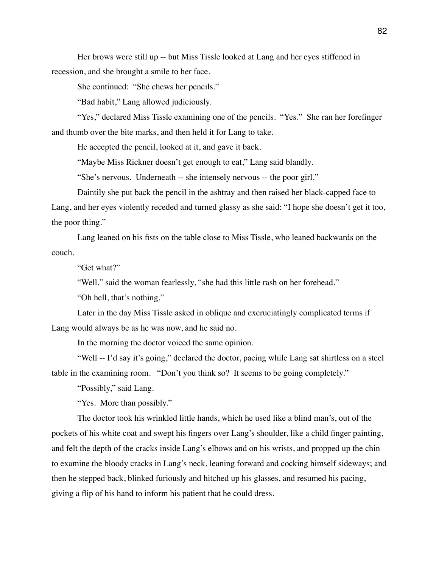Her brows were still up -- but Miss Tissle looked at Lang and her eyes stiffened in recession, and she brought a smile to her face.

She continued: "She chews her pencils."

"Bad habit," Lang allowed judiciously.

"Yes," declared Miss Tissle examining one of the pencils. "Yes." She ran her forefinger and thumb over the bite marks, and then held it for Lang to take.

He accepted the pencil, looked at it, and gave it back.

"Maybe Miss Rickner doesn't get enough to eat," Lang said blandly.

"She's nervous. Underneath -- she intensely nervous -- the poor girl."

Daintily she put back the pencil in the ashtray and then raised her black-capped face to Lang, and her eyes violently receded and turned glassy as she said: "I hope she doesn't get it too, the poor thing."

Lang leaned on his fists on the table close to Miss Tissle, who leaned backwards on the couch.

"Get what?"

"Well," said the woman fearlessly, "she had this little rash on her forehead."

"Oh hell, that's nothing."

Later in the day Miss Tissle asked in oblique and excruciatingly complicated terms if Lang would always be as he was now, and he said no.

In the morning the doctor voiced the same opinion.

"Well -- I'd say it's going," declared the doctor, pacing while Lang sat shirtless on a steel table in the examining room. "Don't you think so? It seems to be going completely."

"Possibly," said Lang.

"Yes. More than possibly."

The doctor took his wrinkled little hands, which he used like a blind man's, out of the pockets of his white coat and swept his fingers over Lang's shoulder, like a child finger painting, and felt the depth of the cracks inside Lang's elbows and on his wrists, and propped up the chin to examine the bloody cracks in Lang's neck, leaning forward and cocking himself sideways; and then he stepped back, blinked furiously and hitched up his glasses, and resumed his pacing, giving a flip of his hand to inform his patient that he could dress.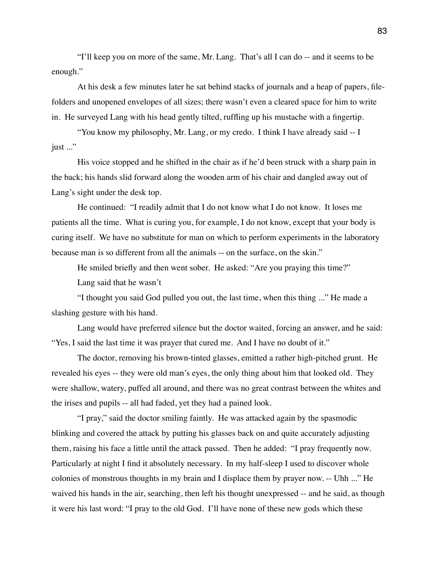"I'll keep you on more of the same, Mr. Lang. That's all I can do -- and it seems to be enough."

At his desk a few minutes later he sat behind stacks of journals and a heap of papers, filefolders and unopened envelopes of all sizes; there wasn't even a cleared space for him to write in. He surveyed Lang with his head gently tilted, ruffling up his mustache with a fingertip.

"You know my philosophy, Mr. Lang, or my credo. I think I have already said -- I just ..."

His voice stopped and he shifted in the chair as if he'd been struck with a sharp pain in the back; his hands slid forward along the wooden arm of his chair and dangled away out of Lang's sight under the desk top.

He continued: "I readily admit that I do not know what I do not know. It loses me patients all the time. What is curing you, for example, I do not know, except that your body is curing itself. We have no substitute for man on which to perform experiments in the laboratory because man is so different from all the animals -- on the surface, on the skin."

He smiled briefly and then went sober. He asked: "Are you praying this time?"

Lang said that he wasn't

"I thought you said God pulled you out, the last time, when this thing ..." He made a slashing gesture with his hand.

Lang would have preferred silence but the doctor waited, forcing an answer, and he said: "Yes, I said the last time it was prayer that cured me. And I have no doubt of it."

The doctor, removing his brown-tinted glasses, emitted a rather high-pitched grunt. He revealed his eyes -- they were old man's eyes, the only thing about him that looked old. They were shallow, watery, puffed all around, and there was no great contrast between the whites and the irises and pupils -- all had faded, yet they had a pained look.

"I pray," said the doctor smiling faintly. He was attacked again by the spasmodic blinking and covered the attack by putting his glasses back on and quite accurately adjusting them, raising his face a little until the attack passed. Then he added: "I pray frequently now. Particularly at night I find it absolutely necessary. In my half-sleep I used to discover whole colonies of monstrous thoughts in my brain and I displace them by prayer now. -- Uhh ..." He waived his hands in the air, searching, then left his thought unexpressed -- and he said, as though it were his last word: "I pray to the old God. I'll have none of these new gods which these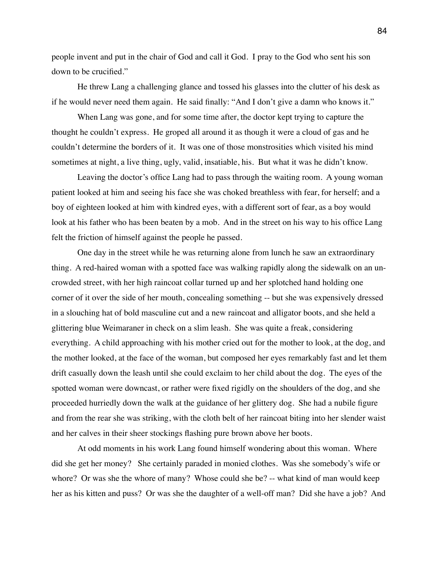people invent and put in the chair of God and call it God. I pray to the God who sent his son down to be crucified."

He threw Lang a challenging glance and tossed his glasses into the clutter of his desk as if he would never need them again. He said finally: "And I don't give a damn who knows it."

When Lang was gone, and for some time after, the doctor kept trying to capture the thought he couldn't express. He groped all around it as though it were a cloud of gas and he couldn't determine the borders of it. It was one of those monstrosities which visited his mind sometimes at night, a live thing, ugly, valid, insatiable, his. But what it was he didn't know.

Leaving the doctor's office Lang had to pass through the waiting room. A young woman patient looked at him and seeing his face she was choked breathless with fear, for herself; and a boy of eighteen looked at him with kindred eyes, with a different sort of fear, as a boy would look at his father who has been beaten by a mob. And in the street on his way to his office Lang felt the friction of himself against the people he passed.

One day in the street while he was returning alone from lunch he saw an extraordinary thing. A red-haired woman with a spotted face was walking rapidly along the sidewalk on an uncrowded street, with her high raincoat collar turned up and her splotched hand holding one corner of it over the side of her mouth, concealing something -- but she was expensively dressed in a slouching hat of bold masculine cut and a new raincoat and alligator boots, and she held a glittering blue Weimaraner in check on a slim leash. She was quite a freak, considering everything. A child approaching with his mother cried out for the mother to look, at the dog, and the mother looked, at the face of the woman, but composed her eyes remarkably fast and let them drift casually down the leash until she could exclaim to her child about the dog. The eyes of the spotted woman were downcast, or rather were fixed rigidly on the shoulders of the dog, and she proceeded hurriedly down the walk at the guidance of her glittery dog. She had a nubile figure and from the rear she was striking, with the cloth belt of her raincoat biting into her slender waist and her calves in their sheer stockings flashing pure brown above her boots.

At odd moments in his work Lang found himself wondering about this woman. Where did she get her money? She certainly paraded in monied clothes. Was she somebody's wife or whore? Or was she the whore of many? Whose could she be? -- what kind of man would keep her as his kitten and puss? Or was she the daughter of a well-off man? Did she have a job? And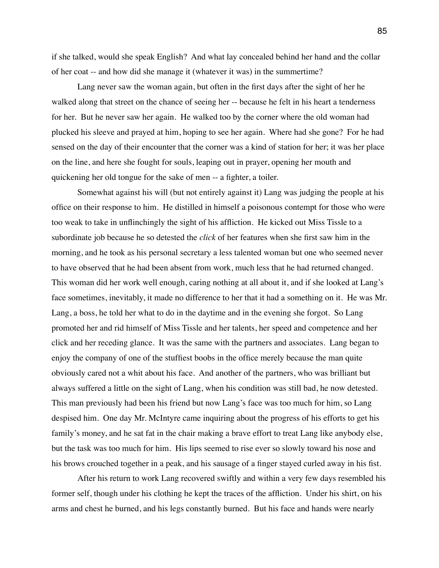if she talked, would she speak English? And what lay concealed behind her hand and the collar of her coat -- and how did she manage it (whatever it was) in the summertime?

Lang never saw the woman again, but often in the first days after the sight of her he walked along that street on the chance of seeing her -- because he felt in his heart a tenderness for her. But he never saw her again. He walked too by the corner where the old woman had plucked his sleeve and prayed at him, hoping to see her again. Where had she gone? For he had sensed on the day of their encounter that the corner was a kind of station for her; it was her place on the line, and here she fought for souls, leaping out in prayer, opening her mouth and quickening her old tongue for the sake of men -- a fighter, a toiler.

Somewhat against his will (but not entirely against it) Lang was judging the people at his office on their response to him. He distilled in himself a poisonous contempt for those who were too weak to take in unflinchingly the sight of his affliction. He kicked out Miss Tissle to a subordinate job because he so detested the *click* of her features when she first saw him in the morning, and he took as his personal secretary a less talented woman but one who seemed never to have observed that he had been absent from work, much less that he had returned changed. This woman did her work well enough, caring nothing at all about it, and if she looked at Lang's face sometimes, inevitably, it made no difference to her that it had a something on it. He was Mr. Lang, a boss, he told her what to do in the daytime and in the evening she forgot. So Lang promoted her and rid himself of Miss Tissle and her talents, her speed and competence and her click and her receding glance. It was the same with the partners and associates. Lang began to enjoy the company of one of the stuffiest boobs in the office merely because the man quite obviously cared not a whit about his face. And another of the partners, who was brilliant but always suffered a little on the sight of Lang, when his condition was still bad, he now detested. This man previously had been his friend but now Lang's face was too much for him, so Lang despised him. One day Mr. McIntyre came inquiring about the progress of his efforts to get his family's money, and he sat fat in the chair making a brave effort to treat Lang like anybody else, but the task was too much for him. His lips seemed to rise ever so slowly toward his nose and his brows crouched together in a peak, and his sausage of a finger stayed curled away in his fist.

After his return to work Lang recovered swiftly and within a very few days resembled his former self, though under his clothing he kept the traces of the affliction. Under his shirt, on his arms and chest he burned, and his legs constantly burned. But his face and hands were nearly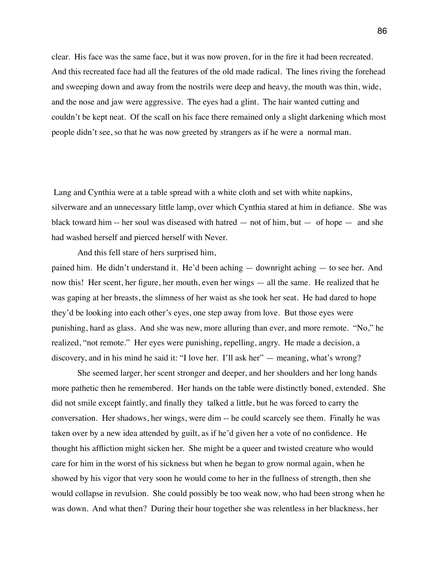clear. His face was the same face, but it was now proven, for in the fire it had been recreated. And this recreated face had all the features of the old made radical. The lines riving the forehead and sweeping down and away from the nostrils were deep and heavy, the mouth was thin, wide, and the nose and jaw were aggressive. The eyes had a glint. The hair wanted cutting and couldn't be kept neat. Of the scall on his face there remained only a slight darkening which most people didn't see, so that he was now greeted by strangers as if he were a normal man.

 Lang and Cynthia were at a table spread with a white cloth and set with white napkins, silverware and an unnecessary little lamp, over which Cynthia stared at him in defiance. She was black toward him -- her soul was diseased with hatred  $-$  not of him, but  $-$  of hope  $-$  and she had washed herself and pierced herself with Never.

And this fell stare of hers surprised him,

pained him. He didn't understand it. He'd been aching — downright aching — to see her. And now this! Her scent, her figure, her mouth, even her wings — all the same. He realized that he was gaping at her breasts, the slimness of her waist as she took her seat. He had dared to hope they'd be looking into each other's eyes, one step away from love. But those eyes were punishing, hard as glass. And she was new, more alluring than ever, and more remote. "No," he realized, "not remote." Her eyes were punishing, repelling, angry. He made a decision, a discovery, and in his mind he said it: "I love her. I'll ask her" — meaning, what's wrong?

She seemed larger, her scent stronger and deeper, and her shoulders and her long hands more pathetic then he remembered. Her hands on the table were distinctly boned, extended. She did not smile except faintly, and finally they talked a little, but he was forced to carry the conversation. Her shadows, her wings, were dim -- he could scarcely see them. Finally he was taken over by a new idea attended by guilt, as if he'd given her a vote of no confidence. He thought his affliction might sicken her. She might be a queer and twisted creature who would care for him in the worst of his sickness but when he began to grow normal again, when he showed by his vigor that very soon he would come to her in the fullness of strength, then she would collapse in revulsion. She could possibly be too weak now, who had been strong when he was down. And what then? During their hour together she was relentless in her blackness, her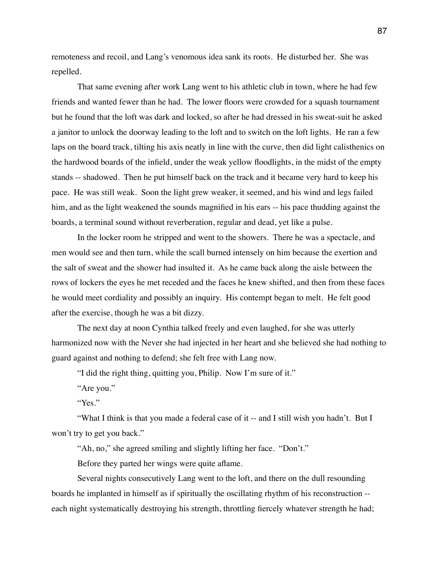remoteness and recoil, and Lang's venomous idea sank its roots. He disturbed her. She was repelled.

That same evening after work Lang went to his athletic club in town, where he had few friends and wanted fewer than he had. The lower floors were crowded for a squash tournament but he found that the loft was dark and locked, so after he had dressed in his sweat-suit he asked a janitor to unlock the doorway leading to the loft and to switch on the loft lights. He ran a few laps on the board track, tilting his axis neatly in line with the curve, then did light calisthenics on the hardwood boards of the infield, under the weak yellow floodlights, in the midst of the empty stands -- shadowed. Then he put himself back on the track and it became very hard to keep his pace. He was still weak. Soon the light grew weaker, it seemed, and his wind and legs failed him, and as the light weakened the sounds magnified in his ears -- his pace thudding against the boards, a terminal sound without reverberation, regular and dead, yet like a pulse.

In the locker room he stripped and went to the showers. There he was a spectacle, and men would see and then turn, while the scall burned intensely on him because the exertion and the salt of sweat and the shower had insulted it. As he came back along the aisle between the rows of lockers the eyes he met receded and the faces he knew shifted, and then from these faces he would meet cordiality and possibly an inquiry. His contempt began to melt. He felt good after the exercise, though he was a bit dizzy.

The next day at noon Cynthia talked freely and even laughed, for she was utterly harmonized now with the Never she had injected in her heart and she believed she had nothing to guard against and nothing to defend; she felt free with Lang now.

"I did the right thing, quitting you, Philip. Now I'm sure of it."

"Are you."

"Yes."

"What I think is that you made a federal case of it -- and I still wish you hadn't. But I won't try to get you back."

"Ah, no," she agreed smiling and slightly lifting her face. "Don't."

Before they parted her wings were quite aflame.

Several nights consecutively Lang went to the loft, and there on the dull resounding boards he implanted in himself as if spiritually the oscillating rhythm of his reconstruction - each night systematically destroying his strength, throttling fiercely whatever strength he had;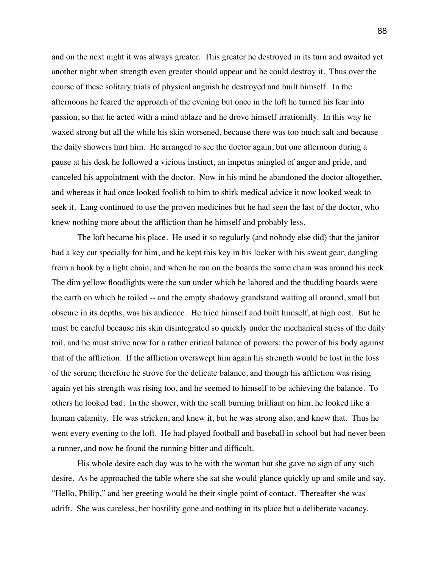and on the next night it was always greater. This greater he destroyed in its turn and awaited yet another night when strength even greater should appear and he could destroy it. Thus over the course of these solitary trials of physical anguish he destroyed and built himself. In the afternoons he feared the approach of the evening but once in the loft he turned his fear into passion, so that he acted with a mind ablaze and he drove himself irrationally. In this way he waxed strong but all the while his skin worsened, because there was too much salt and because the daily showers hurt him. He arranged to see the doctor again, but one afternoon during a pause at his desk he followed a vicious instinct, an impetus mingled of anger and pride, and canceled his appointment with the doctor. Now in his mind he abandoned the doctor altogether, and whereas it had once looked foolish to him to shirk medical advice it now looked weak to seek it. Lang continued to use the proven medicines but he had seen the last of the doctor, who knew nothing more about the affliction than he himself and probably less.

The loft became his place. He used it so regularly (and nobody else did) that the janitor had a key cut specially for him, and he kept this key in his locker with his sweat gear, dangling from a hook by a light chain, and when he ran on the boards the same chain was around his neck. The dim yellow floodlights were the sun under which he labored and the thudding boards were the earth on which he toiled -- and the empty shadowy grandstand waiting all around, small but obscure in its depths, was his audience. He tried himself and built himself, at high cost. But he must be careful because his skin disintegrated so quickly under the mechanical stress of the daily toil, and he must strive now for a rather critical balance of powers: the power of his body against that of the affliction. If the affliction overswept him again his strength would be lost in the loss of the serum; therefore he strove for the delicate balance, and though his affliction was rising again yet his strength was rising too, and he seemed to himself to be achieving the balance. To others he looked bad. In the shower, with the scall burning brilliant on him, he looked like a human calamity. He was stricken, and knew it, but he was strong also, and knew that. Thus he went every evening to the loft. He had played football and baseball in school but had never been a runner, and now he found the running bitter and difficult.

His whole desire each day was to be with the woman but she gave no sign of any such desire. As he approached the table where she sat she would glance quickly up and smile and say, "Hello, Philip," and her greeting would be their single point of contact. Thereafter she was adrift. She was careless, her hostility gone and nothing in its place but a deliberate vacancy.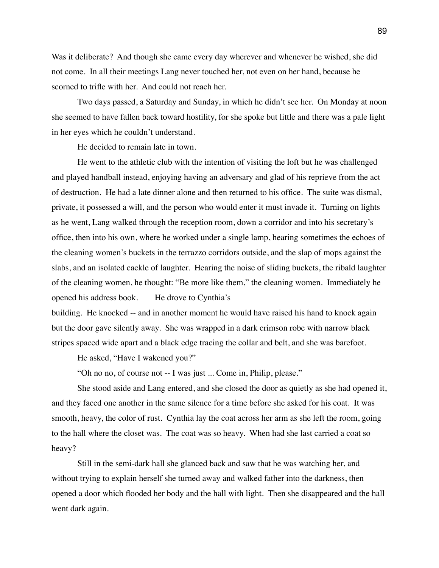Was it deliberate? And though she came every day wherever and whenever he wished, she did not come. In all their meetings Lang never touched her, not even on her hand, because he scorned to trifle with her. And could not reach her.

Two days passed, a Saturday and Sunday, in which he didn't see her. On Monday at noon she seemed to have fallen back toward hostility, for she spoke but little and there was a pale light in her eyes which he couldn't understand.

He decided to remain late in town.

He went to the athletic club with the intention of visiting the loft but he was challenged and played handball instead, enjoying having an adversary and glad of his reprieve from the act of destruction. He had a late dinner alone and then returned to his office. The suite was dismal, private, it possessed a will, and the person who would enter it must invade it. Turning on lights as he went, Lang walked through the reception room, down a corridor and into his secretary's office, then into his own, where he worked under a single lamp, hearing sometimes the echoes of the cleaning women's buckets in the terrazzo corridors outside, and the slap of mops against the slabs, and an isolated cackle of laughter. Hearing the noise of sliding buckets, the ribald laughter of the cleaning women, he thought: "Be more like them," the cleaning women. Immediately he opened his address book. He drove to Cynthia's

building. He knocked -- and in another moment he would have raised his hand to knock again but the door gave silently away. She was wrapped in a dark crimson robe with narrow black stripes spaced wide apart and a black edge tracing the collar and belt, and she was barefoot.

He asked, "Have I wakened you?"

"Oh no no, of course not -- I was just ... Come in, Philip, please."

She stood aside and Lang entered, and she closed the door as quietly as she had opened it, and they faced one another in the same silence for a time before she asked for his coat. It was smooth, heavy, the color of rust. Cynthia lay the coat across her arm as she left the room, going to the hall where the closet was. The coat was so heavy. When had she last carried a coat so heavy?

Still in the semi-dark hall she glanced back and saw that he was watching her, and without trying to explain herself she turned away and walked father into the darkness, then opened a door which flooded her body and the hall with light. Then she disappeared and the hall went dark again.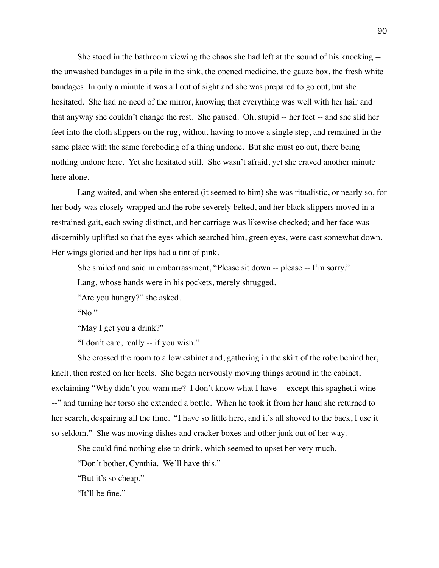She stood in the bathroom viewing the chaos she had left at the sound of his knocking - the unwashed bandages in a pile in the sink, the opened medicine, the gauze box, the fresh white bandages In only a minute it was all out of sight and she was prepared to go out, but she hesitated. She had no need of the mirror, knowing that everything was well with her hair and that anyway she couldn't change the rest. She paused. Oh, stupid -- her feet -- and she slid her feet into the cloth slippers on the rug, without having to move a single step, and remained in the same place with the same foreboding of a thing undone. But she must go out, there being nothing undone here. Yet she hesitated still. She wasn't afraid, yet she craved another minute here alone.

Lang waited, and when she entered (it seemed to him) she was ritualistic, or nearly so, for her body was closely wrapped and the robe severely belted, and her black slippers moved in a restrained gait, each swing distinct, and her carriage was likewise checked; and her face was discernibly uplifted so that the eyes which searched him, green eyes, were cast somewhat down. Her wings gloried and her lips had a tint of pink.

She smiled and said in embarrassment, "Please sit down -- please -- I'm sorry."

Lang, whose hands were in his pockets, merely shrugged.

"Are you hungry?" she asked.

"No."

"May I get you a drink?"

"I don't care, really -- if you wish."

She crossed the room to a low cabinet and, gathering in the skirt of the robe behind her, knelt, then rested on her heels. She began nervously moving things around in the cabinet, exclaiming "Why didn't you warn me? I don't know what I have -- except this spaghetti wine --" and turning her torso she extended a bottle. When he took it from her hand she returned to her search, despairing all the time. "I have so little here, and it's all shoved to the back, I use it so seldom." She was moving dishes and cracker boxes and other junk out of her way.

She could find nothing else to drink, which seemed to upset her very much.

"Don't bother, Cynthia. We'll have this."

"But it's so cheap."

"It'll be fine."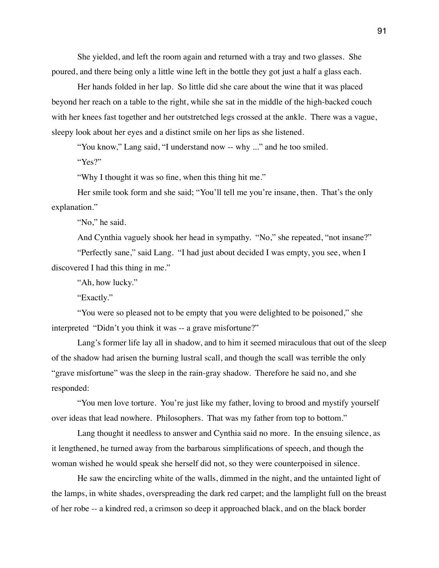She yielded, and left the room again and returned with a tray and two glasses. She poured, and there being only a little wine left in the bottle they got just a half a glass each.

Her hands folded in her lap. So little did she care about the wine that it was placed beyond her reach on a table to the right, while she sat in the middle of the high-backed couch with her knees fast together and her outstretched legs crossed at the ankle. There was a vague, sleepy look about her eyes and a distinct smile on her lips as she listened.

"You know," Lang said, "I understand now -- why ..." and he too smiled.

"Yes?"

"Why I thought it was so fine, when this thing hit me."

Her smile took form and she said; "You'll tell me you're insane, then. That's the only explanation."

"No," he said.

And Cynthia vaguely shook her head in sympathy. "No," she repeated, "not insane?"

"Perfectly sane," said Lang. "I had just about decided I was empty, you see, when I discovered I had this thing in me."

"Ah, how lucky."

"Exactly."

"You were so pleased not to be empty that you were delighted to be poisoned," she interpreted "Didn't you think it was -- a grave misfortune?"

Lang's former life lay all in shadow, and to him it seemed miraculous that out of the sleep of the shadow had arisen the burning lustral scall, and though the scall was terrible the only "grave misfortune" was the sleep in the rain-gray shadow. Therefore he said no, and she responded:

"You men love torture. You're just like my father, loving to brood and mystify yourself over ideas that lead nowhere. Philosophers. That was my father from top to bottom."

Lang thought it needless to answer and Cynthia said no more. In the ensuing silence, as it lengthened, he turned away from the barbarous simplifications of speech, and though the woman wished he would speak she herself did not, so they were counterpoised in silence.

He saw the encircling white of the walls, dimmed in the night, and the untainted light of the lamps, in white shades, overspreading the dark red carpet; and the lamplight full on the breast of her robe -- a kindred red, a crimson so deep it approached black, and on the black border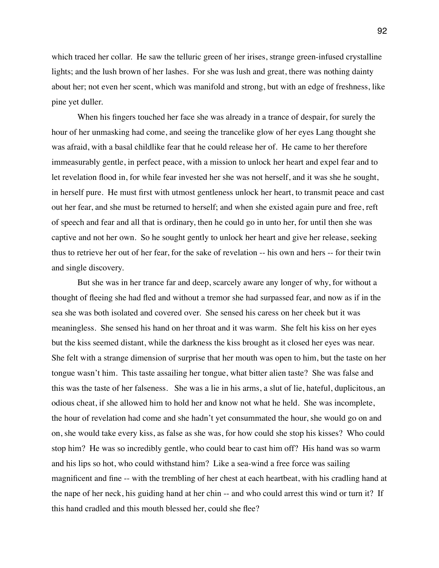which traced her collar. He saw the telluric green of her irises, strange green-infused crystalline lights; and the lush brown of her lashes. For she was lush and great, there was nothing dainty about her; not even her scent, which was manifold and strong, but with an edge of freshness, like pine yet duller.

When his fingers touched her face she was already in a trance of despair, for surely the hour of her unmasking had come, and seeing the trancelike glow of her eyes Lang thought she was afraid, with a basal childlike fear that he could release her of. He came to her therefore immeasurably gentle, in perfect peace, with a mission to unlock her heart and expel fear and to let revelation flood in, for while fear invested her she was not herself, and it was she he sought, in herself pure. He must first with utmost gentleness unlock her heart, to transmit peace and cast out her fear, and she must be returned to herself; and when she existed again pure and free, reft of speech and fear and all that is ordinary, then he could go in unto her, for until then she was captive and not her own. So he sought gently to unlock her heart and give her release, seeking thus to retrieve her out of her fear, for the sake of revelation -- his own and hers -- for their twin and single discovery.

But she was in her trance far and deep, scarcely aware any longer of why, for without a thought of fleeing she had fled and without a tremor she had surpassed fear, and now as if in the sea she was both isolated and covered over. She sensed his caress on her cheek but it was meaningless. She sensed his hand on her throat and it was warm. She felt his kiss on her eyes but the kiss seemed distant, while the darkness the kiss brought as it closed her eyes was near. She felt with a strange dimension of surprise that her mouth was open to him, but the taste on her tongue wasn't him. This taste assailing her tongue, what bitter alien taste? She was false and this was the taste of her falseness. She was a lie in his arms, a slut of lie, hateful, duplicitous, an odious cheat, if she allowed him to hold her and know not what he held. She was incomplete, the hour of revelation had come and she hadn't yet consummated the hour, she would go on and on, she would take every kiss, as false as she was, for how could she stop his kisses? Who could stop him? He was so incredibly gentle, who could bear to cast him off? His hand was so warm and his lips so hot, who could withstand him? Like a sea-wind a free force was sailing magnificent and fine -- with the trembling of her chest at each heartbeat, with his cradling hand at the nape of her neck, his guiding hand at her chin -- and who could arrest this wind or turn it? If this hand cradled and this mouth blessed her, could she flee?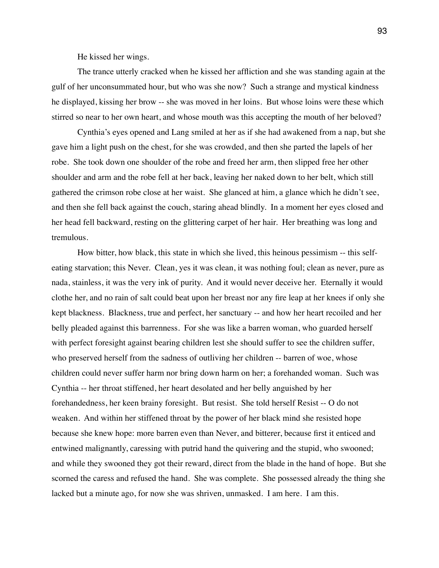He kissed her wings.

The trance utterly cracked when he kissed her affliction and she was standing again at the gulf of her unconsummated hour, but who was she now? Such a strange and mystical kindness he displayed, kissing her brow -- she was moved in her loins. But whose loins were these which stirred so near to her own heart, and whose mouth was this accepting the mouth of her beloved?

Cynthia's eyes opened and Lang smiled at her as if she had awakened from a nap, but she gave him a light push on the chest, for she was crowded, and then she parted the lapels of her robe. She took down one shoulder of the robe and freed her arm, then slipped free her other shoulder and arm and the robe fell at her back, leaving her naked down to her belt, which still gathered the crimson robe close at her waist. She glanced at him, a glance which he didn't see, and then she fell back against the couch, staring ahead blindly. In a moment her eyes closed and her head fell backward, resting on the glittering carpet of her hair. Her breathing was long and tremulous.

How bitter, how black, this state in which she lived, this heinous pessimism -- this selfeating starvation; this Never. Clean, yes it was clean, it was nothing foul; clean as never, pure as nada, stainless, it was the very ink of purity. And it would never deceive her. Eternally it would clothe her, and no rain of salt could beat upon her breast nor any fire leap at her knees if only she kept blackness. Blackness, true and perfect, her sanctuary -- and how her heart recoiled and her belly pleaded against this barrenness. For she was like a barren woman, who guarded herself with perfect foresight against bearing children lest she should suffer to see the children suffer, who preserved herself from the sadness of outliving her children -- barren of woe, whose children could never suffer harm nor bring down harm on her; a forehanded woman. Such was Cynthia -- her throat stiffened, her heart desolated and her belly anguished by her forehandedness, her keen brainy foresight. But resist. She told herself Resist -- O do not weaken. And within her stiffened throat by the power of her black mind she resisted hope because she knew hope: more barren even than Never, and bitterer, because first it enticed and entwined malignantly, caressing with putrid hand the quivering and the stupid, who swooned; and while they swooned they got their reward, direct from the blade in the hand of hope. But she scorned the caress and refused the hand. She was complete. She possessed already the thing she lacked but a minute ago, for now she was shriven, unmasked. I am here. I am this.